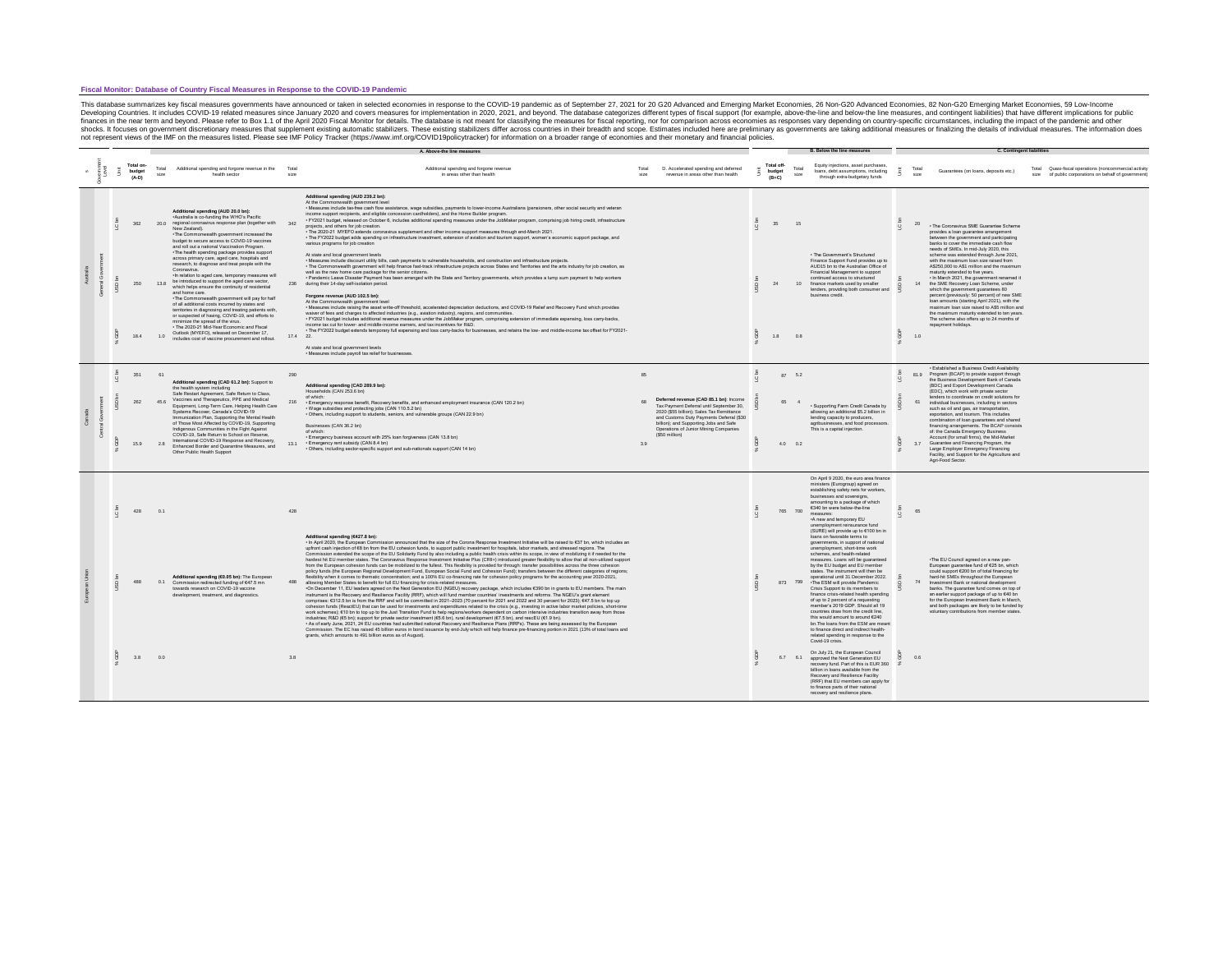#### **Fiscal Monitor: Database of Country Fiscal Measures in Response to the COVID-19 Pandemic**

This database summarizes key fiscal measures governments have anounced or taken in selected economies in response to the COVID-19 related measures for mplementation in 2020, 2021, and beyond. The database categorizes diffe

|   |         | Total on-<br>budget<br>$(A-D)$ | Total<br>size | Additional spending and forgone revenue in the<br>health sector                                                                                                                                                                                                                                                                                                                                    | Total<br>size | Additional spending and forgone revenue<br>in areas other than health                                                                                                                                                                                                                                                                                                                                                                                                                                                                                                                                                                                                                                                                                                                                                                                                                                                                                                                                                                                                                                                                                                                                                                                                                                                                                                                                                                                                                                                                                                                                                                                                                                                                                                                                                                                                                                                                                                                                                                                                                                                                                                                                                                                                                                                                                                                                                                                                                                                                                            | Total<br>size | D. Accelerated spending and deferred<br>revenue in areas other than health                                                                                                                                           | Total off-<br>budget<br>$(B+C)$ | Total<br>size   | Equity injections, asset purchases<br>loans, debt assumptions, including<br>through extra-budgetary funds                                                                                                                                                                                                                                                                                                                                                                                                                                                                                                                                                                                                        |         | Total<br>size | Guarantees (on loans, deposits etc.)                                                                                                                                                                                                                                                                                                                                                                                                                             | Quasi-fiscal operations (noncommercial activity<br>Total<br>size of public corporations on behalf of government) |
|---|---------|--------------------------------|---------------|----------------------------------------------------------------------------------------------------------------------------------------------------------------------------------------------------------------------------------------------------------------------------------------------------------------------------------------------------------------------------------------------------|---------------|------------------------------------------------------------------------------------------------------------------------------------------------------------------------------------------------------------------------------------------------------------------------------------------------------------------------------------------------------------------------------------------------------------------------------------------------------------------------------------------------------------------------------------------------------------------------------------------------------------------------------------------------------------------------------------------------------------------------------------------------------------------------------------------------------------------------------------------------------------------------------------------------------------------------------------------------------------------------------------------------------------------------------------------------------------------------------------------------------------------------------------------------------------------------------------------------------------------------------------------------------------------------------------------------------------------------------------------------------------------------------------------------------------------------------------------------------------------------------------------------------------------------------------------------------------------------------------------------------------------------------------------------------------------------------------------------------------------------------------------------------------------------------------------------------------------------------------------------------------------------------------------------------------------------------------------------------------------------------------------------------------------------------------------------------------------------------------------------------------------------------------------------------------------------------------------------------------------------------------------------------------------------------------------------------------------------------------------------------------------------------------------------------------------------------------------------------------------------------------------------------------------------------------------------------------------|---------------|----------------------------------------------------------------------------------------------------------------------------------------------------------------------------------------------------------------------|---------------------------------|-----------------|------------------------------------------------------------------------------------------------------------------------------------------------------------------------------------------------------------------------------------------------------------------------------------------------------------------------------------------------------------------------------------------------------------------------------------------------------------------------------------------------------------------------------------------------------------------------------------------------------------------------------------------------------------------------------------------------------------------|---------|---------------|------------------------------------------------------------------------------------------------------------------------------------------------------------------------------------------------------------------------------------------------------------------------------------------------------------------------------------------------------------------------------------------------------------------------------------------------------------------|------------------------------------------------------------------------------------------------------------------|
|   |         | 362                            |               | Additional spending (AUD 20.0 bn):<br>Australia is co-funding the WHO's Pacific<br>20.0 regional coronavirus response plan (together with 342<br>New Zealand).<br>-The Commonwealth government increased the<br>budget to secure access to COVID-19 vaccines<br>and roll out a national Vaccination Program.<br>The health spending package provides support                                       |               | Additional spending (AUD 239.2 bn):<br>At the Commonwealth government level<br>- Measures include tax-free cash flow assistance, wage subsidies, payments to lower-income Australians (pensioners, other social security and veteran<br>income support recipients, and eligible concession cardholders), and the Home Builder program<br>· FY2021 budget, released on October 6, includes additional spending measures under the JobMaker program, comprising job hiring credit, infrastructure<br>projects, and others for job creation.<br>- The 2020-21 MYEFO extends coronavirus supplement and other income support measures through end-March 2021.<br>- The FY2022 budget adds spending on infrastructure investment, extension of aviation and tourism support, women's economic support package, and<br>various programs for job creation<br>At state and local government levels                                                                                                                                                                                                                                                                                                                                                                                                                                                                                                                                                                                                                                                                                                                                                                                                                                                                                                                                                                                                                                                                                                                                                                                                                                                                                                                                                                                                                                                                                                                                                                                                                                                                       |               |                                                                                                                                                                                                                      | 35                              | 15              | . The Government's Structured                                                                                                                                                                                                                                                                                                                                                                                                                                                                                                                                                                                                                                                                                    | $\circ$ |               | 20 - The Coronavirus SME Guarantee Scheme<br>provides a loan guarantee arrangement<br>between the government and participating<br>banks to cover the immediate cash flow<br>needs of SMEs. In mid-July 2020, this<br>scheme was extended through June 2021,                                                                                                                                                                                                      |                                                                                                                  |
|   |         | 250                            | 13.8          | across primary care, aged care, hospitals and<br>research, to diagnose and treat people with the<br>Coronavirus.<br>-In relation to aged care, temporary measures will<br>be introduced to support the aged care sector,<br>which helps ensure the continuity of residential<br>and home care.                                                                                                     |               | - Measures include discount utility bills, cash payments to vulnerable households, and construction and infrastructure projects.<br>- The Commonwealth government will help finance fast-track infrastructure projects across States and Territories and the arts industry for job creation, as<br>well as the new home care package for the senior citizens.<br>- Pandemic Leave Disaster Payment has been arranged with the State and Territory governments, which provides a lump sum payment to help workers<br>236 during their 14-day self-isolation period.<br>Forgone revenue (AUD 102.5 bn):                                                                                                                                                                                                                                                                                                                                                                                                                                                                                                                                                                                                                                                                                                                                                                                                                                                                                                                                                                                                                                                                                                                                                                                                                                                                                                                                                                                                                                                                                                                                                                                                                                                                                                                                                                                                                                                                                                                                                            |               |                                                                                                                                                                                                                      | 24                              |                 | Finance Support Fund provides up to<br>AUD15 bn to the Australian Office of<br>Financial Management to support<br>continued access to structured<br>finance markets used by smaller<br>lenders, providing both consumer and<br>business credit                                                                                                                                                                                                                                                                                                                                                                                                                                                                   |         |               | with the maximum loan size raised from<br>AS250.000 to AS1 million and the maximum<br>maturity extended to five years.<br>. In March 2021, the government renamed it<br>14 the SME Recovery Loan Scheme, under<br>which the government guarantees 80<br>percent (previously: 50 percent) of new SME                                                                                                                                                              |                                                                                                                  |
|   |         | 184                            | 1.0           | -The Commonwealth government will pay for half<br>of all additional costs incurred by states and<br>territories in diagnosing and treating patients with,<br>or suspected of having, COVID-19, and efforts to<br>minimize the spread of the virus.<br>- The 2020-21 Mid-Year Economic and Fiscal<br>Outlook (MYEFO), released on December 17,<br>includes cost of vaccine procurement and rollout. | 17.4 22.      | At the Commonwealth government level<br>- Measures include raising the asset write-off threshold, accelerated depreciation deductions, and COVID-19 Relief and Recovery Fund which provides<br>waiver of fees and charges to affected industries (e.g., aviation industry), regions, and communities.<br>- FY2021 budget includes additional revenue measures under the JobMaker program, comprising extension of immediate expensing, loss carry-backs,<br>income tax cut for lower- and middle-income earners, and tax incentives for R&D.<br>- The FY2022 budget extends temporary full expensing and loss carry-backs for businesses, and retains the low- and middle-income tax offset for FY2021-<br>At state and local government levels                                                                                                                                                                                                                                                                                                                                                                                                                                                                                                                                                                                                                                                                                                                                                                                                                                                                                                                                                                                                                                                                                                                                                                                                                                                                                                                                                                                                                                                                                                                                                                                                                                                                                                                                                                                                                  |               |                                                                                                                                                                                                                      | $1.8$ 0.8                       |                 |                                                                                                                                                                                                                                                                                                                                                                                                                                                                                                                                                                                                                                                                                                                  |         | 1.0           | Ioan amounts (starting April 2021), with the<br>maximum loan size raised to AS5 million and<br>the maximum maturity extended to ten years.<br>The scheme also offers up to 24 months of<br>repayment holidays.                                                                                                                                                                                                                                                   |                                                                                                                  |
|   |         |                                |               |                                                                                                                                                                                                                                                                                                                                                                                                    |               | · Measures include payroll tax relief for businesses.                                                                                                                                                                                                                                                                                                                                                                                                                                                                                                                                                                                                                                                                                                                                                                                                                                                                                                                                                                                                                                                                                                                                                                                                                                                                                                                                                                                                                                                                                                                                                                                                                                                                                                                                                                                                                                                                                                                                                                                                                                                                                                                                                                                                                                                                                                                                                                                                                                                                                                            |               |                                                                                                                                                                                                                      |                                 |                 |                                                                                                                                                                                                                                                                                                                                                                                                                                                                                                                                                                                                                                                                                                                  |         |               |                                                                                                                                                                                                                                                                                                                                                                                                                                                                  |                                                                                                                  |
|   | $\circ$ | 351                            | 61            | Additional spending (CAD 61.2 bn): Support to<br>the health system including                                                                                                                                                                                                                                                                                                                       | 290           | Additional spending (CAD 289.9 bn):<br>Households (CAN 253.6 bn)                                                                                                                                                                                                                                                                                                                                                                                                                                                                                                                                                                                                                                                                                                                                                                                                                                                                                                                                                                                                                                                                                                                                                                                                                                                                                                                                                                                                                                                                                                                                                                                                                                                                                                                                                                                                                                                                                                                                                                                                                                                                                                                                                                                                                                                                                                                                                                                                                                                                                                 | 85            |                                                                                                                                                                                                                      |                                 | 87 5.2          |                                                                                                                                                                                                                                                                                                                                                                                                                                                                                                                                                                                                                                                                                                                  | $\circ$ |               | · Established a Business Credit Availability<br>81.9 Program (BCAP) to provide support through<br>the Business Development Bank of Canada<br>(BDC) and Export Development Canada<br>(EDC) which work with private sector                                                                                                                                                                                                                                         |                                                                                                                  |
| å |         | 262                            |               | Safe Restart Agreement, Safe Return to Class,<br>45.6 Vaccines and Therapeutics, PPE and Medical<br>Equipment, Long-Term Care, Helping Health Care<br>Systems Recover, Canada's COVID-19<br>Immunization Plan, Supporting the Mental Health<br>of Those Most Affected by COVID-19, Supporting                                                                                                      | 216           | of which:<br>· Emergency response benefit, Recovery benefits, and enhanced employment insurance (CAN 120.2 bn)<br>· Wage subsidies and protecting jobs (CAN 110.5.2 bn)<br>· Others, including support to students, seniors, and vulnerable groups (CAN 22.9 bn)<br>Businesses (CAN 36.2 bn)                                                                                                                                                                                                                                                                                                                                                                                                                                                                                                                                                                                                                                                                                                                                                                                                                                                                                                                                                                                                                                                                                                                                                                                                                                                                                                                                                                                                                                                                                                                                                                                                                                                                                                                                                                                                                                                                                                                                                                                                                                                                                                                                                                                                                                                                     | 88            | Deferred revenue (CAD 85.1 bn): Income<br>Tax Payment Deferral until September 30,<br>2020 (S55 billion): Sales Tax Remittance<br>and Customs Duty Payments Deferral (\$30<br>billion); and Supporting Jobs and Safe | 65 4                            |                 | · Supporting Farm Credit Canada by<br>allowing an additional S5.2 billion in<br>lending capacity to producers.<br>agribusinesses, and food processors.                                                                                                                                                                                                                                                                                                                                                                                                                                                                                                                                                           |         | 61            | lenders to coordinate on credit solutions for<br>individual businesses, including in sectors<br>such as oil and gas, air transportation,<br>exportation, and tourism. This includes<br>combination of loan guarantees and shared<br>financing arrangements. The BCAP consists                                                                                                                                                                                    |                                                                                                                  |
|   |         | 15.9                           |               | Indigenous Communities in the Fight Against<br>COVID-19, Safe Return to School on Reserve,<br>International COVID-19 Response and Recovery,<br>2.8 Enhanced Border and Quarantine Measures, and<br>Other Public Health Support                                                                                                                                                                     |               | of which:<br>· Emergency business account with 25% loan forgiveness (CAN 13.8 bn)<br>- Emergency rent subsidy (CAN 8.4 bn)<br>- Others, including sector-specific support and sub-nationals support (CAN 14 bn)                                                                                                                                                                                                                                                                                                                                                                                                                                                                                                                                                                                                                                                                                                                                                                                                                                                                                                                                                                                                                                                                                                                                                                                                                                                                                                                                                                                                                                                                                                                                                                                                                                                                                                                                                                                                                                                                                                                                                                                                                                                                                                                                                                                                                                                                                                                                                  | 3.9           | Operations of Junior Mining Companies<br>(\$50 million)                                                                                                                                                              |                                 | $4.0\qquad 0.2$ | This is a capital injection.                                                                                                                                                                                                                                                                                                                                                                                                                                                                                                                                                                                                                                                                                     |         | 37            | of: the Canada Emergency Business<br>Account (for small firms), the Mid-Market<br>Guarantee and Financing Program, the<br>Large Employer Emergency Financing<br>Facility, and Support for the Agriculture and<br>Agri-Food Sector.                                                                                                                                                                                                                               |                                                                                                                  |
|   |         | 428                            | 0.1           |                                                                                                                                                                                                                                                                                                                                                                                                    | 428           |                                                                                                                                                                                                                                                                                                                                                                                                                                                                                                                                                                                                                                                                                                                                                                                                                                                                                                                                                                                                                                                                                                                                                                                                                                                                                                                                                                                                                                                                                                                                                                                                                                                                                                                                                                                                                                                                                                                                                                                                                                                                                                                                                                                                                                                                                                                                                                                                                                                                                                                                                                  |               |                                                                                                                                                                                                                      |                                 | 765 700         | On April 9 2020, the euro area finance<br>ministers (Eurogroup) agreed on<br>establishing safety nets for workers,<br>businesses and sovereigns,<br>amounting to a package of which<br>€340 bn were below-the-line<br>measures<br>.A new and temporary EU<br>unemployment reinsurance fund<br>(SURE) will provide up to €100 bn in                                                                                                                                                                                                                                                                                                                                                                               |         |               |                                                                                                                                                                                                                                                                                                                                                                                                                                                                  |                                                                                                                  |
|   |         | 488                            | 01            | Additional spending (€0.05 bn): The European<br>Commission redirected funding of €47.5 mn<br>towards research on COVID-19 vaccine<br>development, treatment, and diagnostics.                                                                                                                                                                                                                      |               | Additional spending (€427.8 bn):<br>- In April 2020, the European Commission announced that the size of the Corona Response Investment Initiative will be raised to €37 bn, which includes an<br>upfront cash injection of €8 bn from the EU cohesion funds, to support public investment for hospitals, labor markets, and stressed regions. The<br>Commission extended the scope of the EU Solidarity Fund by also including a public health crisis within its scope, in view of mobilizing it if needed for the<br>hardest hit EU member states. The Coronavirus Response Investment Initiative Plus (CRII+) introduced greater flexibility to allow that all non-utilized support<br>from the European cohesion funds can be mobilized to the fullest. This flexibility is provided for through: transfer possibilities across the three cohesion<br>policy funds (the European Regional Development Fund, European Social Fund and Cohesion Fund); transfers between the different categories of regions;<br>flexibility when it comes to thematic concentration; and a 100% EU co-financing rate for cohesion policy programs for the accounting year 2020-2021,<br>allowing Member States to benefit for full EU financing for crisis-related measures.<br>-On December 11, EU leaders agreed on the Next Generation EU (NGEU) recovery package, which includes €390 bn in grants to EU members. The main<br>instrument is the Recovery and Resilience Facility (RRF), which will fund member countries' investments and reforms. The NGEU's grant element<br>comprises: €312.5 bn is from the RRF and will be committed in 2021-2023 (70 percent for 2021 and 2022 and 30 percent for 2023); €47.5 bn to top up<br>cohesion funds (ReactEU) that can be used for investments and expenditures related to the crisis (e.g., investing in active labor market policies, short-time<br>work schemes); €10 bn to top up to the Just Transition Fund to help regions/workers dependent on carbon intensive industries transition away from those<br>industries; R&D (€5 bn); support for private sector investment (€5.6 bn), rural development (€7.5 bn), and rescEU (€1.9 bn).<br>- As of early June, 2021, 24 EU countries had submitted national Recovery and Resilience Plans (RRPs). These are being assessed by the European<br>Commission. The EC has raised 45 billion euros in bond issuance by end-July which will help finance pre-financing portion in 2021 (13% of total loans and<br>grants, which amounts to 491 billion euros as of August). |               |                                                                                                                                                                                                                      |                                 |                 | loans on favorable terms to<br>governments, in support of national<br>unemployment, short-time work<br>schemes, and health-related<br>measures. Loans will be guaranteed<br>by the EU budget and EU member<br>states. The instrument will then be<br>coerational until 31 December 2022<br>873 799 The ESM will provide Pandemic<br>Crisis Support to its members to<br>finance crisis-related health spending<br>of up to 2 percent of a requesting<br>member's 2019 GDP. Should all 19<br>countries draw from the credit line,<br>this would amount to around £240.<br>bn The loans from the ESM are meant<br>to finance direct and indirect health-<br>related spending in response to the<br>Covid-19 crisis |         |               | . The EU Council agreed on a new pan-<br>European guarantee fund of €25 bn, which<br>could support €200 bn of total financing for<br>hard-hit SMEs throughout the European<br>74 Investment Bank or national development<br>banks. The guarantee fund comes on top of<br>an earlier support package of up to 640 bn<br>for the European Investment Bank in March,<br>and both packages are likely to be funded by<br>voluntary contributions from member states. |                                                                                                                  |
|   |         | 3.8                            | 00            |                                                                                                                                                                                                                                                                                                                                                                                                    | 38            |                                                                                                                                                                                                                                                                                                                                                                                                                                                                                                                                                                                                                                                                                                                                                                                                                                                                                                                                                                                                                                                                                                                                                                                                                                                                                                                                                                                                                                                                                                                                                                                                                                                                                                                                                                                                                                                                                                                                                                                                                                                                                                                                                                                                                                                                                                                                                                                                                                                                                                                                                                  |               |                                                                                                                                                                                                                      |                                 |                 | On July 21, the European Council<br>6.7 6.1 approved the Next Generation EU<br>recovery fund. Part of this is EUR 360<br>billion in loans available from the<br>Recovery and Resilience Facility<br>(RRF) that EU members can apply for<br>to finance parts of their national<br>recovery and resilience plans.                                                                                                                                                                                                                                                                                                                                                                                                  |         | 0R            |                                                                                                                                                                                                                                                                                                                                                                                                                                                                  |                                                                                                                  |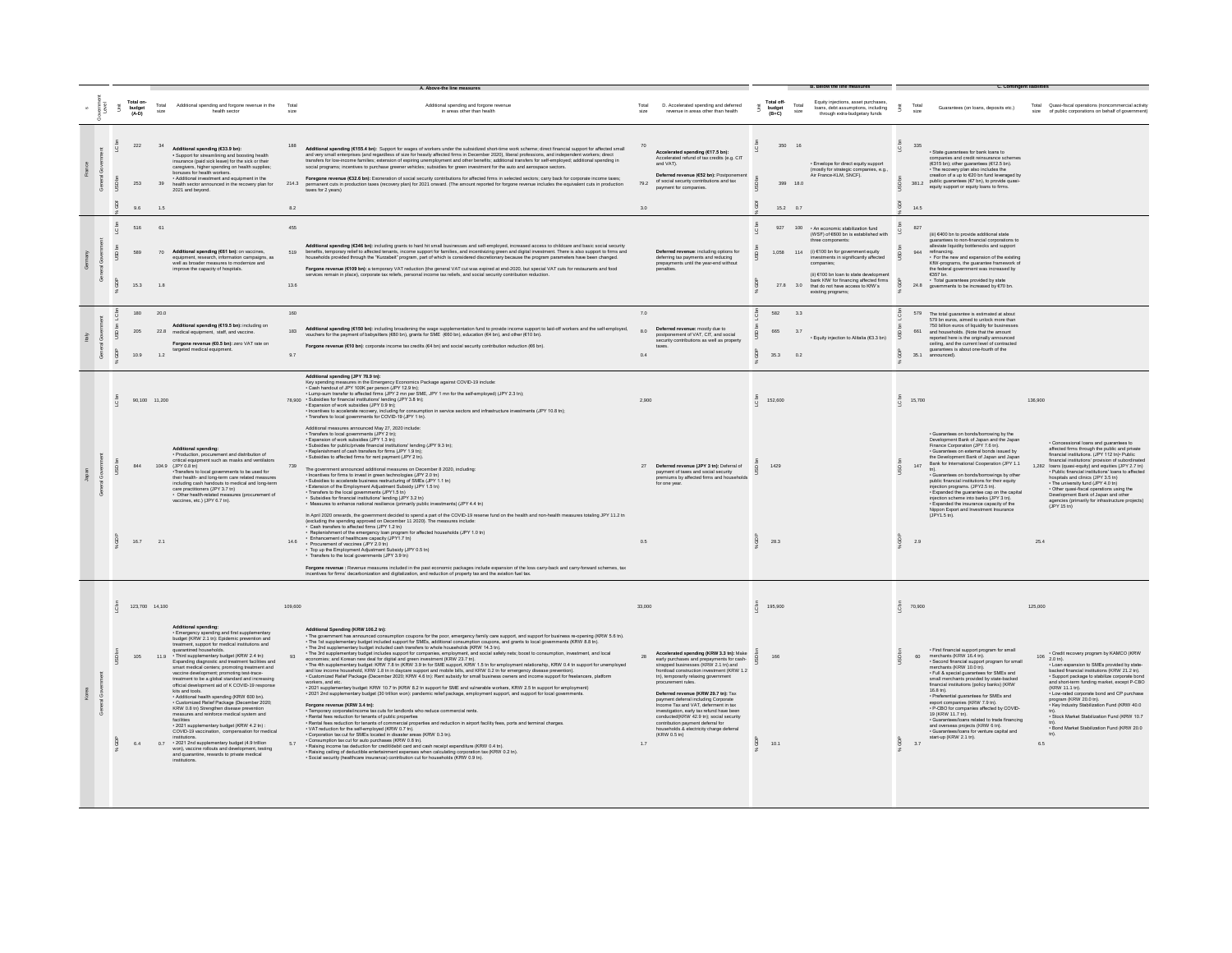|           |   |                     | Total on-<br>budget<br>(A-D) |                           | Total<br>size   | Additional spending and forgone revenue in the<br>health sector                                                                                                                                                                                                                                                                                                                                                                                                                                                                                                                                                                                                                                                                                                                                                                                                                                                                                                                                                               | Total<br>size        | Additional spending and forgone revenue<br>in areas other than health                                                                                                                                                                                                                                                                                                                                                                                                                                                                                                                                                                                                                                                                                                                                                                                                                                                                                                                                                                                                                                                                                                                                                                                                                                                                                                                                                                                                                                                                                                                                                                                                                                                                                                                                                                                                                                                                                                                                                                                                                                                                                                                                                                                                                                                                                                                                                                                                                | size                | D. Accelerated spending and deferred<br>revenue in areas other than health                                                                                                                                                                                                                                                                                                                                                                                                                                                                             | Ã. | Total off-<br>budget<br>(B+C)    | Total<br>size | Equity injections, asset purchases<br>loans, debt assumptions, including<br>through extra-budgetary funds                                                                                                                                                                                                                                                        | - 3                                   | Total<br>size                                                      | Guarantees (on loans, deposits etc.)                                                                                                                                                                                                                                                                                                                                                                                                                                                                                                                                        | Total Quasi-fiscal operations (noncommercial activity<br>size of public corporations on behalf of government)                                                                                                                                                                                                                                                                                                                                                                                                                                                                                        |
|-----------|---|---------------------|------------------------------|---------------------------|-----------------|-------------------------------------------------------------------------------------------------------------------------------------------------------------------------------------------------------------------------------------------------------------------------------------------------------------------------------------------------------------------------------------------------------------------------------------------------------------------------------------------------------------------------------------------------------------------------------------------------------------------------------------------------------------------------------------------------------------------------------------------------------------------------------------------------------------------------------------------------------------------------------------------------------------------------------------------------------------------------------------------------------------------------------|----------------------|--------------------------------------------------------------------------------------------------------------------------------------------------------------------------------------------------------------------------------------------------------------------------------------------------------------------------------------------------------------------------------------------------------------------------------------------------------------------------------------------------------------------------------------------------------------------------------------------------------------------------------------------------------------------------------------------------------------------------------------------------------------------------------------------------------------------------------------------------------------------------------------------------------------------------------------------------------------------------------------------------------------------------------------------------------------------------------------------------------------------------------------------------------------------------------------------------------------------------------------------------------------------------------------------------------------------------------------------------------------------------------------------------------------------------------------------------------------------------------------------------------------------------------------------------------------------------------------------------------------------------------------------------------------------------------------------------------------------------------------------------------------------------------------------------------------------------------------------------------------------------------------------------------------------------------------------------------------------------------------------------------------------------------------------------------------------------------------------------------------------------------------------------------------------------------------------------------------------------------------------------------------------------------------------------------------------------------------------------------------------------------------------------------------------------------------------------------------------------------------|---------------------|--------------------------------------------------------------------------------------------------------------------------------------------------------------------------------------------------------------------------------------------------------------------------------------------------------------------------------------------------------------------------------------------------------------------------------------------------------------------------------------------------------------------------------------------------------|----|----------------------------------|---------------|------------------------------------------------------------------------------------------------------------------------------------------------------------------------------------------------------------------------------------------------------------------------------------------------------------------------------------------------------------------|---------------------------------------|--------------------------------------------------------------------|-----------------------------------------------------------------------------------------------------------------------------------------------------------------------------------------------------------------------------------------------------------------------------------------------------------------------------------------------------------------------------------------------------------------------------------------------------------------------------------------------------------------------------------------------------------------------------|------------------------------------------------------------------------------------------------------------------------------------------------------------------------------------------------------------------------------------------------------------------------------------------------------------------------------------------------------------------------------------------------------------------------------------------------------------------------------------------------------------------------------------------------------------------------------------------------------|
|           |   | $\mathbf{Q}$<br>葲   | 222<br>253<br>96             |                           | 34<br>39<br>1.5 | Additional spending (€33.9 bn):<br>- Support for streamlining and boosting health<br>insurance (paid sick leave) for the sick or their<br>caregivers, higher spending on health supplies:<br>bonuses for health workers<br>· Additional investment and equipment in the<br>health sector announced in the recovery plan for<br>2021 and beyond.                                                                                                                                                                                                                                                                                                                                                                                                                                                                                                                                                                                                                                                                               | 188<br>214.3<br>8.2  | Additional spending (€155.4 bn): Support for wages of workers under the subsidized short-time work scheme; direct financial support for affected small<br>and very small enterprises (and regardless of size for heavily affected firms in December 2020), liberal professions, and independent workers; direct transfers for low-income families; extension of expiring unemployment an<br>social programs: incentives to purchase greener vehicles: subsidies for green investment for the auto and aerospace sectors.<br>Foregone revenue (€32.6 bn): Exoneration of social security contributions for affected firms in selected sectors; carry back for corporate income taxes;<br>permanent cuts in production taxes (recovery plan) for 2021 onward. (The amount reported for forgone revenue includes the equivalent cuts in production<br>taxes for 2 years)                                                                                                                                                                                                                                                                                                                                                                                                                                                                                                                                                                                                                                                                                                                                                                                                                                                                                                                                                                                                                                                                                                                                                                                                                                                                                                                                                                                                                                                                                                                                                                                                                | 79.2<br>3.0         | Accelerated spending (€17.5 bn):<br>Accelerated refund of tax credits (e.g. CIT<br>and VATI<br>Deferred revenue (€52 bn): Postponement<br>of social security contributions and tax<br>payment for companies.                                                                                                                                                                                                                                                                                                                                           | R, | 350 16<br>399 18.0<br>$15.2$ 0.7 |               | · Envelope for direct equity support<br>(mostly for strategic companies, e.g.,<br>Air France-KLM, SNCF).                                                                                                                                                                                                                                                         | $\overline{5}$<br>$\overline{Q}$<br>亮 | 335<br>14.5                                                        | · State quarantees for bank loans to<br>companies and credit reinsurance schemes<br>(€315 bn); other guarantees (€12.5 bn).<br>The recovery plan also includes the<br>creation of a up to €20 bn fund leveraged by<br>381.2 public guarantees (€7 bn), to provide quasi-<br>equity support or equity loans to firms.                                                                                                                                                                                                                                                        |                                                                                                                                                                                                                                                                                                                                                                                                                                                                                                                                                                                                      |
| $\bar{8}$ |   | E.<br>$\frac{8}{2}$ | 516<br>589<br>15.3           | 1.8                       | 61<br>70        | Additional spending (€61 bn); on vaccines.<br>equipment, research, information campaigns, as<br>well as broader measures to modernize and<br>improve the capacity of hospitals.                                                                                                                                                                                                                                                                                                                                                                                                                                                                                                                                                                                                                                                                                                                                                                                                                                               | 455<br>519<br>13.6   | dditional spending (€346 bn): including grants to hard hit small businesses and self-employed, increased access to childcare and basic social security<br>benefits, temporary relief to affected tenants, income support for families, and incentivizing green and digital investment. There is also support to firms and<br>households provided through the "Kurzabeit" program, part of w<br>Forgone revenue (€109 bn): a temporary VAT reduction (the general VAT cut was expired at end-2020, but special VAT cuts for restaurants and food<br>services remain in place), corporate tax reliefs, personal income tax reliefs, and social security contribution reduction.                                                                                                                                                                                                                                                                                                                                                                                                                                                                                                                                                                                                                                                                                                                                                                                                                                                                                                                                                                                                                                                                                                                                                                                                                                                                                                                                                                                                                                                                                                                                                                                                                                                                                                                                                                                                        |                     | Deferred revenue: including options for<br>deferring tax payments and reducing<br>prepayments until the year-end without<br>nalties                                                                                                                                                                                                                                                                                                                                                                                                                    |    |                                  |               | 927 100 . An economic stabilization fund<br>(WSF) of €600 bn is established with<br>three components<br>1,058 114 (i) €100 bn for government equity<br>investments in significantly affected<br>companies;<br>(ii) €100 bn loan to state development<br>bank KfW for financing affected firms<br>27.8 3.0 that do not have access to KfW's<br>existing programs; | $\overline{a}$                        | 827<br>refinancing.<br>944<br>€357 bn.                             | (iii) €400 bn to provide additional state<br>guarantees to non-financial corporations to<br>alleviate liquidity bottlenecks and support<br>· For the new and expansion of the existing<br>KfW-programs, the guarantee framework of<br>the federal government was increased by<br>· Total guarantees provided by state<br>24.8 governments to be increased by €70 bn.                                                                                                                                                                                                        |                                                                                                                                                                                                                                                                                                                                                                                                                                                                                                                                                                                                      |
|           | š | -S<br>es.           | 180<br>205<br>10.9           |                           | 200<br>1.2      | Additional spending (€19.5 bn): including on<br>22.8 medical equipment, staff, and vaccine<br>Forgone revenue (€0.5 bn): zero VAT rate on<br>targeted medical equipment.                                                                                                                                                                                                                                                                                                                                                                                                                                                                                                                                                                                                                                                                                                                                                                                                                                                      | 160<br>183<br>9.7    | Additional spending (€150 bn): including broadening the wage supplementation fund to provide income support to laid-off workers and the self-employed, vouchers for the payment of babysitters (€80 bn), grants for SME (€80 b<br>Forgone revenue (€10 bn): corporate income tax credits (€4 bn) and social security contribution reduction (€6 bn).                                                                                                                                                                                                                                                                                                                                                                                                                                                                                                                                                                                                                                                                                                                                                                                                                                                                                                                                                                                                                                                                                                                                                                                                                                                                                                                                                                                                                                                                                                                                                                                                                                                                                                                                                                                                                                                                                                                                                                                                                                                                                                                                 | 70<br>8.0<br>0.4    | Deferred revenue: mostly due to<br>postponement of VAT, CIT, and social<br>security contributions as well as property                                                                                                                                                                                                                                                                                                                                                                                                                                  |    | 582 3.3<br>665<br>35.3 0.2       | 3.7           | . Equity injection to Alitalia (€3.3 bn)                                                                                                                                                                                                                                                                                                                         | $\overline{a}$                        | 661<br>35.1<br>announced).                                         | 579 The total guarantee is estimated at about<br>579 bn euros, aimed to unlock more than<br>750 billion euros of liquidity for businesses<br>and households. (Note that the amount<br>reported here is the originally announced<br>ceiling, and the current level of contracted<br>guarantees is about one-fourth of the                                                                                                                                                                                                                                                    |                                                                                                                                                                                                                                                                                                                                                                                                                                                                                                                                                                                                      |
|           |   |                     | 844                          | 90.100 11.200<br>16.7 2.1 |                 | Additional spending:<br>· Production, procur<br>ement and distribution of<br>ritical equipment such as masks and ventilators<br>104.9 (JPY 0.8 tn)<br>Transfers to local governments to be used for<br>their health- and long-term care related measures<br>including cash handouts to medical and long-term<br>care practitioners (JPY 3.7 tn)<br>· Other health-related measures (procurement of<br>vaccines, etc.) (JPY 6.7 tn).                                                                                                                                                                                                                                                                                                                                                                                                                                                                                                                                                                                           | 739<br>14.6          | Additional spending (JPY 78.9 tn):<br>Key spending measures in the Emergency Economics Package against COVID-19 include:<br>Cash handout of JPY 100K per person (JPY 12.9 tn);<br>Cash handout of JPY 100K per person (JPY 12.9 tn);<br>- Lump-sum transfer to affected firms (JPY 2 mn per SME, JPY 1 mn for the self-employed) (JPY 2.3 tn):<br>78,900 · Subsidies for financial institutions' lending (JPY 3.8 tn);<br>. Expansion of work subsidies (JPY 0.9 tn):<br>- Incentives to accelerate recovery, including for consumption in service sectors and infrastructure investments (JPY 10.8 tn);<br>- Transfers to local governments for COVID-19 (JPY 1 tn).<br>Additional measures announced May 27, 2020 include<br>· Transfers to local governments (JPY 2 tn);<br>. Expansion of work subsidies (JPY 1.3 tn):<br>Subsidies for public/private financial institutions' lending (JPY 9.3 tn);<br>· Replenishment of cash transfers for firms (JPY 1.9 tn):<br>- Subsidies to affected firms for rent payment (JPY 2 tn)<br>The government announced additional measures on December 8 2020, including:<br>Incentives for firms to invest in green technologies (JPY 2.0 tn)<br>- Subsidies to accelerate business restructuring of SMEs (JPY 1.1 tn)<br>- Extension of the Employment Adjustment Subsidy (JPY 1.5 tn)<br>. Transfers to the local governments (JPY1.5 tn)<br>- Nubsidies for financial institutions' (ending (JPY 3.2 tn)<br>- Subsidies for financial institutions' lending (JPY 3.2 tn)<br>- Measures to enhance national resilience (primarily public investments) (JPY 4.4 tn)<br>In April 2020 onwards, the government decided to spend a part of the COVID-19 reserve fund on the health and non-health measures totaling JPY 11.2 tn<br>(excluding the spending approved on December 11 2020). The measures include:<br>Cash transfers to affected firms (JPY 1.2 tn)<br>Replenishment of the emergency loan program for affected households (JPY 1.0 tn)<br>· Enhancement of healthcare capacity (JPY1.7 tn)<br>· Procurement of vaccines (JPY 2.0 tn)<br>. Top up the Employment Adjustment Subsidy (JPY 0.5 tn)<br>- Transfers to the local governments (JPY 3.9 tn)<br>Forgone revenue : Revenue measures included in the past economic packages include expansion of the loss carry-back and carry-forward schemes, tax<br>incentives for firms' decarbonization and digitalization, and reduction of property tax and the aviation fuel tax. | 2.900<br>0.5        | 27 Deferred revenue (JPY 3 tn): Deferral of<br>payment of taxes and social security<br>premiums by affected firms and households<br>for one year                                                                                                                                                                                                                                                                                                                                                                                                       | ā  | 152,600<br>1429<br>28.3          |               |                                                                                                                                                                                                                                                                                                                                                                  | å                                     | 15,700<br>147<br>(JPY1.5 tn).<br>2.9                               | · Guarantees on bonds/borrowing by the<br>Development Bank of Japan and the Japan<br>Finance Corporation (JPY 7.6 tn).<br>· Guarantees on external bonds issued by<br>the Development Bank of Japan and Jap<br>Bank for International Cooperation (JPY 1.1<br>Guarantees on bonds/borrowings by other<br>public financial institutions for their equity<br>injection programs. (JPY2.5 tn).<br>. Expanded the quarantee cap on the capital<br>injection scheme into banks (JPY 3 tn).<br>• Expanded the insurance capacity of the<br>Nippon Export and Investment Insurance | 136,900<br>· Concessional loans and guarantees to<br>affected firms through the public and private<br>financial institutions. (JPY 112 tn) Public<br>financial institutions' provision of subordinate<br>1.282 loans (quasi-equity) and equities (JPY 2.7 tn)<br>- Public financial institutions' loans to affected<br>hospitals and clinics (JPY 3.5 tn)<br>- The university fund (JPY 4.0 tn)<br>- The university fund (JPY 4.0 tn)<br>- Other quasi-fiscal operations using the<br>Development Bank of Japan and other<br>agencies (primarily for infrastructure projects)<br>(JPY 15 tn)<br>25.4 |
|           |   |                     | 105<br>6.4                   | 123,700 14,100            | 11.9<br>0.7     | <b>Additional spending:</b><br>- Emergency spending and first supplementary<br>budget (KRW 2.1 tn): Epidemic prevention and<br>treatment, support for medical institutions and<br>quarantined households.<br>. Third supplementary budget (KRW 2.4 tn):<br>Expanding diagnostic and treatment facilities and<br>smart medical centers; promoting treatment and<br>vaccine development: promoting test-trace-<br>treatment to be a global standard and increasing<br>official development aid of K COVID-19 response<br>kits and tools<br>- Additional health spending (KRW 600 bn).<br>· Customized Relief Package (December 2020;<br>KRW 0.8 tn) Strengthen disease prevention<br>measures and reinforce medical system and<br>facilities<br>- 2021 supplementary budget (KRW 4.2 tn):<br>COVID-19 vaccination, compensation for medical<br>ristitutions.<br>• 2021 2nd supplementary budget (4.9 trillion<br>won), vaccine rollouts and development, testing<br>and quarantine, rewards to private medical<br>institutions. | 109,600<br>93<br>5.7 | Additional Spending (KRW 106.2 tn):<br>sucurous a system in the state of consumption coupons for the poor, emergency family care support, and support for business re-opening (KRW 5.6 tn).<br>- The government has announced consumption coupons for the poor, emergenc<br>The Tax appliementary budget included cash transfers to whole households (KRW 14.3 tn).<br>The 2nd supplementary budget included cash transfers to whole households (KRW 14.3 tn).<br>The 3nd supplementary budget included cash tra<br>Continuous, and results and we want to the state of the state of the state of the state of the state state of the state state of the state state of the state state of the state state of the state of the state of the state<br>- Customized Relief Package (December 2020; KRW 4.6 tn): Rent subsidy for small business owners and income support for freelancers, platform<br>workers, and etc.<br>- 2021 supplementary budget: KRW 10.7 tn (KRW 8.2 tn support for SME and vulnerable workers. KRW 2.5 tn support for employment)<br>- 2021 2nd supplementary budget (30 trillion won): pandemic relief package, employment support, and support for local gover<br>Forgone revenue (KRW 3.4 tn):<br>Temporary corporate/income tax cuts for landlords who reduce commercial rents.<br>- Rental fees reduction for tenants of public properties<br>- Rental fees reduction for tenants of commercial properties and reduction in airport facility fees, ports and terminal charges.<br>- VAT reduction for the self-employed (KRW 0.7 tn).<br>- Corporation tax cut for SMEs located in disaster areas (KRW 0.3 tn).<br>- Corporation tax cut for sulto purchases (KRW 0.8 tn).<br>- Raising income tax deduction for credit/debit card and cash receipt expenditure (KRW 0.4 tn).<br>- Raising ceifing of deductible entertainment expenses when calculating corporation tax (KRW 0.2 tn).<br>- Social security (healt                                                                                                                                                                                                                                                                                                                                                                                                                                                                                                                                      | 33,000<br>28<br>1.7 | Accelerated spending (KRW 3.3 tn): Make<br>early purchases and prepayments for cash-<br>strapped businesses (KRW 2.1 tn) and<br>frontload construction investment (KRW 1.2<br>tn), temporarily relaxing government<br>procurement rules<br>Deferred revenue (KRW 29.7 tn): Tax<br>payment deferral including Corporate<br>Income Tax and VAT deferment in tax<br>investigation, early tax refund have been<br>conducted/KRW 42.9 tn): social security<br>contribution payment deferral for<br>households & electricity charge deferral<br>(KRW 0.5 tn) |    | 195,900<br>166<br>10.1           |               |                                                                                                                                                                                                                                                                                                                                                                  | å                                     | 70,900<br>60<br>19 (KRW 11.7 tn).<br>start-up (KRW 2.1 tn).<br>3.7 | · First financial support program for small<br>merchants (KRW 16.4 tn).<br>· Second financial support program for small<br>chants (KRW 10.0 tn).<br>. Full & special quarantees for SMEs and<br>small merchants provided by state-backed<br>financial institutions (policy banks) (KRW<br>16.8 tn).<br>Preferential guarantees for SMEs and<br>export companies (KRW 7.9 tn).<br>· P-CBO for companies affected by COVID-<br>· Guarantees/loans related to trade financing<br>and overseas projects (KRW 6 tn).<br>· Guarantees/loans for venture capital and               | 125,000<br>Credit recovery program by KAMCO (KRW<br>$106$ 2.0 tn).<br>. Loan expansion to SMEs provided by state<br>backed financial institutions (KRW 21.2 tn).<br>- Support package to stabilize corporate bond<br>and short-term funding market, except P-CBO<br>(KRW 11.1 tn).<br>- Low-rated corporate bond and CP purchase<br>program (KRW 20.0 tn).<br>Key Industry Stabilization Fund (KRW 40.0<br>- Stock Market Stabilization Fund (KRW 10.7<br>tn).<br>• Bond Market Stabilization Fund (KRW 20.0<br>$t_{n}$<br>6.5                                                                       |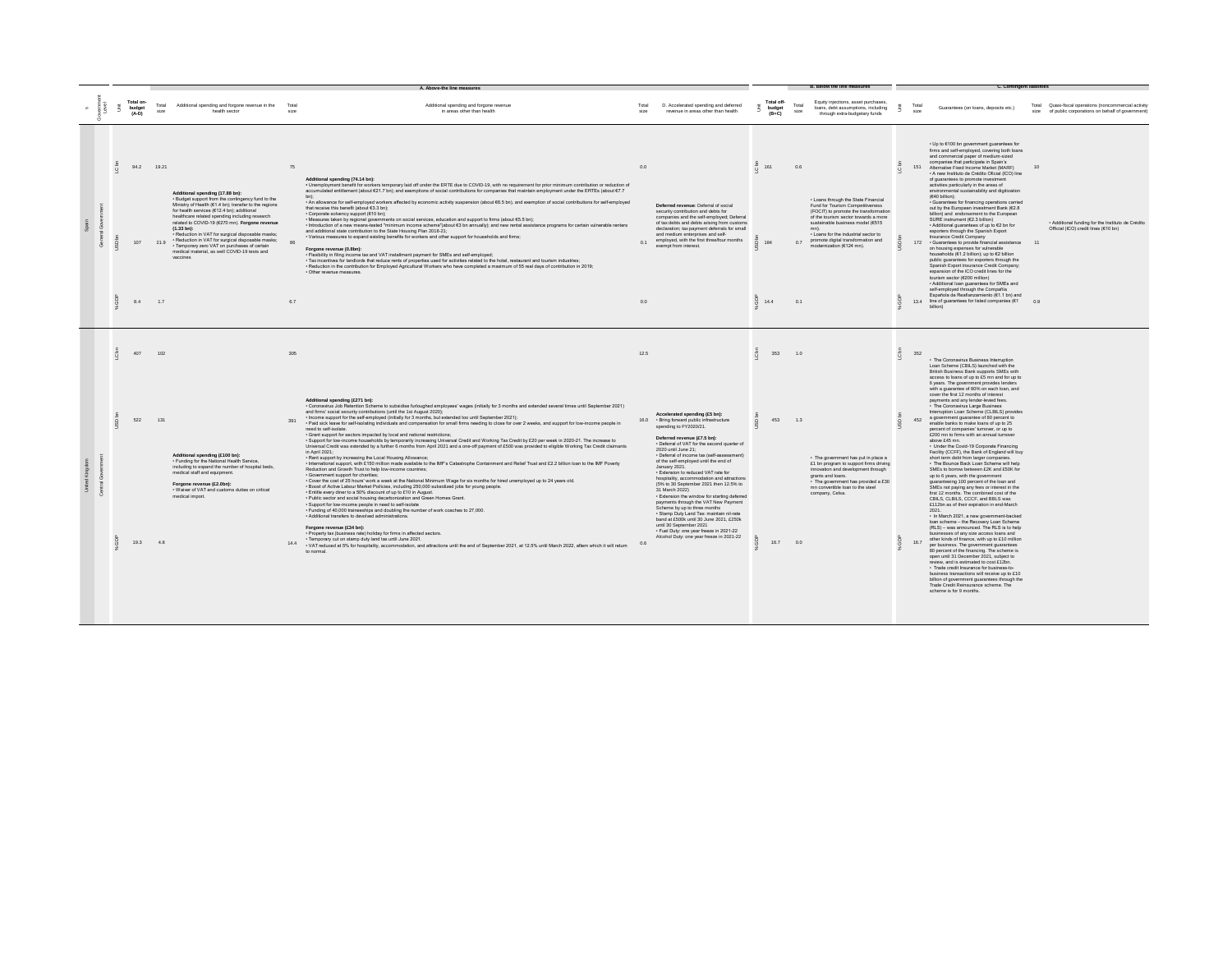|         |                                |                     |                                                                                                                                                                                                                                                                                                                                                                                                                                                                                                                                                |               | A. Above-the line measures                                                                                                                                                                                                                                                                                                                                                                                                                                                                                                                                                                                                                                                                                                                                                                                                                                                                                                                                                                                                                                                                                                                                                                                                                                                                                                                                                                                                                                                                                                                                                                                                                                                                                                                                                                                                                                                                                                                                                                                                                                                                                                                                                                                                                   |                  |                                                                                                                                                                                                                                                                                                                                                                                                                                                                                                                                                                                                                                                                                                                                                                                                      |                                          |                  |                                                                                                                                                                                                                                                                                                        |                 |                                                                                                                                                                                                                                                                                                                                                                                                                                                                                                                                                                                                                                                                                                                                                                                                                                                                                                                                                                                                                                                                                                                                                                                                                                                                                                                                                                                                                                                                                                                                                                                                                                                                                                                                                                                                  |                                                                                                               |
|---------|--------------------------------|---------------------|------------------------------------------------------------------------------------------------------------------------------------------------------------------------------------------------------------------------------------------------------------------------------------------------------------------------------------------------------------------------------------------------------------------------------------------------------------------------------------------------------------------------------------------------|---------------|----------------------------------------------------------------------------------------------------------------------------------------------------------------------------------------------------------------------------------------------------------------------------------------------------------------------------------------------------------------------------------------------------------------------------------------------------------------------------------------------------------------------------------------------------------------------------------------------------------------------------------------------------------------------------------------------------------------------------------------------------------------------------------------------------------------------------------------------------------------------------------------------------------------------------------------------------------------------------------------------------------------------------------------------------------------------------------------------------------------------------------------------------------------------------------------------------------------------------------------------------------------------------------------------------------------------------------------------------------------------------------------------------------------------------------------------------------------------------------------------------------------------------------------------------------------------------------------------------------------------------------------------------------------------------------------------------------------------------------------------------------------------------------------------------------------------------------------------------------------------------------------------------------------------------------------------------------------------------------------------------------------------------------------------------------------------------------------------------------------------------------------------------------------------------------------------------------------------------------------------|------------------|------------------------------------------------------------------------------------------------------------------------------------------------------------------------------------------------------------------------------------------------------------------------------------------------------------------------------------------------------------------------------------------------------------------------------------------------------------------------------------------------------------------------------------------------------------------------------------------------------------------------------------------------------------------------------------------------------------------------------------------------------------------------------------------------------|------------------------------------------|------------------|--------------------------------------------------------------------------------------------------------------------------------------------------------------------------------------------------------------------------------------------------------------------------------------------------------|-----------------|--------------------------------------------------------------------------------------------------------------------------------------------------------------------------------------------------------------------------------------------------------------------------------------------------------------------------------------------------------------------------------------------------------------------------------------------------------------------------------------------------------------------------------------------------------------------------------------------------------------------------------------------------------------------------------------------------------------------------------------------------------------------------------------------------------------------------------------------------------------------------------------------------------------------------------------------------------------------------------------------------------------------------------------------------------------------------------------------------------------------------------------------------------------------------------------------------------------------------------------------------------------------------------------------------------------------------------------------------------------------------------------------------------------------------------------------------------------------------------------------------------------------------------------------------------------------------------------------------------------------------------------------------------------------------------------------------------------------------------------------------------------------------------------------------|---------------------------------------------------------------------------------------------------------------|
|         | Total on-<br>budget<br>$(A-D)$ | Total<br>size       | Additional spending and forgone revenue in the<br>health sector                                                                                                                                                                                                                                                                                                                                                                                                                                                                                | Total<br>size | Additional spending and forgone revenue<br>in areas other than health                                                                                                                                                                                                                                                                                                                                                                                                                                                                                                                                                                                                                                                                                                                                                                                                                                                                                                                                                                                                                                                                                                                                                                                                                                                                                                                                                                                                                                                                                                                                                                                                                                                                                                                                                                                                                                                                                                                                                                                                                                                                                                                                                                        | Total<br>size    | D. Accelerated spending and deferred<br>revenue in areas other than health                                                                                                                                                                                                                                                                                                                                                                                                                                                                                                                                                                                                                                                                                                                           | Total off-<br>budget<br>$(B+C)$          | Total<br>size    | Equity injections, asset purchases,<br>loans, debt assumptions, including<br>through extra-budgetary funds                                                                                                                                                                                             |                 | Total<br>Guarantees (on loans, deposits etc.)<br>size                                                                                                                                                                                                                                                                                                                                                                                                                                                                                                                                                                                                                                                                                                                                                                                                                                                                                                                                                                                                                                                                                                                                                                                                                                                                                                                                                                                                                                                                                                                                                                                                                                                                                                                                            | Total Quasi-fiscal operations (noncommercial activity<br>size of public corporations on behalf of government) |
| $\circ$ | 94.2<br>107<br>8.4             | 19.21<br>219<br>1.7 | Additional spending (17.88 bn):<br>. Budget support from the contingency fund to the<br>Ministry of Health (€1.4 bn); transfer to the regions<br>for health services (€12.4 bn); additional<br>healthcare related spending including research<br>related to COVID-19 (€270 mn). Forgone revenue<br>$(1.33 \text{ bn})$ :<br>· Reduction in VAT for surgical disposable masks;<br>· Reduction in VAT for surgical disposable masks;<br>· Temporary zero VAT on purchases of certain<br>medical material, as well COVID-19 tests and<br>vaccines | 75<br>R7      | Additional spending (74.14 bn):<br>. Unemployment benefit for workers temporary laid off under the ERTE due to COVID-19, with no requirement for prior minimum contribution or reduction of<br>accumulated entitlement (about €21.7 bn); and exemptions of social contributions for companies that maintain employment under the ERTEs (about €7.7<br>- An allowance for self-employed workers affected by economic activity suspension (about 66.5 bn), and exemption of social contributions for self-employed<br>that receive this benefit (about £3.3 bn).<br>· Corporate solvency support (€10 bn):<br>· Measures taken by regional governments on social services, education and support to firms (about €5.5 bn);<br>- Introduction of a new means-tested "minimum income scheme"(about €3 bn annually); and new rental assistance programs for certain vulnerable renters<br>and additional state contribution to the State Housing Plan 2018-21;<br>· Various measures to expand existing benefits for workers and other support for households and firms;<br>Forgone revenue (0.8bn):<br>- Flexibility in filing income tax and VAT installment payment for SMEs and self-employed;<br>- Tax incentives for landlords that reduce rents of properties used for activities related to the hotel, restaurant and tourism industries;<br>- Reduction in the contribution for Employed Agricultural Workers who have completed a maximum of 55 real days of contribution in 2019;<br>· Other revenue measures                                                                                                                                                                                                                                                                                                                                                                                                                                                                                                                                                                                                                                                                                                                          | 0.0<br>01<br>0.0 | Deferred revenue: Deferral of social<br>security contribution and debts for<br>companies and the self-employed; Deferral<br>of tax debts and debts arising from customs<br>declaration; tax payment deferrals for small<br>and medium enterprises and self-<br>employed, with the first three/four months<br>exempt from interest.                                                                                                                                                                                                                                                                                                                                                                                                                                                                   | c bn<br>161<br>184<br>$\frac{6}{9}$ 14.4 | 0.6<br>07<br>0.1 | . Loans through the State Financial<br>Fund for Tourism Competitiveness<br>(FOCIT) to promote the transformation<br>of the tourism sector towards a more<br>sustainable business model (€515<br>. Loans for the industrial sector to<br>promote digital transformation and<br>modernization (€124 mn). | $\circ$         | . Up to €100 bn government guarantees for<br>firms and self-employed, covering both loans<br>and commercial paper of medium-sized<br>companies that participate in Spain's<br>151 Alternative Fixed Income Market (MARF)<br>· A new Instituto de Crédito Oficial (ICO) line<br>of guarantees to promote investment<br>activities particularly in the areas of<br>environmental sustainability and digitization<br>(640 billion);<br>· Guarantees for financing operations carried<br>out by the European investment Bank (€2.8<br>billion) and endorsement to the European<br>SURE instrument (€2.3 billion)<br>. Additional guarantees of up to €2 bn for<br>exporters through the Spanish Export<br>Insurance Credit Company<br>172 Guarantees to provide financial assistance 11<br>on housing expenses for vulnerable<br>households (€1.2 billion); up to €2 billion<br>public guarantees for exporters through the<br>Spanish Export Insurance Credit Company;<br>expansion of the ICO credit lines for the<br>tourism sector (€200 million)<br>. Additional loan guarantees for SMEs and<br>self-employed through the Compañía<br>Española de Reafianzamiento (€1.1 bn) and<br>13.4 line of guarantees for listed companies (€1 0.9                                                                                                                                                                                                                                                                                                                                                                                                                                                                                                                                                        | · Additional funding for the Instituto de Crédito<br>Official (ICO) credit lines (€10 bn)                     |
|         |                                |                     |                                                                                                                                                                                                                                                                                                                                                                                                                                                                                                                                                |               |                                                                                                                                                                                                                                                                                                                                                                                                                                                                                                                                                                                                                                                                                                                                                                                                                                                                                                                                                                                                                                                                                                                                                                                                                                                                                                                                                                                                                                                                                                                                                                                                                                                                                                                                                                                                                                                                                                                                                                                                                                                                                                                                                                                                                                              |                  |                                                                                                                                                                                                                                                                                                                                                                                                                                                                                                                                                                                                                                                                                                                                                                                                      |                                          |                  |                                                                                                                                                                                                                                                                                                        |                 | hillion)                                                                                                                                                                                                                                                                                                                                                                                                                                                                                                                                                                                                                                                                                                                                                                                                                                                                                                                                                                                                                                                                                                                                                                                                                                                                                                                                                                                                                                                                                                                                                                                                                                                                                                                                                                                         |                                                                                                               |
|         | 407<br>522<br>19.3             | 102<br>131<br>48    | Additional spending (£100 bn):<br>· Funding for the National Health Service,<br>including to expand the number of hospital beds,<br>medical staff and equipment.<br>Forgone revenue (£2.0bn):<br>. Waiver of VAT and customs duties on critical<br>medical import.                                                                                                                                                                                                                                                                             | 305<br>391    | Additional spending (£271 bn):<br>- Coronavirus Job Retention Scheme to subsidise furloughed employees' wages (initially for 3 months and extended several times until September 2021)<br>and firms' social security contributions (until the 1st August 2020):<br>. Income support for the self-employed (initially for 3 months, but extended too until September 2021);<br>- Paid sick leave for self-isolating individuals and compensation for small firms needing to close for over 2 weeks, and support for low-income people in<br>need to self-isolate<br>· Grant support for sectors impacted by local and national restrictions;<br>- Support for low-income households by temporarily increasing Universal Credit and Working Tax Credit by £20 per week in 2020-21. The increase to<br>Universal Credit was extended by a further 6 months from April 2021 and a one-off payment of £500 was provided to eligible Working Tax Credit claimants<br>in April 2021:<br>. Rent support by increasing the Local Housing Allowance;<br>International support, with £150 million made available to the IMF's Catastrophe Containment and Relief Trust and £2.2 billion loan to the IMF Poverty<br>Reduction and Growth Trust to help low-income countries;<br>· Government support for charities:<br>- Cover the cost of 25 hours' work a week at the National Minimum Wage for six months for hired unemployed up to 24 years old.<br>. Boost of Active Labour Market Pollicies, including 250,000 subsidized jobs for young people<br>. Entitle every diner to a 50% discount of up to £10 in August<br>· Public sector and social housing decarbonization and Green Homes Grant.<br>· Support for low-income people in need to self-isolate<br>. Funding of 40,000 traineeships and doubling the number of work coaches to 27,000.<br>· Additional transfers to devolved administrations<br>Forgone revenue (£34 bn):<br>· Property tax (business rate) holiday for firms in affected sectors.<br>· Temporary cut on stamp duty land tax until June 2021.<br>VAT reduced at 5% for hospitality, accommodation, and attractions until the end of September 2021, at 12.5% until March 2022, aftern which it will return<br>to normal | 12.5             | Accelerated spending (£5 bn):<br>16.0 · Bring forward public infrastructure<br>spending to FY2020/21.<br>Deferred revenue (£7.5 bn):<br>. Deferral of VAT for the second quarter of<br>2020 until June 21:<br>· Deferral of income tax (self-assessment)<br>of the self-employed until the end of<br>January 2021.<br>. Extension to reduced VAT rate for<br>hospitality, accommodation and attractions<br>(5% to 30 September 2021 then 12.5% to<br>31 March 2022)<br>· Extension the window for starting deferred<br>payments through the VAT New Payment<br>Scheme by up to three months<br>· Stamp Duty Land Tax: maintain nil-rate<br>band at £500k until 30 June 2021, £250k<br>until 30 September 2021<br>· Fuel Duty: one year freeze in 2021-22<br>Alcohol Duty: one year freeze in 2021-22 | 353<br>453<br>16.7 0.0                   | 1.0<br>1.3       | · The government has put in place a<br>£1 bn program to support firms driving<br>innovation and development through<br>grants and loans.<br>- The government has provided a £30<br>mn convertible loan to the steel<br>company, Celsa.                                                                 | C <sub>bn</sub> | 352<br>· The Coronavirus Business Interruption<br>Loan Scheme (CBILS) launched with the<br>British Business Bank supports SMEs with<br>access to loans of up to £5 mn and for up to<br>6 years. The government provides lenders<br>with a guarantee of 80% on each loan, and<br>cover the first 12 months of interest<br>payments and any lender-levied fees.<br>- The Coronavirus Large Business<br>Interruption Loan Scheme (CLBILS) provides<br>a government guarantee of 80 percent to<br>452<br>enable banks to make loans of up to 25<br>percent of companies' tumover, or up to<br>£200 mn to firms with an annual turnover<br>above £45 mn.<br>· Under the Covid-19 Corporate Financing<br>Facility (CCFF), the Bank of England will buy<br>short term debt from larger companies.<br>· The Bounce Back Loan Scheme will help<br>SMEs to borrow between £2K and £50K for<br>up to 6 years, with the government<br>quaranteeing 100 percent of the loan and<br>SMEs not paying any fees or interest in the<br>first 12 months. The combined cost of the<br>CBILS, CLBILS, CCCF, and BBLS was<br>£112bn as of their expiration in end-March<br>2021<br>· In March 2021, a new government-backed<br>Ioan scheme - the Recovery Loan Scheme<br>(RLS) - was announced. The RLS is to help<br>businesses of any size access loans and<br>other kinds of finance, with up to £10 million<br>16.7<br>per business. The government guarantees<br>80 percent of the financing. The scheme is<br>open until 31 December 2021, subject to<br>review, and is estimated to cost £12bn.<br>· Trade credit Insurance for business-to-<br>business transactions will receive up to £10<br>billion of government quarantees through the<br>Trade Credit Reinsurance scheme. The<br>scheme is for 9 months. |                                                                                                               |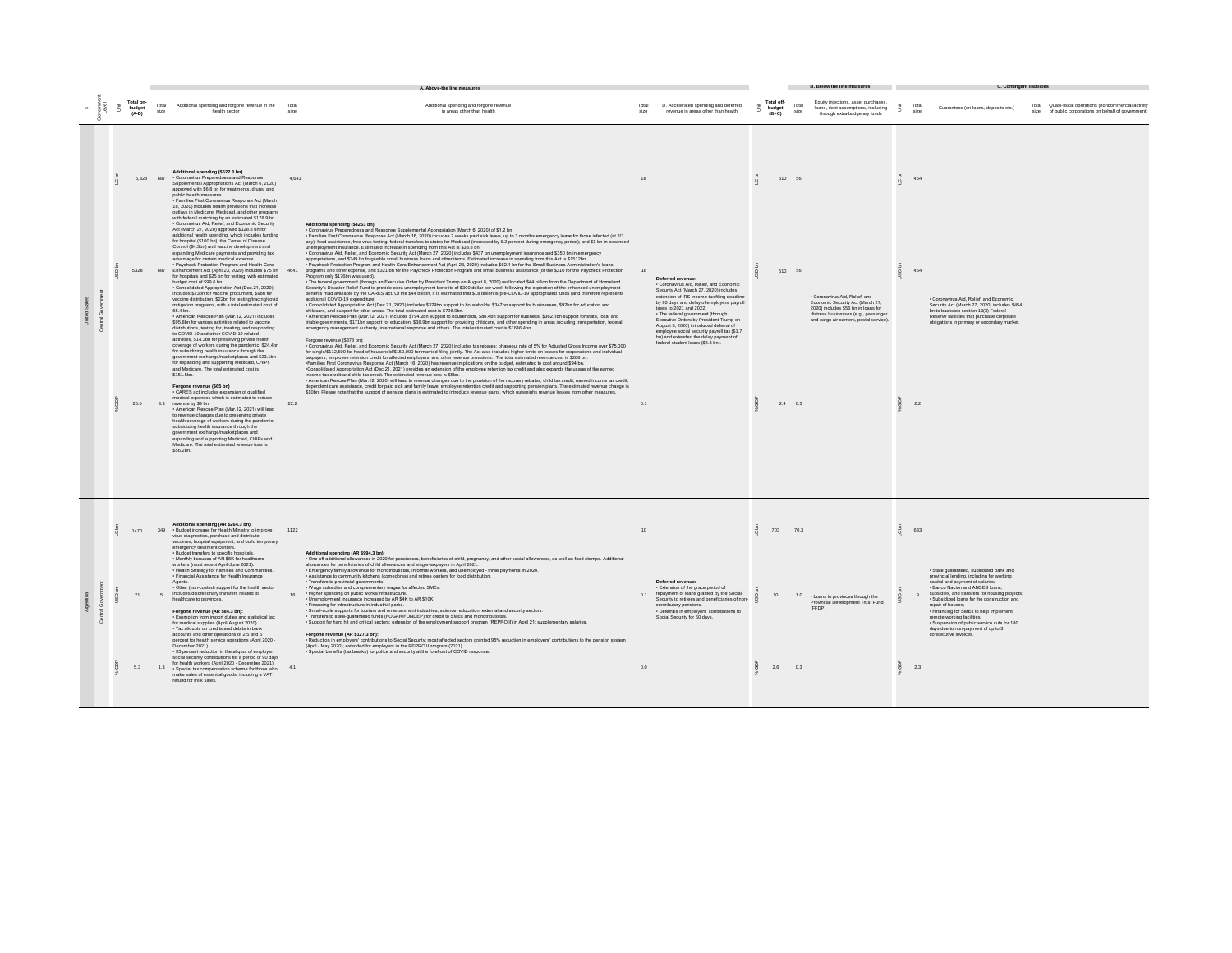|  |   |                                |               |                                                                                                                                                                                                                                                                                                                                                                                                                                                                                                                                                                                                                                                                                                                                                                                                                                                                                                                                                                                                                                                                                                                                                                                                                                                                             |       | A. Above-the line measures                                                                                                                                                                                                                                                                                                                                                                                                                                                                                                                                                                                                                                                                                                                                                                                                                                                                                                                                                                                                                                                                                                                                                                                                                                                                                                                                                                                                                                                                                                                                                                                                                                                                                                                                                                                                                                                                                                                                                                                                                                                                                                                                                                                                                                                                                                                                                                                                                                                                                                                                                                                                                                                                                                                                                                                                                                                                                                                                                                                                                                                                                                                                                                                                                                                                                                                                                                                  |               |                                                                                                                                                                                                                                                                                                                                                                                                                                                                                      |   |                                 |               |                                                                                                                                                                                               |      |               |                                                                                                                                                                                                                                                                                                                                                                                                                                                                      |                                                                                                               |  |
|--|---|--------------------------------|---------------|-----------------------------------------------------------------------------------------------------------------------------------------------------------------------------------------------------------------------------------------------------------------------------------------------------------------------------------------------------------------------------------------------------------------------------------------------------------------------------------------------------------------------------------------------------------------------------------------------------------------------------------------------------------------------------------------------------------------------------------------------------------------------------------------------------------------------------------------------------------------------------------------------------------------------------------------------------------------------------------------------------------------------------------------------------------------------------------------------------------------------------------------------------------------------------------------------------------------------------------------------------------------------------|-------|-------------------------------------------------------------------------------------------------------------------------------------------------------------------------------------------------------------------------------------------------------------------------------------------------------------------------------------------------------------------------------------------------------------------------------------------------------------------------------------------------------------------------------------------------------------------------------------------------------------------------------------------------------------------------------------------------------------------------------------------------------------------------------------------------------------------------------------------------------------------------------------------------------------------------------------------------------------------------------------------------------------------------------------------------------------------------------------------------------------------------------------------------------------------------------------------------------------------------------------------------------------------------------------------------------------------------------------------------------------------------------------------------------------------------------------------------------------------------------------------------------------------------------------------------------------------------------------------------------------------------------------------------------------------------------------------------------------------------------------------------------------------------------------------------------------------------------------------------------------------------------------------------------------------------------------------------------------------------------------------------------------------------------------------------------------------------------------------------------------------------------------------------------------------------------------------------------------------------------------------------------------------------------------------------------------------------------------------------------------------------------------------------------------------------------------------------------------------------------------------------------------------------------------------------------------------------------------------------------------------------------------------------------------------------------------------------------------------------------------------------------------------------------------------------------------------------------------------------------------------------------------------------------------------------------------------------------------------------------------------------------------------------------------------------------------------------------------------------------------------------------------------------------------------------------------------------------------------------------------------------------------------------------------------------------------------------------------------------------------------------------------------------------------|---------------|--------------------------------------------------------------------------------------------------------------------------------------------------------------------------------------------------------------------------------------------------------------------------------------------------------------------------------------------------------------------------------------------------------------------------------------------------------------------------------------|---|---------------------------------|---------------|-----------------------------------------------------------------------------------------------------------------------------------------------------------------------------------------------|------|---------------|----------------------------------------------------------------------------------------------------------------------------------------------------------------------------------------------------------------------------------------------------------------------------------------------------------------------------------------------------------------------------------------------------------------------------------------------------------------------|---------------------------------------------------------------------------------------------------------------|--|
|  | ŝ | Total on-<br>budget<br>$(A-D)$ | Total<br>size | Additional spending and forgone revenue in the Total<br>health sector                                                                                                                                                                                                                                                                                                                                                                                                                                                                                                                                                                                                                                                                                                                                                                                                                                                                                                                                                                                                                                                                                                                                                                                                       | size  | Additional spending and forgone revenue<br>in areas other than health                                                                                                                                                                                                                                                                                                                                                                                                                                                                                                                                                                                                                                                                                                                                                                                                                                                                                                                                                                                                                                                                                                                                                                                                                                                                                                                                                                                                                                                                                                                                                                                                                                                                                                                                                                                                                                                                                                                                                                                                                                                                                                                                                                                                                                                                                                                                                                                                                                                                                                                                                                                                                                                                                                                                                                                                                                                                                                                                                                                                                                                                                                                                                                                                                                                                                                                                       | Total<br>size | D. Accelerated spending and deferred<br>revenue in areas other than health                                                                                                                                                                                                                                                                                                                                                                                                           |   | Total off-<br>budget<br>$(B+C)$ | Total<br>size | Equity injections, asset purchases.<br>loans, debt assumptions, including<br>through extra-budgetary funds                                                                                    |      | Total<br>size | Guarantees (on loans, deposits etc.)                                                                                                                                                                                                                                                                                                                                                                                                                                 | Total Quasi-fiscal operations (noncommercial activity<br>size of public corporations on behalf of government) |  |
|  |   |                                | 5.328 687     | Additional spending (\$622.3 bn)<br>· Coronavirus Preparedness and Response<br>Sunnlemental Appropriations Act (March 6, 2020).<br>approved with \$6.8 bn for treatments, drugs, and<br>public health measures.<br>- Families First Coronavirus Response Act (March<br>18, 2020) includes health provisions that increase<br>outlays in Medicare. Medicaid, and other programs<br>with federal matching by an estimated \$178.9 bn<br>· Coronavirus Aid, Relief, and Economic Security                                                                                                                                                                                                                                                                                                                                                                                                                                                                                                                                                                                                                                                                                                                                                                                      | 4.641 | Additional spending (\$4263 bn):                                                                                                                                                                                                                                                                                                                                                                                                                                                                                                                                                                                                                                                                                                                                                                                                                                                                                                                                                                                                                                                                                                                                                                                                                                                                                                                                                                                                                                                                                                                                                                                                                                                                                                                                                                                                                                                                                                                                                                                                                                                                                                                                                                                                                                                                                                                                                                                                                                                                                                                                                                                                                                                                                                                                                                                                                                                                                                                                                                                                                                                                                                                                                                                                                                                                                                                                                                            | 18            |                                                                                                                                                                                                                                                                                                                                                                                                                                                                                      |   | 510 56                          |               |                                                                                                                                                                                               |      | 454           |                                                                                                                                                                                                                                                                                                                                                                                                                                                                      |                                                                                                               |  |
|  |   | 5328                           |               | Act (March 27, 2020) approved \$128.8 bn for<br>additional health spending, which includes funding<br>for hospital (\$100 bn), the Center of Disease<br>Control (\$4.3bn) and vaccine development and<br>expanding Medicare payments and providing tax<br>advantage for certain medical expense.<br>· Paycheck Protection Program and Health Care<br>687 Enhancement Act (April 23, 2020) includes \$75 bn 4641<br>for hospitals and \$25 bn for testing, with estimated<br>budget cost of \$99.6 bn.<br>· Consolidated Appropriation Act (Dec.21, 2020)<br>includes \$23bn for vaccine procument, \$9bn for<br>vaccine distribution, \$22bn for testing/tracing/covid<br>mitigation programs, with a total estimated cost of<br>65.4 bn.<br>· American Rescue Plan (Mar. 12, 2021) includes<br>\$95.8bn for various activities related to vaccine<br>distributions, testing for, treating, and responding<br>to COVID-19 and other COVID-19 related<br>activities, \$14.3bn for preserving private health<br>coverage of workers during the pandemic, \$24.4bn<br>for subsidizing health insurance through the<br>government exchange/marketplaces and \$23.1bn<br>for expanding and supporting Medicaid. CHIPs<br>and Medicare. The total estimated cost is<br>\$151.5bn. |       | · Coronavirus Preparedness and Response Supplemental Appropriation (March 6, 2020) of \$1.2 bn.<br>· Families First Coronavirus Response Act (March 16, 2020) includes 2 weeks paid sick leave, up to 3 months emergency leave for those infected (at 2/3<br>pay), food assistance, free virus testing; federal transfers to states for Medicaid (increased by 6.2 percent during emergency period); and \$1 bn in expanded<br>unemployment insurance. Estimated increase in spending from this Act is \$38.8 bn.<br>- Coronavirus Aid, Relief, and Economic Security Act (March 27, 2020) includes \$437 bn unemployment insurance and \$350 bn in emergency<br>appropriations, and \$349 bn forgivable small business loans and other items. Estimated increase in spending from this Act is \$1512bn.<br>- Paycheck Protection Program and Health Care Enhancement Act (April 23, 2020) includes \$62.1 bn for the Small Business Administration's loans<br>programs and other expense, and \$321 bn for the Paycheck Protection Program and small business assistance (of the \$310 for the Paycheck Protection<br>Program only \$176bn was used).<br>- The federal government (through an Executive Order by President Trump on August 8, 2020) reallocated \$44 billion from the Department of Homeland<br>Security's Disaster Relief Fund to provide extra unemployment benefits of \$300 dollar per week following the expiration of the enhanced unemployment<br>benefits mad available by the CARES act. Of the \$44 billion, it is estimated that \$18 billion is pre-COVID-19 appropriated funds (and therefore represents<br>additional COVID-19 expenditure)<br>· Consolidated Appropriation Act (Dec 21, 2020) includes \$329bn support to households, \$347bn support for businesses, \$92bn for education and<br>childcare, and support for other areas. The total estimated cost is \$796.9bn.<br>- American Rescue Plan (Mar. 12, 2021) includes \$794.2bn support to households, \$86.4bn support for business, \$362.1bn support for state, local and<br>triable governments, \$171bn support for education, \$38.9bn support for providing childcare, and other spending in areas including transportation, federal<br>emergency management authority, international response and others. The total estimated cost is \$1646.4bn.<br>Forgone revenue (\$378 bn):<br>. Coronavirus Aid, Relief, and Economic Security Act (March 27, 2020) includes tax rebates: phaseout rate of 5% for Adjusted Gross Income over \$75,000<br>for single/\$112,500 for head of household/\$150,000 for married filing jointly. The Act also includes higher limits on losses for corporations and individual<br>taxpayers, employee retention credit for affected employers, and other revenue provisions. The total estimated revenue cost is \$288 bn.<br>Families First Coronavirus Response Act (March 16, 2020) has revenue implications on the budget, estimated to cost around \$94 bn.<br>-Consolidated Appropriation Act (Dec.21, 2021) provides an extension of the employee retention tax credit and also expands the usage of the earned<br>income tax credit and child tax credit. The estimated revenue loss is \$5bn.<br>- American Rescue Plan (Mar.12, 2020) will lead to revenue changes due to the provision of the recovery rebates, child tax credit, earned income tax credit, | 18            | Deferred revenue<br>· Coronavirus Aid, Relief, and Economic<br>Security Act (March 27, 2020) includes<br>extension of IRS income tax filing deadline<br>by 90 days and delay of employers' payroll<br>taxes to 2021 and 2022.<br>· The federal government (through<br>Executive Orders by President Trump on<br>August 8, 2020) introduced deferral of<br>employee social security payroll tax (\$1.7)<br>bn) and extended the delay payment of<br>federal student loans (\$4.3 bn). |   | 510 56                          |               | · Coronavirus Aid, Relief, and<br>Economic Security Act (March 27,<br>2020) includes \$56 bn in loans for<br>distress businesses (e.g., passenger<br>and cargo air carriers, postal service). |      | 454           | · Coronavirus Aid, Relief, and Economic<br>Security Act (March 27, 2020) includes \$454<br>bn to backstop section 13(3) Federal<br>Reserve facilities that purchase corporate<br>obligations in primary or secondary market.                                                                                                                                                                                                                                         |                                                                                                               |  |
|  |   | 25.5                           |               | Forgone revenue (\$65 bn)<br>· CARES act includes expansion of qualified<br>medical expenses which is estimated to reduce<br>3.3 revenue by \$9 bn.<br>- American Rescue Plan (Mar. 12, 2021) will lead<br>to revenue changes due to preserving private<br>health coverage of workers during the pandemic<br>subsidizing health insurance through the<br>government exchange/marketplaces and<br>expanding and supporting Medicaid, CHIPs and<br>Medicare. The total estimated revenue loss is<br>\$56.2hn                                                                                                                                                                                                                                                                                                                                                                                                                                                                                                                                                                                                                                                                                                                                                                  | 222   | dependent care assistance, credit for paid sick and family leave, employee retention credit and supporting pension plans. The estimated revenue change is<br>\$10bn. Please note that the support of pension plans is estimated to introduce revenue gains, which outweighs revenue losses from other measures.                                                                                                                                                                                                                                                                                                                                                                                                                                                                                                                                                                                                                                                                                                                                                                                                                                                                                                                                                                                                                                                                                                                                                                                                                                                                                                                                                                                                                                                                                                                                                                                                                                                                                                                                                                                                                                                                                                                                                                                                                                                                                                                                                                                                                                                                                                                                                                                                                                                                                                                                                                                                                                                                                                                                                                                                                                                                                                                                                                                                                                                                                             | 0.1           |                                                                                                                                                                                                                                                                                                                                                                                                                                                                                      |   | $2.4$ 0.3                       |               |                                                                                                                                                                                               | 흤    | 2.2           |                                                                                                                                                                                                                                                                                                                                                                                                                                                                      |                                                                                                               |  |
|  |   | 1470                           | 349           | Additional spending (AR \$264.3 bn):<br>· Budget increase for Health Ministry to improve<br>virus diagnostics, purchase and distribute<br>vaccines, hospital equipment, and build temporary<br>emergency treatment centers.<br>· Budget transfers to specific hospitals.<br>Monthly bonuses of AR \$5K for healthcare<br>workers (most recent April-June 2021).                                                                                                                                                                                                                                                                                                                                                                                                                                                                                                                                                                                                                                                                                                                                                                                                                                                                                                             | 1122  | Additional spending (AR \$994.3 bn):<br>- One-off additional allowances in 2020 for pensioners, beneficiaries of child, pregnancy, and other social allowances, as well as food stamps. Additional<br>allowances for beneficiaries of child allowances and single-taxpayers in April 2021.                                                                                                                                                                                                                                                                                                                                                                                                                                                                                                                                                                                                                                                                                                                                                                                                                                                                                                                                                                                                                                                                                                                                                                                                                                                                                                                                                                                                                                                                                                                                                                                                                                                                                                                                                                                                                                                                                                                                                                                                                                                                                                                                                                                                                                                                                                                                                                                                                                                                                                                                                                                                                                                                                                                                                                                                                                                                                                                                                                                                                                                                                                                  | 10            |                                                                                                                                                                                                                                                                                                                                                                                                                                                                                      | δ | 703 70.3                        |               |                                                                                                                                                                                               | C bn | 633           |                                                                                                                                                                                                                                                                                                                                                                                                                                                                      |                                                                                                               |  |
|  |   | 21                             |               | · Health Strategy for Families and Communities.<br>· Financial Assistance for Health Insurance<br>Agents.<br>• Other (non-costed) support for the health sector<br>includes discretionary transfers related to<br>healthcare to provinces.<br>Forgone revenue (AR \$84.3 bn):<br>· Exemption from import duties and statistical tax<br>for medical supplies (April-August 2020)<br>Tax aliquots on credits and debits in bank<br>accounts and other operations of 2.5 and 5                                                                                                                                                                                                                                                                                                                                                                                                                                                                                                                                                                                                                                                                                                                                                                                                 |       | · Emergency family allowance for monotributistas, informal workers, and unemployed - three payments in 2020<br>· Assistance to community kitchens (comedores) and retiree centers for food distribution.<br>- Transfers to provincial governments.<br>- Wage subsidies and complementary wages for affected SMEs.<br>· Higher spending on public works/infrastructure.<br>- Unemployment insurance increased by AR \$4K to AR \$10K.<br>· Financing for infrastructure in industrial parks.<br>· Small-scale supports for tourism and entertainment industries, science, education, external and security sectors.<br>· Transfers to state-guaranteed funds (FOGAR/FONDEP) for credit to SMEs and monotributistas.<br>- Support for hard hit and critical sectors: extension of the employment support program (REPRO II) in April 21; supplementary salaries.<br>Forgone revenue (AR \$127.3 bn):                                                                                                                                                                                                                                                                                                                                                                                                                                                                                                                                                                                                                                                                                                                                                                                                                                                                                                                                                                                                                                                                                                                                                                                                                                                                                                                                                                                                                                                                                                                                                                                                                                                                                                                                                                                                                                                                                                                                                                                                                                                                                                                                                                                                                                                                                                                                                                                                                                                                                                          |               | Deferred revenue<br>· Extension of the grace period of<br>repayment of loans granted by the Social<br>Security to retirees and beneficiaries of non-<br>contributory pensions.<br>· Deferrals in employers' contributions to<br>Social Security for 60 days.                                                                                                                                                                                                                         |   |                                 |               | 1.0 - Loans to provinces through the<br>Provincial Development Trust Fund<br>(FFDP)                                                                                                           |      |               | · State guaranteed, subsidized bank and<br>provincial lending, including for working<br>capital and payment of salaries;<br>. Banco Nación and ANSES Ioans<br>subsidies, and transfers for housing projects:<br>Subsidized loans for the construction and<br>repair of houses;<br>• Financing for SMEs to help implement<br>remote working facilities:<br>· Suspension of public service cuts for 180<br>days due to non-payment of up to 3<br>consecutive invoices. |                                                                                                               |  |
|  |   | 5.3                            | 1.3           | percent for health service operations (April 2020 -<br>December 2021)<br>· 95 percent reduction in the aliquot of employer<br>social security contributions for a period of 90 days<br>for health workers (April 2020 - December 2021).<br>· Special tax compensation scheme for those who<br>make sales of essential goods, including a VAT<br>refund for milk sales                                                                                                                                                                                                                                                                                                                                                                                                                                                                                                                                                                                                                                                                                                                                                                                                                                                                                                       | 4.1   | - Reduction in employers' contributions to Social Security: most affected sectors granted 95% reduction in employers' contributions to the pension system<br>(April - May 2020): extended for employers in the REPRO II program (2021).<br>- Special benefits (tax breaks) for police and security at the forefront of COVID response.                                                                                                                                                                                                                                                                                                                                                                                                                                                                                                                                                                                                                                                                                                                                                                                                                                                                                                                                                                                                                                                                                                                                                                                                                                                                                                                                                                                                                                                                                                                                                                                                                                                                                                                                                                                                                                                                                                                                                                                                                                                                                                                                                                                                                                                                                                                                                                                                                                                                                                                                                                                                                                                                                                                                                                                                                                                                                                                                                                                                                                                                      | 0.0           |                                                                                                                                                                                                                                                                                                                                                                                                                                                                                      |   | 2.6 0.3                         |               |                                                                                                                                                                                               | 흤    | 2.3           |                                                                                                                                                                                                                                                                                                                                                                                                                                                                      |                                                                                                               |  |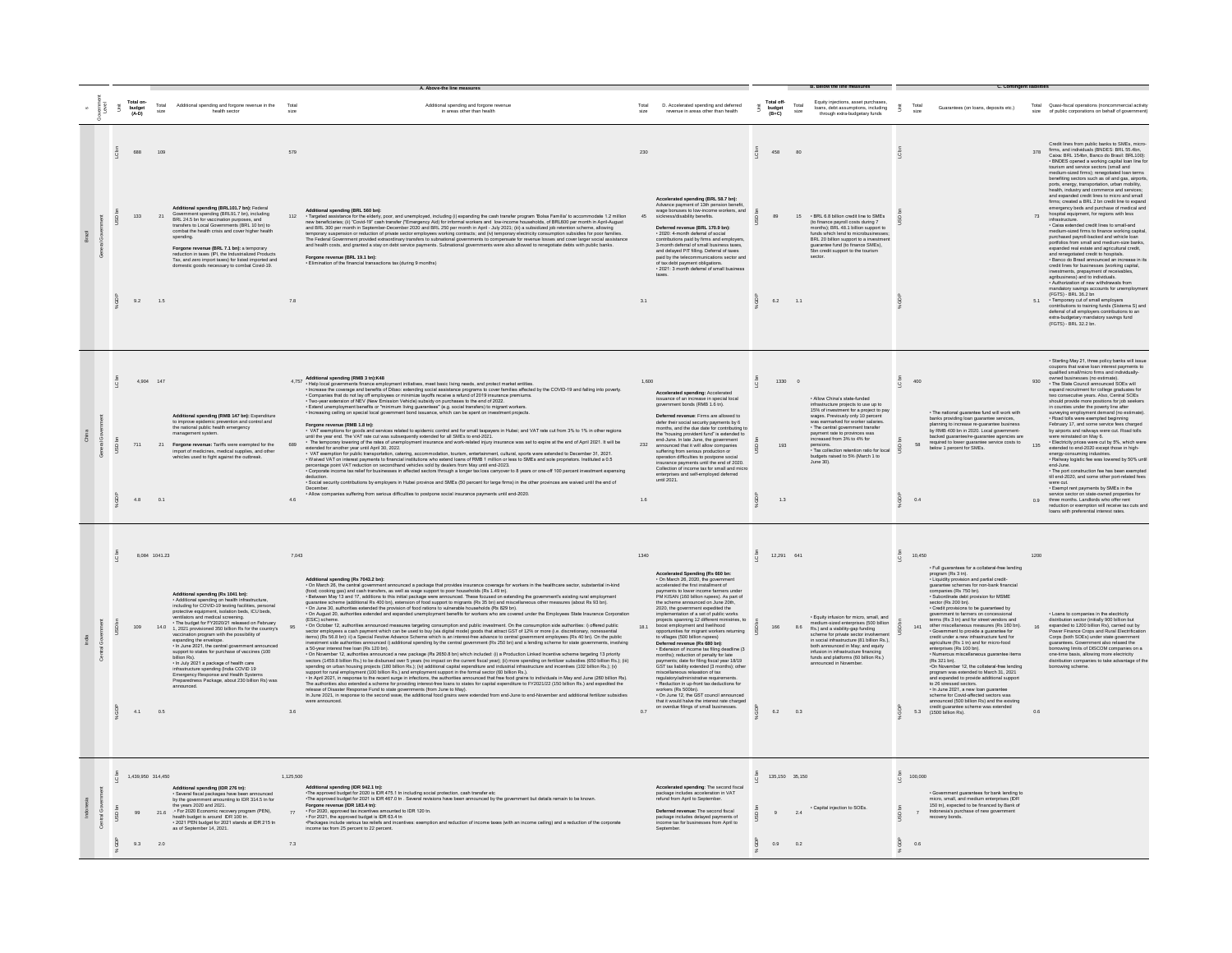|            |                     |                                |                              |                                                                                                                                                                                                                                                                                                                                                                                                                                                                                                                                                                                                                                                                                                                  |                        |                                                                                                                                                                                                                                                                                                                                                                                                                                                                                                                                                                                                                                                                                                                                                                                                                                                                                                                                                                                                                                                                                                                                                                                                                                                                                                                                                                                                                 |                     |                                                                                                                                                                                                                                                                                                                                                                                                                                                                                                                                                                                                                                                                                                                                                                                                                                                                                                                                                                                                                                                                             |                      |                               |               | <b>B. Below the line measures</b>                                                                                                                                                                                                                                                                                                                                                                          |                 | C. Contingent liabilitie                                                                                                                                                                                                                                                                                                                                                                                                                                                                                                                                                                                                                                                                                                                                                                                                                                                                                                                                                                                                                                                                                                                          |                       |                                                                                                                                                                                                                                                                                                                                                                                                                                                                                                                                                                                                                                                                                                                                                                                                                                                                                                                                                                                                                                                                                                                                                                                                                                                                                                                                                                                                                                                                                                                        |
|------------|---------------------|--------------------------------|------------------------------|------------------------------------------------------------------------------------------------------------------------------------------------------------------------------------------------------------------------------------------------------------------------------------------------------------------------------------------------------------------------------------------------------------------------------------------------------------------------------------------------------------------------------------------------------------------------------------------------------------------------------------------------------------------------------------------------------------------|------------------------|-----------------------------------------------------------------------------------------------------------------------------------------------------------------------------------------------------------------------------------------------------------------------------------------------------------------------------------------------------------------------------------------------------------------------------------------------------------------------------------------------------------------------------------------------------------------------------------------------------------------------------------------------------------------------------------------------------------------------------------------------------------------------------------------------------------------------------------------------------------------------------------------------------------------------------------------------------------------------------------------------------------------------------------------------------------------------------------------------------------------------------------------------------------------------------------------------------------------------------------------------------------------------------------------------------------------------------------------------------------------------------------------------------------------|---------------------|-----------------------------------------------------------------------------------------------------------------------------------------------------------------------------------------------------------------------------------------------------------------------------------------------------------------------------------------------------------------------------------------------------------------------------------------------------------------------------------------------------------------------------------------------------------------------------------------------------------------------------------------------------------------------------------------------------------------------------------------------------------------------------------------------------------------------------------------------------------------------------------------------------------------------------------------------------------------------------------------------------------------------------------------------------------------------------|----------------------|-------------------------------|---------------|------------------------------------------------------------------------------------------------------------------------------------------------------------------------------------------------------------------------------------------------------------------------------------------------------------------------------------------------------------------------------------------------------------|-----------------|---------------------------------------------------------------------------------------------------------------------------------------------------------------------------------------------------------------------------------------------------------------------------------------------------------------------------------------------------------------------------------------------------------------------------------------------------------------------------------------------------------------------------------------------------------------------------------------------------------------------------------------------------------------------------------------------------------------------------------------------------------------------------------------------------------------------------------------------------------------------------------------------------------------------------------------------------------------------------------------------------------------------------------------------------------------------------------------------------------------------------------------------------|-----------------------|------------------------------------------------------------------------------------------------------------------------------------------------------------------------------------------------------------------------------------------------------------------------------------------------------------------------------------------------------------------------------------------------------------------------------------------------------------------------------------------------------------------------------------------------------------------------------------------------------------------------------------------------------------------------------------------------------------------------------------------------------------------------------------------------------------------------------------------------------------------------------------------------------------------------------------------------------------------------------------------------------------------------------------------------------------------------------------------------------------------------------------------------------------------------------------------------------------------------------------------------------------------------------------------------------------------------------------------------------------------------------------------------------------------------------------------------------------------------------------------------------------------------|
|            |                     | Total on-<br>budget<br>(A-D)   | Total                        | Additional spending and forgone revenue in the<br>health sector                                                                                                                                                                                                                                                                                                                                                                                                                                                                                                                                                                                                                                                  | Total                  | Additional spending and forgone revenue<br>in areas other than health                                                                                                                                                                                                                                                                                                                                                                                                                                                                                                                                                                                                                                                                                                                                                                                                                                                                                                                                                                                                                                                                                                                                                                                                                                                                                                                                           |                     | D. Accelerated spending and deferred<br>revenue in areas other than health                                                                                                                                                                                                                                                                                                                                                                                                                                                                                                                                                                                                                                                                                                                                                                                                                                                                                                                                                                                                  | Ã.                   | Total off-<br>budget<br>(B+C) | Total<br>size | Equity injections, asset purchase<br>Equity injections, asset purchases,<br>loans, debt assumptions, including<br>through extra-budgetary funds                                                                                                                                                                                                                                                            | š               | Guarantees (on loans, deposits etc.)                                                                                                                                                                                                                                                                                                                                                                                                                                                                                                                                                                                                                                                                                                                                                                                                                                                                                                                                                                                                                                                                                                              |                       | Total Quasi-fiscal operations (noncommercial activity<br>size of public corporations on behalf of government)                                                                                                                                                                                                                                                                                                                                                                                                                                                                                                                                                                                                                                                                                                                                                                                                                                                                                                                                                                                                                                                                                                                                                                                                                                                                                                                                                                                                          |
|            |                     | 688<br>133<br>9.2              | 109<br>21<br>1.5             | Additional spending (BRL101.7 bn): Federal<br>Government spending (BRL91.7 bn), including<br>BRL 24.5 bn for vaccination purposes, and<br>transfers to Local Governments (BRL 10 bn) to<br>combat the health crisis and cover higher health<br>spending.<br>Forgone revenue (BRL 7.1 bn): a temporary<br>reduction in taxes (IPI, the Industrialized Products<br>Tax, and zero import taxes) for listed imported and<br>domestic goods necessary to combat Covid-19.                                                                                                                                                                                                                                             | 579<br>112<br>7.8      | Additional speeding (BRL 560 be);<br>- Targeted assistance for the elderly poor, and unemployed, including (i) expanding the cash handler program Tokisa Familia' to accommodate 1.2 million<br>new beneficiates; (ii) Cond-19 Cash<br>and health costs, and granted a stay on debt service payments. Subnational governments were also allowed to renegotiate debts with public banks.<br>Forgone revenue (BRL 19.1 bn):<br>• Elimination of the financial transactions tax (during 9 months)                                                                                                                                                                                                                                                                                                                                                                                                                                                                                                                                                                                                                                                                                                                                                                                                                                                                                                                  | 230<br>45<br>3.1    | Accelerated spending (BRL 58.7 bn):<br>Advance payment of 13th pension benefi<br>wage bonuses to low-income workers, and<br>sickness/disability benefits.<br>Deferred revenue (BRL 170.9 bn):<br>· 2020: 4-month deferral of social<br>contributions paid by firms and employers.<br>3-month deferral of small business taxes<br>and delayed PIT filling. Deferral of taxes<br>paid by the telecommunications sector and<br>of tax debt payment obligations.<br>- 2021: 3 month deferral of small business                                                                                                                                                                                                                                                                                                                                                                                                                                                                                                                                                                  | C <sub>bn</sub><br>ă | 458<br>89<br>6.2              | 1.1           | 15 . BRL 6.8 billion credit line to SMEs<br>(to finance payroll costs during 7<br>months); BRL 48.1 billion support to<br>funds which lend to microbusinesses<br>BRL 20 billion support to a investment<br>quarantee fund (to finance SMEs),<br>5bn credit support to the tourism<br>sector                                                                                                                | C <sub>bn</sub> |                                                                                                                                                                                                                                                                                                                                                                                                                                                                                                                                                                                                                                                                                                                                                                                                                                                                                                                                                                                                                                                                                                                                                   | 73<br>5.1             | Credit lines from public banks to SMEs, micro-<br>firms, and individuals (BNDES: BRL 55.4bn,<br>Caixa: BRL 154bn, Banco do Brasil: BRL100):<br>UNDES opened a working capital loan line for<br>tourism and service sectors (small and<br>tourism and service sectors (small and<br>medium-sized firms); renegotiated loan terms<br>benefiting sectors such as oil and gas, airports,<br>ports, energy, transportation, urban mobility,<br>health, industry and commerce and services:<br>and expanded credit lines to micro and small<br>firms; created a BRL 2 bn credit line to expand<br>emergency beds and purchase of medical and<br>hospital equipment, for regions with less<br>infrastructure.<br>- Caixa extended credit lines to small-and<br>medium-sized firms to finance working capital,<br>nuclear and payoff-backed and wehicle loan<br>prothisised payoff-backed and wehicle loan<br>protfolios from small and medium-size banks,<br>expanded real estate and approximator<br>and renegotiated credit to hospitals.<br>Banco do Brasil<br>credit lines for businesses (working capital,<br>investments, prepayment of receivables,<br>agribusiness) and to individuals.<br>• Authorization of new withdrawals from<br>mandatory savings accounts for unemploymen<br>(FGTS) - BRL 36.2 bn<br>- Temporary cut of small employers<br>contributions to training funds (Sistema S) and<br>deferral of all employers contributions to an<br>extra-budgetary mandatory savings fund<br>(FGTS) - BRL 32.2 bn. |
| $\epsilon$ |                     | 711<br>4.8                     | 4,904 147<br>0.1             | Additional spending (RMB 147 bn): Expenditure<br>to improve epidemic prevention and control and<br>the national public health emergency<br>21 Forgone revenue: Tariffs were exempted for the<br>import of medicines, medical supplies, and other<br>cles used to fight against the outbreak.                                                                                                                                                                                                                                                                                                                                                                                                                     | 689<br>4.6             | 4.757 Additional speeding (PMB 3 thi) KS-10 and the basic living needs, and protect market entities.<br>* Hotel post gradient for the state of Disco elements for the state of programs to come families affected by<br>* Provide<br>Forgone revenue (RMB 1.8 tn):<br>or Microsoft and Contract and Services related to epidemic control and for small taxpayers in Hubei; and VAT rate cut from 3% to 1% in other regions<br>until the year end. The VAT rate cut was subsequently extended for all SM<br>The temporary lowering of the rates of unemployment insurance and work-related injury insurance was set to expire at the end of April 2021. It will be<br>extended for another year until April 30, 2022.<br>CALACTE entre la formation de la marital de la maritalista de la maritalista en la marital de la marital de la<br>- Vivi exemplion la public transportation, calering, accommodation, burism, entertainment, cultural, sports we<br><br>- Corporate income tax relief for businesses in affected sectors through a longer tax loss carryover to 8 years or one-off 100 percent investment expensing<br>Concidence the contributions by employers in Hubei province and SMEs (50 percent for large firms) in the other provinces are waived until the end of<br>December.<br>. Allow companies suffering from serious difficulties to postpone social insurance payments until end-2020. | 1,600<br>232<br>1.6 | Accelerated spending: Accelerated<br>issuance of an increase in special local<br>government bonds (RMB 1.6 tn).<br>Deferred revenue: Firms are allowed to<br>defer their social security payments by 6<br>months, and the due date for contributing<br>the Tho<br>ent fund" is extended to<br>the "housing provident tund" is extended<br>end-June. In late June, the government<br>announced that it will allow companies<br>suffering from serious production or<br>operation difficulties to postpone social<br>insurance payments until the end of 2020.<br>Collection of income tax for small and micro<br>enterprises and self-employed deferred<br>intil 2021                                                                                                                                                                                                                                                                                                                                                                                                        | ă                    | 1330<br>193<br>1.3            |               | · Allow China's state-funded<br>infrastructure projects to use up to<br>15% of investment for a project to pay<br>wages. Previously only 10 percent<br>was earmarked for worker salaries.<br>- The central government transfer<br>payment rate to provinces was<br>increased from 3% to 4% for<br>pensions.<br>• Tax collection retention ratio for local<br>budgets raised to 5% (March 1 to<br>June 30). | c in<br>ā       | 400<br>- The national guarantee fund will work with<br>banks providing loan guarantee services,<br>planning to increase re-guarantee business<br>planning to interesse regulariante business<br>backed guarantee/re-guarantee agencies are<br>required to lower guarantee service costs to<br>below 1 percent for SMEs.<br>58<br>0.4                                                                                                                                                                                                                                                                                                                                                                                                                                                                                                                                                                                                                                                                                                                                                                                                              | 930<br>135            | · Starting May 21, three policy banks will issue<br>coupons that waive loan interest payments to<br>qualified small/micro firms and individually-<br>owned businesses (no estimate).<br>The State Council announced SOEs will<br>expand recruitment for college graduates for<br>two consecutive years. Also, Central SOEs<br>should provide more positions for job seekers<br>in counties under the poverty line after<br>surveying employment demand (no estimate).<br>- Road tolls were exempted beginning<br>February 17, and some service fees charged<br>repruary 17, and summer service rees under<br>the by airports and railways were cut. Road tolls<br>were reinstated on May 6.<br>- Electricity prices were cut by 5%, which were<br>edended to end-2020 except those in high-<br>energy-consuming industries.<br>- Railway logistic fee was lowered by 50% until<br>end-June.<br>The port construction fee has been exempted<br>till end-2020, and some other port-related fees<br>vere cut.<br>- Exempt rent payments by SMEs in the<br>service sector on state-owned properties for<br>0.9 three months. Landlords who offer rent<br>reduction or exemption will receive tax cuts and<br>loans with preferential interest rates.                                                                                                                                                                                                                                                                       |
|            |                     | 109<br>4.1                     | 8,084 1041.23<br>14.0<br>0.6 | Additional spending (Rs 1041 bn):<br>• Additional spending on health infrastructure,<br>including for COVID-19 testing facilities, persons<br>protective equipment, isolation beds, ICU beds,<br>periodical screening.<br>The budget for FY2020/21 released on February<br>1, 2021 provisioned 350 billion Rs for the country's<br>vaccination program with the possibility of<br>expanding the envelope.<br>. In June 2021, the central government announced<br>support to states for purchase of vaccines (100<br>billion Rs)<br>. In July 2021 a package of health car<br>infrastructure spending (India COVID 19<br>Emergency Response and Health Systems<br>Preparedness Package, about 230 billion Rs) was | 7,043<br>3.6           | Additional spending (Rs 7043.2 bn):<br>• On March 26, the central government announced a package that provides insurance coverage for workers in the healthcare sector, substantial in-kind<br>(lood; cooking gas) and cash transfer<br>- Between May 13 and 17, additions to the initial package were amounted. These focused on detections the state man and the man of the man of the man of the man of the man of the man of the man of the man of the man of the<br>(ESIC) scheme<br>- On clober 12, autorities amounced measures tapeling consumption and public investment. On the consumption aids autorities in the section of the section of the section of the section of the section of the section of the s<br>a 50-year interest free loan (Rs 120 bn).<br>o On Nowmbert 7. authorities amounted a new package (Rs 2850.8 bn) which included: (i) a Production Linked Incentive scheme targeting 13 priority<br>sectors (449.8 billion Rs.) to be disbused over 5 years (no impact on the cu<br>lion Rs.); (iii)<br>spendig on undan hosing popes (los unan Key, joy assinuar appar beperation sin mouths in mass curve and notines (luc biliom Rs.), types apport for runs entity and application in the state of the state of the state of the s<br>were announced.                                                                                                                             | 1340<br>18.1<br>0.7 | <b>Accelerated Spending (Rs 660 bn</b><br>- On March 26, 2020, the governm<br>accelerated the first installment of<br>payments to lower income farmers under<br>PM KISAN (160 billion rupees). As part of<br>the scheme announced on June 20th,<br>2020, the government expedited the<br>implementation of a set of public works<br>projects spanning 12 different ministries, to<br>boost employment and livelihood<br>opportunities for migrant workers returning<br>to villages (500 billion rupees)<br>Deferred revenue (Rs 680 bn):<br>· Extension of income tax filing deadline (3<br>Patements); reduction of penalty for late<br>payments; date for filing fiscal year 18/19<br>payments; date for filing fiscal year 18/19<br>GST tax liability extended (3 months); other<br>miscellaneous relaxation of tax<br>regulatory/administrative requirements.<br>- Reduction in up-front tax deductions for<br>workers (Rs 500bn).<br>On June 12, the GST council announced<br>that it would halve the interest rate charged<br>on overdue filings of small businesses. | 亮                    | 12,291 641<br>6.2 0.3         |               | · Equity infusion for micro, small, and<br>medium-sized enterprises (500 billion<br>Rs.) and a viability-gap funding<br>scheme for private sector involvement<br>in social infrastructure (81 billion Rs.),<br>both announced in May; and equity<br>infusion in infrastructure financino<br>funds and platforms (60 billion Rs.)<br>announced in November.                                                 |                 | 10,450<br>· Full guarantees for a collateral-free lending<br>Program (Rs 3 tn).<br>Liquidity provision and partial credit-<br>guarantee schemes for non-bank financial<br>companies (Rs 750 bn).<br>- Subordinate debt provision for MSME<br>sector (Rs 200 bn).<br>- Credit provisions to be guaranteed by<br>government to farmers on concessional<br>terms (Rs 3 tn) and for street vendors and<br>other miscellaneous measures (Rs 160 bn).<br>141<br>- Government to provide a guarantee for<br>credit under a new infrastructure fund for<br>agriculture (Rs 1 tn) and for micro-food<br>enterprises (Rs 100 bn).<br>• Numerous miscellaneous guarantee items<br>(Rs 321 bn).<br>Construction of the collaborative leading<br>-On November 12, the collaboral-free lending<br>on<br>structuration of the product of the property and expanded to March 31,<br>2021<br>and expanded to provide additional support<br>to 26 stressed sectors.<br>The June 2021, a new loan guarantee<br>scheme for Covid-affected sectors was<br>announced (500 billion Rs) and the existing<br>redit guarantee scheme was extended<br>5.3 (1500 billion Rs). | 1200<br>$16\,$<br>0.6 | - Loans to companies in the electricity<br>distribution sector (initially 900 billion but<br>expanded to 1200 billion Rs), carried out by<br>Power Finance Crops and Rural Electrificatio<br>Corps (both SOEs) under state government<br>guarantees. Government also relaxed the<br>borrowing limits of DISCOM companies on a<br>contrating similar or concomposition completed on the contract of the contract distribution companies to take advantage of the borrowing scheme.                                                                                                                                                                                                                                                                                                                                                                                                                                                                                                                                                                                                                                                                                                                                                                                                                                                                                                                                                                                                                                      |
|            | $\overline{Q}$<br>ă | 1,439,950 314,450<br>99<br>9.3 | 21.6<br>2.0                  | Additional spending (IDR 276 tn):<br>- Several fiscal packages have been<br>by the government amounting to IDR 314.5 tn for<br>the years 2020 and 2021.<br>are years a set and a set of the covery program (PEN),<br>health budget is around IDR 100 tn.<br>2021 PEN budget for 2021 stands at IDR 215 tn<br>as of September 14, 2021.                                                                                                                                                                                                                                                                                                                                                                           | 1 125 500<br>77<br>7.3 | Additional spending (IDR 942.1 tn):<br>- The approved budge for 2020 is IDR 475.1 In including social protection, cash transfer etc<br>- The approved budget for 2021 is IDR 467.0 in . Several revisions have been announced by the<br>Forgoin evening (DR 1834 m):<br>- For 2021, as approved tax incensives amounted to DR 120 th.<br>- For 2021, as approved tax incensives amounted to DR 120 th.<br>- Packages include verious lax reliefs and incentives: exemption and<br>income tax from 25 percent to 22 percent.                                                                                                                                                                                                                                                                                                                                                                                                                                                                                                                                                                                                                                                                                                                                                                                                                                                                                     |                     | $\textbf{Accepted spending:} \textbf{The second fiscal package includes acceleration in } \textsf{VAT} \\$<br>refund from April to September.<br>Deferred revenue: The second fiscal<br>particle in eventue. The second histant<br>package includes delayed payments of<br>income tax for businesses from April to<br>Sentember                                                                                                                                                                                                                                                                                                                                                                                                                                                                                                                                                                                                                                                                                                                                             | ă                    | 135.150 35.150<br>9<br>0.9    | 2.4<br>0.2    | · Capital injection to SOEs.                                                                                                                                                                                                                                                                                                                                                                               | LC br<br>å      | 100,000<br>· Government guarantees for bank lending to<br>micro, small, and medium enterprises (IDR<br>150 tn), expected to be financed by Bank of<br>Indonesia's purchase of new government<br>recovery bonds.<br>$\overline{\mathbf{r}}$<br>0.6                                                                                                                                                                                                                                                                                                                                                                                                                                                                                                                                                                                                                                                                                                                                                                                                                                                                                                 |                       |                                                                                                                                                                                                                                                                                                                                                                                                                                                                                                                                                                                                                                                                                                                                                                                                                                                                                                                                                                                                                                                                                                                                                                                                                                                                                                                                                                                                                                                                                                                        |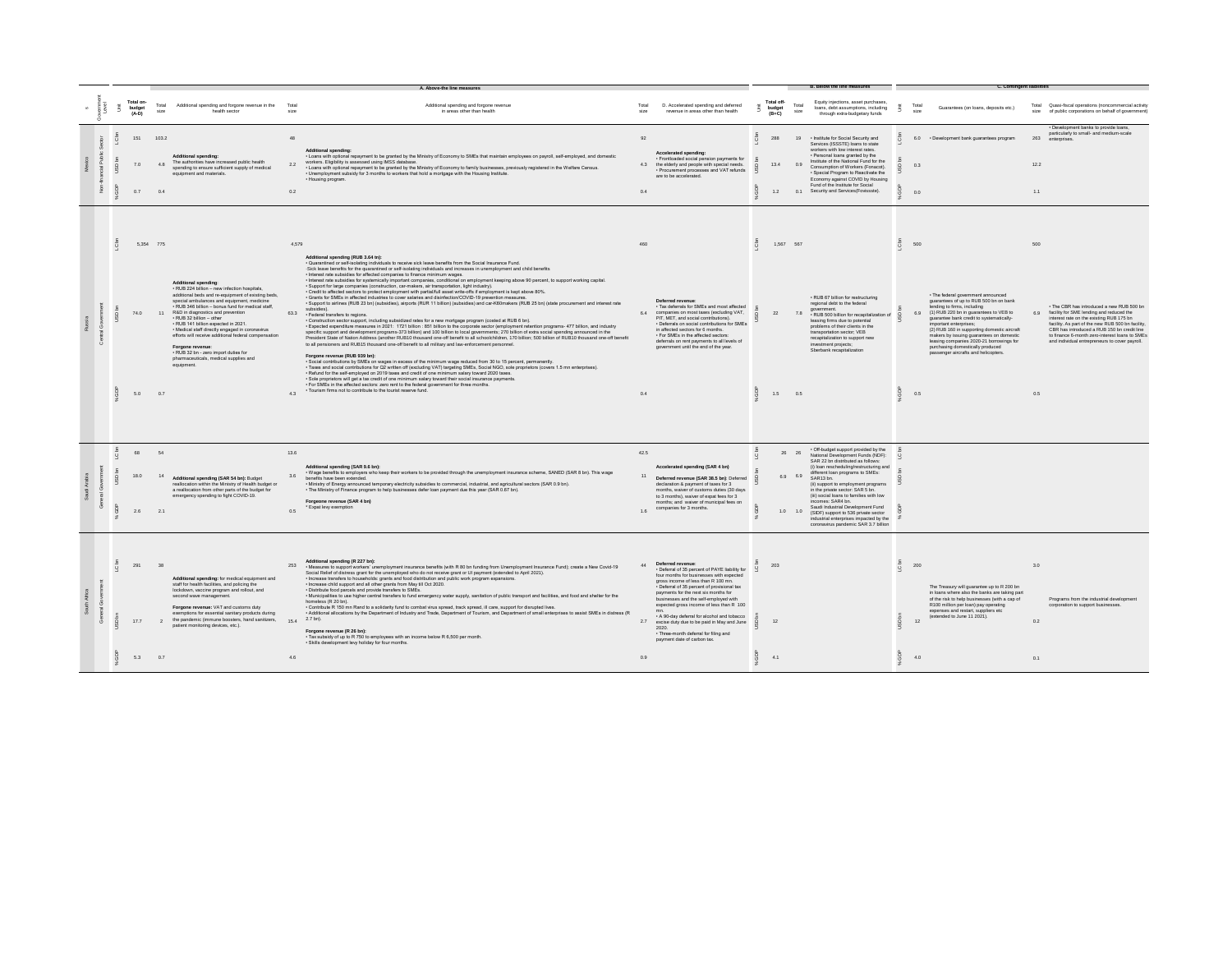|  |                                |                        |                                                                                                                                                                                                                                                                                                                                                                                                                                                                                                                                                                          |                     | A. Above-the line measures                                                                                                                                                                                                                                                                                                                                                                                                                                                                                                                                                                                                                                                                                                                                                                                                                                                                                                                                                                                                                                                                                                                                                                                                                                                                                                                                                                                                                                                                                                                                                                                                                                                                                                                                                                                                                                                                                                                                                                                                                                                                                                                                                                                                                                                                                                                                                                                                                |               |                                                                                                                                                                                                                                                                                                                                                                                                                                                                                                              |                                 |                                 |                                                                                                                                                                                                                                                                                                                                                                                                                                                                                                                      |                                           | C. Contingent lia                                                                                                                                                                                                                                                                                                                                                                                                                                                  |                    |                                                                                                                                                                                                                                                                                                                                           |
|--|--------------------------------|------------------------|--------------------------------------------------------------------------------------------------------------------------------------------------------------------------------------------------------------------------------------------------------------------------------------------------------------------------------------------------------------------------------------------------------------------------------------------------------------------------------------------------------------------------------------------------------------------------|---------------------|-------------------------------------------------------------------------------------------------------------------------------------------------------------------------------------------------------------------------------------------------------------------------------------------------------------------------------------------------------------------------------------------------------------------------------------------------------------------------------------------------------------------------------------------------------------------------------------------------------------------------------------------------------------------------------------------------------------------------------------------------------------------------------------------------------------------------------------------------------------------------------------------------------------------------------------------------------------------------------------------------------------------------------------------------------------------------------------------------------------------------------------------------------------------------------------------------------------------------------------------------------------------------------------------------------------------------------------------------------------------------------------------------------------------------------------------------------------------------------------------------------------------------------------------------------------------------------------------------------------------------------------------------------------------------------------------------------------------------------------------------------------------------------------------------------------------------------------------------------------------------------------------------------------------------------------------------------------------------------------------------------------------------------------------------------------------------------------------------------------------------------------------------------------------------------------------------------------------------------------------------------------------------------------------------------------------------------------------------------------------------------------------------------------------------------------------|---------------|--------------------------------------------------------------------------------------------------------------------------------------------------------------------------------------------------------------------------------------------------------------------------------------------------------------------------------------------------------------------------------------------------------------------------------------------------------------------------------------------------------------|---------------------------------|---------------------------------|----------------------------------------------------------------------------------------------------------------------------------------------------------------------------------------------------------------------------------------------------------------------------------------------------------------------------------------------------------------------------------------------------------------------------------------------------------------------------------------------------------------------|-------------------------------------------|--------------------------------------------------------------------------------------------------------------------------------------------------------------------------------------------------------------------------------------------------------------------------------------------------------------------------------------------------------------------------------------------------------------------------------------------------------------------|--------------------|-------------------------------------------------------------------------------------------------------------------------------------------------------------------------------------------------------------------------------------------------------------------------------------------------------------------------------------------|
|  | Total on-<br>budget<br>$(A-D)$ | Total<br>SIZA          | Additional spending and forcone revenue in the<br>health sector                                                                                                                                                                                                                                                                                                                                                                                                                                                                                                          | Tota<br>size        | Additional spending and forgone revenue<br>in areas other than health                                                                                                                                                                                                                                                                                                                                                                                                                                                                                                                                                                                                                                                                                                                                                                                                                                                                                                                                                                                                                                                                                                                                                                                                                                                                                                                                                                                                                                                                                                                                                                                                                                                                                                                                                                                                                                                                                                                                                                                                                                                                                                                                                                                                                                                                                                                                                                     | Total<br>size | D. Accelerated spending and deferred<br>revenue in areas other than health                                                                                                                                                                                                                                                                                                                                                                                                                                   | Total off-<br>budget<br>$(B+C)$ | Total<br>size.                  | Equity injections, asset purchases,<br>loans, debt assumptions, including<br>through extra-budgetary funds                                                                                                                                                                                                                                                                                                                                                                                                           |                                           | Total<br>Guarantees (on loans, deposits etc.)<br>size                                                                                                                                                                                                                                                                                                                                                                                                              |                    | Total Quasi-fiscal operations (noncommercial activity<br>size of public corporations on behalf of government)                                                                                                                                                                                                                             |
|  | 151<br>7.0<br>0.7              | 103.2<br>4.8<br>0.4    | <b>Additional spending:</b><br>The authorities have increased public health<br>spending to ensure sufficient supply of medical<br>equipment and materials.                                                                                                                                                                                                                                                                                                                                                                                                               | 48<br>2.2<br>0.2    | <b>Additional spending</b><br>- Loans with optional repayment to be granted by the Ministry of Economy to SMEs that maintain employees on payroll, self-employed, and domestic<br>workers. Eligibility is assessed using IMSS database.<br>. Loans with optional repayment to be granted by the Ministry of Economy to family businesses, previously registered in the Welfare Census.<br>. Unemployment subsidy for 3 months to workers that hold a mortgage with the Housing Institute.<br>. Housing program.                                                                                                                                                                                                                                                                                                                                                                                                                                                                                                                                                                                                                                                                                                                                                                                                                                                                                                                                                                                                                                                                                                                                                                                                                                                                                                                                                                                                                                                                                                                                                                                                                                                                                                                                                                                                                                                                                                                           | 92<br>0.4     | Accelerated spending:<br>· Frontloaded social pension payments for<br>4.3 the elderly and people with special needs.<br>· Procurement processes and VAT refunds<br>are to be accelerated.                                                                                                                                                                                                                                                                                                                    | <b>288</b><br>13.4<br>1.2       | 19<br>0.9                       | . Institute for Social Security and<br>Services (ISSSTE) loans to state<br>workers with low interest rates.<br>· Personal loans granted by the<br>Institute of the National Fund for the<br>Consumption of Workers (Fonacot).<br>· Special Program to Reactivate the<br>Economy against COVID by Housing<br>Fund of the Institute for Social<br>0.1 Security and Services(Fovissste).                                                                                                                                |                                           | 6.0 • Development bank quarantees program<br>0.3<br>0.0                                                                                                                                                                                                                                                                                                                                                                                                            | 263<br>12.2<br>1.1 | · Development banks to provide loans,<br>particularly to small- and medium-scale<br>enterprises.                                                                                                                                                                                                                                          |
|  | 74.0<br>5.0                    | 5,354 775<br>11<br>0.7 | <b>Additional spending:</b><br>· RUB 224 billion - new infection hospitals<br>additional beds and re-equipment of existing beds,<br>special ambulances and equipment, medicine<br>· RUB 346 billion - bonus fund for medical staff,<br>R&D in diagnostics and prevention<br>· RUB 32 billion - other<br>· RUB 141 billion expected in 2021.<br>· Medical staff directly engaged in coronavirus<br>efforts will receive additional federal compensation<br>Forgone revenue<br>. RUB 32 bn - zero import duties for<br>pharmaceuticals, medical supplies and<br>equipment. | 4.579<br>63.3<br>43 | Additional spending (RUB 3.64 tn):<br>- Quarantined or self-isolating individuals to receive sick leave benefits from the Social Insurance Fund.<br>-Sick leave benefits for the quarantined or self-isolating individuals and increases in unemployment and child benefits<br>· Interest rate subsidies for affected companies to finance minimum wages.<br>· Interest rate subsidies for systemically important companies, conditional on employment keeping above 90 percent, to support working capital<br>· Support for large companies (construction, car-makers, air transportation, li<br>- Credit to affected sectors to protect employment with partial/full asset write-offs if employment is kept above 80%.<br>· Grants for SMEs in affected industries to cover salaries and disinfection/COVID-19 prevention measures.<br>· Support to airlines (RUB 23 bn) (subsidies), airports (RUR 11 billion) (subsidies) and car-K60makers (RUB 25 bn) (state procurement and interest rate<br>subsidies).<br>· Federal transfers to regions.<br>· Construction sector support, including subsidized rates for a new mortgage program (costed at RUB 6 bn).<br>- Expected expenditure measures in 2021: 1721 billion : 851 billion to the corporate sector (employment retention programs- 477 billion, and industry<br>specific support and development programs-373 billion) and 100 billion to local governments; 270 billion of extra social spending announced in the<br>President State of Nation Address (another RUB10 thousand one-off benefit to all schoolchildren, 170 billion; 500 billion of RUB10 thousand one-off benefit<br>to all pensioners and RUB15 thousand one-off benefit to all military and law-enforcement personnel.<br>Forgone revenue (RUB 939 bn):<br>- Social contributions by SMEs on wages in excess of the minimum wage reduced from 30 to 15 percent, permanently.<br>- Taxes and social contributions for Q2 written off (excluding VAT) targeting SMEs, Social NGO, sole proprietors (covers 1.5 mn enterprises).<br>. Refund for the self-employed on 2019 taxes and credit of one minimum salary toward 2020 taxes.<br>· Sole proprietors will get a tax credit of one minimum salary toward their social insurance payments.<br>· For SMEs in the affected sectors: zero rent to the federal government for three months.<br>· Tourism firms not to contribute to the tourist reserve fund. | 6.4<br>0.4    | Deferred revenue<br>· Tax deferrals for SMEs and most affected<br>companies on most taxes (excluding VAT,<br>PIT, MET, and social contributions).<br>· Deferrals on social contributions for SMEs<br>in affected sectors for 6 months.<br>· For SMEs in the affected sectors:<br>deferrals on rent payments to all levels of<br>government until the end of the year.                                                                                                                                        | 1.567 567<br>22<br>1.5          | 0.5                             | · RUB 67 billion for restructuring<br>regional debt to the federal<br>7.8 . RUB 500 billion for recapitalization of<br>leasing firms due to potential<br>problems of their clients in the<br>transportation sector: VEB<br>recapitalization to support new<br>investment projects:<br>Sberbank recapitalization                                                                                                                                                                                                      | <b>S</b><br>$\overline{Q}$<br>8           | 500<br>· The federal government announced<br>guarantees of up to RUB 500 bn on bank<br>lending to firms, including<br>(1) RUB 220 bn in guarantees to VEB to<br>6.9<br>guarantee bank credit to systematically-<br>mportant enterprises;<br>(2) RUB 160 in supporting domestic aircraft<br>makers by issuing guarantees on domestic<br>leasing companies 2020-21 borrowings for<br>purchasing domestically produced<br>passenger aircrafts and helicopters.<br>0.5 | 500<br>6.9<br>0.5  | . The CBR has introduced a new RUB 500 bn<br>facility for SME lending and reduced the<br>interest rate on the existing RUB 175 bn<br>facility. As part of the new RUB 500 bn facility,<br>CBR has introduced a RUB 150 bn credit line<br>to finance 6-month zero-interest loans to SMEs<br>and individual entrepreneurs to cover payroll. |
|  | 68<br>18.0<br>2.6              | 54<br>14<br>2.1        | Additional spending (SAR 54 bn): Budget<br>reallocation within the Ministry of Health budget or<br>a reallocation from other parts of the budget for<br>emergency spending to fight COVID-19.                                                                                                                                                                                                                                                                                                                                                                            | 13.6<br>3.6<br>0.5  | Additional spending (SAR 9.6 bn):<br>. Wage benefits to employers who keep their workers to be provided through the unemployment insurance scheme, SANED (SAR 8 bn). This wage<br>benefits have been extended.<br>- Ministry of Energy announced temporary electricity subsidies to commercial, industrial, and agricultural sectors (SAR 0.9 bn).<br>. The Ministry of Finance program to help businesses defer loan payment due this year (SAR 0.67 bn).<br>Forgeone revenue (SAR 4 bn)<br>* Expat levy exemption                                                                                                                                                                                                                                                                                                                                                                                                                                                                                                                                                                                                                                                                                                                                                                                                                                                                                                                                                                                                                                                                                                                                                                                                                                                                                                                                                                                                                                                                                                                                                                                                                                                                                                                                                                                                                                                                                                                       | 42.5<br>1.6   | Accelerated spending (SAR 4 bn)<br>Deferred revenue (SAR 38.5 bn): Deferred<br>declaration & payment of taxes for 3<br>months, waiver of customs duties (30 days<br>to 3 months), waiver of expat fees for 3<br>months; and waiver of municipal fees on<br>companies for 3 months.                                                                                                                                                                                                                           |                                 | 26 26<br>6.9 6.9<br>$1.0$ $1.0$ | . Off-budget support provided by the<br>National Development Funds (NDF):<br>SAR 22 bn distributed as follows:<br>(i) loan rescheduling/restructuring and<br>different loan programs to SMEs:<br>SAR13 bn.<br>(ii) support to employment programs<br>in the private sector: SAR 5 bn.<br>(iii) social loans to families with low<br>incomes: SAR4 bn.<br>Saudi Industrial Development Fund<br>(SIDF) support to 536 private sector<br>industrial enterprises impacted by the<br>coronavirus pandemic SAR 3.7 billion |                                           |                                                                                                                                                                                                                                                                                                                                                                                                                                                                    |                    |                                                                                                                                                                                                                                                                                                                                           |
|  | 291<br>17.7<br>5.3             | $\overline{2}$<br>0.7  | Additional spending: for medical equipment and<br>staff for health facilities, and policing the<br>lockdown, vaccine program and rollout, and<br>second wave management.<br>Forgone revenue: VAT and customs duty<br>exemptions for essential sanitary products during<br>the pandemic (immune boosters, hand sanitizers,<br>patient monitoring devices, etc.).                                                                                                                                                                                                          | 15.4<br>4.6         | Additional spending (R 227 bn):<br>- Measures to support workers' unemployment insurance benefits (with R 80 bn funding from Unemployment Insurance Fund); create a New Covid-19<br>Social Relief of distress grant for the unemployed who do not receive grant or UI payment (extended to April 2021).<br>• Increase transfers to households: grants and food distribution and public work program expansions.<br>. Increase child support and all other grants from May till Oct 2020.<br>. Distribute food parcels and provide transfers to SMEs.<br>- Municipalities to use higher central transfers to fund emergency water supply, sanitation of public transport and facilities, and food and shelter for the<br>homeless (R 20 bn).<br>- Contribute R 150 mn Rand to a solidarity fund to combat virus spread, track spread, ill care, support for disrupted lives.<br>- Additional allocations by the Department of Industry and Trade, Department of Tourism, and Department of small enterprises to assist SMEs in distress (R<br>2.7 bn).<br>Forgone revenue (R 26 bn):<br>- Tax subsidy of up to R 750 to employees with an income below R 6,500 per month.<br>· Skills development levy holiday for four months.                                                                                                                                                                                                                                                                                                                                                                                                                                                                                                                                                                                                                                                                                                                                                                                                                                                                                                                                                                                                                                                                                                                                                                                                            | 2.7<br>0.9    | Deferred revenue:<br>Deferral of 35 percent of PAYE liability for<br>four months for businesses with expected<br>gross income of less than R 100 mn.<br>· Deferral of 35 percent of provisional tax<br>payments for the next six months for<br>businesses and the self-employed with<br>expected gross income of less than R 100<br>. A 90-day deferral for alcohol and tobacco<br>excise duty due to be paid in May and June<br>2020<br>· Three-month deferral for filing and<br>payment date of carbon tax | 203<br>12<br>4.1                |                                 |                                                                                                                                                                                                                                                                                                                                                                                                                                                                                                                      | <b>S</b><br>$\overline{\circ}$<br>$\circ$ | 200<br>The Treasury will guarantee up to R 200 bn<br>in loans where also the banks are taking part<br>of the risk to help businesses (with a cap of<br>R100 million per loan) pay operating<br>expenses and restart, suppliers etc<br>(extended to June 11 2021).<br>12<br>4.0                                                                                                                                                                                     | 3.0<br>0.2<br>0.1  | Programs from the industrial development<br>corporation to support businesses.                                                                                                                                                                                                                                                            |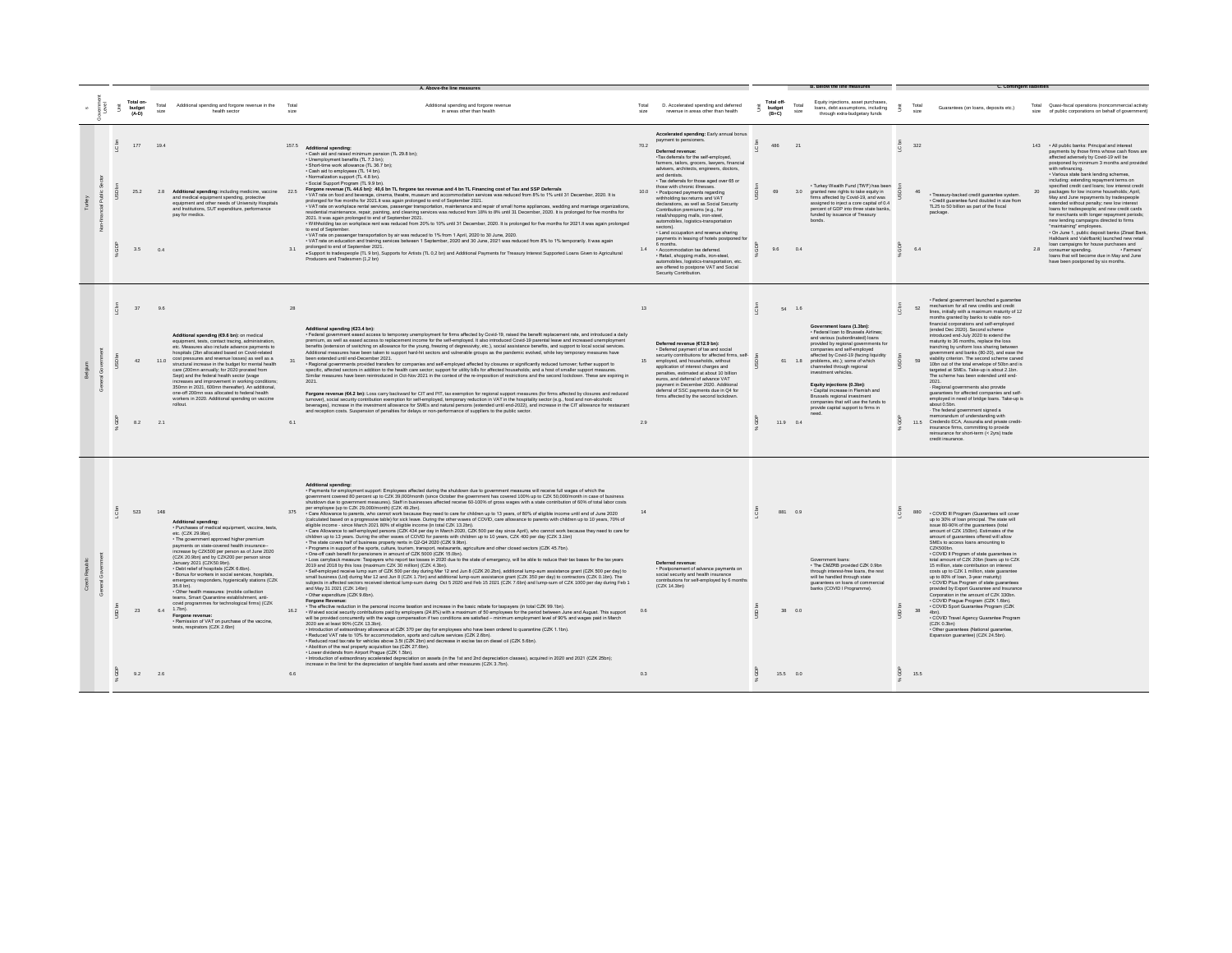|  |                 |                                |                   |                                                                                                                                                                                                                                                                                                                                                                                                                                                                                                                                                                                                                                                                                                                                                                       |               | A. Above-the line measures                                                                                                                                                                                                                                                                                                                                                                                                                                                                                                                                                                                                                                                                                                                                                                                                                                                                                                                                                                                                                                                                                                                                                                                                                                                                                                                                                                                                                                                                                                                                                                                                                                                                                                                                                                                                                                                                                                                                                                                                                                                                                                                                                                                                                                                                                                                                                                                                                                                                                                                                                                                                                                                                                                                                                                                                                                                                                                                                                                                                                                                                                                                                                                                                                                                                                                                                                                                                                                                                     |                  |                                                                                                                                                                                                                                                                                                                                                                                                                                                                                                                                                                                                                                                                                                                                                                                                                                                                                         |                               |                              |                                                                                                                                                                                                                                                                                                                                                                                                                                                                                                               |                                                                                                                                                                                                                                                                                                                                                                                                                                                                                                                                                                                                                                                                                                                                                                                                                                                                                                                                                                                                                                                         |  |                                                                                                                                                                                                                                                                                                                                                                                                                                                                                                                                                                                                                                                                                                                                                                                                                                                                                                                                      |
|--|-----------------|--------------------------------|-------------------|-----------------------------------------------------------------------------------------------------------------------------------------------------------------------------------------------------------------------------------------------------------------------------------------------------------------------------------------------------------------------------------------------------------------------------------------------------------------------------------------------------------------------------------------------------------------------------------------------------------------------------------------------------------------------------------------------------------------------------------------------------------------------|---------------|------------------------------------------------------------------------------------------------------------------------------------------------------------------------------------------------------------------------------------------------------------------------------------------------------------------------------------------------------------------------------------------------------------------------------------------------------------------------------------------------------------------------------------------------------------------------------------------------------------------------------------------------------------------------------------------------------------------------------------------------------------------------------------------------------------------------------------------------------------------------------------------------------------------------------------------------------------------------------------------------------------------------------------------------------------------------------------------------------------------------------------------------------------------------------------------------------------------------------------------------------------------------------------------------------------------------------------------------------------------------------------------------------------------------------------------------------------------------------------------------------------------------------------------------------------------------------------------------------------------------------------------------------------------------------------------------------------------------------------------------------------------------------------------------------------------------------------------------------------------------------------------------------------------------------------------------------------------------------------------------------------------------------------------------------------------------------------------------------------------------------------------------------------------------------------------------------------------------------------------------------------------------------------------------------------------------------------------------------------------------------------------------------------------------------------------------------------------------------------------------------------------------------------------------------------------------------------------------------------------------------------------------------------------------------------------------------------------------------------------------------------------------------------------------------------------------------------------------------------------------------------------------------------------------------------------------------------------------------------------------------------------------------------------------------------------------------------------------------------------------------------------------------------------------------------------------------------------------------------------------------------------------------------------------------------------------------------------------------------------------------------------------------------------------------------------------------------------------------------------------|------------------|-----------------------------------------------------------------------------------------------------------------------------------------------------------------------------------------------------------------------------------------------------------------------------------------------------------------------------------------------------------------------------------------------------------------------------------------------------------------------------------------------------------------------------------------------------------------------------------------------------------------------------------------------------------------------------------------------------------------------------------------------------------------------------------------------------------------------------------------------------------------------------------------|-------------------------------|------------------------------|---------------------------------------------------------------------------------------------------------------------------------------------------------------------------------------------------------------------------------------------------------------------------------------------------------------------------------------------------------------------------------------------------------------------------------------------------------------------------------------------------------------|---------------------------------------------------------------------------------------------------------------------------------------------------------------------------------------------------------------------------------------------------------------------------------------------------------------------------------------------------------------------------------------------------------------------------------------------------------------------------------------------------------------------------------------------------------------------------------------------------------------------------------------------------------------------------------------------------------------------------------------------------------------------------------------------------------------------------------------------------------------------------------------------------------------------------------------------------------------------------------------------------------------------------------------------------------|--|--------------------------------------------------------------------------------------------------------------------------------------------------------------------------------------------------------------------------------------------------------------------------------------------------------------------------------------------------------------------------------------------------------------------------------------------------------------------------------------------------------------------------------------------------------------------------------------------------------------------------------------------------------------------------------------------------------------------------------------------------------------------------------------------------------------------------------------------------------------------------------------------------------------------------------------|
|  |                 | Total on-<br>budget<br>$(A-D)$ | Total<br>size     | Additional spending and forgone revenue in the<br>health sector                                                                                                                                                                                                                                                                                                                                                                                                                                                                                                                                                                                                                                                                                                       | Total<br>size | Additional spending and forgone revenue<br>in areas other than health                                                                                                                                                                                                                                                                                                                                                                                                                                                                                                                                                                                                                                                                                                                                                                                                                                                                                                                                                                                                                                                                                                                                                                                                                                                                                                                                                                                                                                                                                                                                                                                                                                                                                                                                                                                                                                                                                                                                                                                                                                                                                                                                                                                                                                                                                                                                                                                                                                                                                                                                                                                                                                                                                                                                                                                                                                                                                                                                                                                                                                                                                                                                                                                                                                                                                                                                                                                                                          | Total<br>size    | D. Accelerated spending and deferred<br>revenue in areas other than health                                                                                                                                                                                                                                                                                                                                                                                                                                                                                                                                                                                                                                                                                                                                                                                                              | Total off-<br>budget<br>(B+C) | Total<br>size                | Equity injections, asset purchases.<br>loans, debt assumptions, including<br>through extra-budgetary funds                                                                                                                                                                                                                                                                                                                                                                                                    | Tota<br>Guarantees (on loans, deposits etc.)<br>size                                                                                                                                                                                                                                                                                                                                                                                                                                                                                                                                                                                                                                                                                                                                                                                                                                                                                                                                                                                                    |  | Total Quasi-fiscal operations (noncommercial activity<br>size of public corporations on behalf of government                                                                                                                                                                                                                                                                                                                                                                                                                                                                                                                                                                                                                                                                                                                                                                                                                         |
|  |                 | 177<br>25.2<br>3.5             | 19.4<br>0.4       | 2.8 Additional spending: including medicine, vaccine 22.5<br>and medical equipment spending, protective<br>equipment and other needs of University Hospitals<br>and Institutions, SUT expenditure, performance<br>pay for medics.                                                                                                                                                                                                                                                                                                                                                                                                                                                                                                                                     | 31            | $157.5$ Additional spending:<br>· Cash aid and raised minimum pension (TL 29.8 bn);<br>· Unemployment benefits (TL 7.3 bn);<br>· Short-time work allowance (TL 36.7 bn)<br>· Cash aid to employees (TL 14 bn).<br>. Normalization support (TL 4.8 bn).<br>· Social Support Program (TL 9.9 bn)<br>Forgone revenue (TL 44.6 bn): 40,6 bn TL forgone tax revenue and 4 bn TL Financing cost of Tax and SSP Deferrals<br>- VAT rate on food and beverage, cinema, theatre, museum and accommodation services was reduced from 8% to 1% until 31 December, 2020. It is<br>prolonged for five months for 2021. It was again prolonged to end of September 2021.<br>- VAT rate on workplace rental services, passenger transportation, maintenance and repair of small home appliances, wedding and marriage organizations,<br>residential maintenance, repair, painting, and cleaning services was reduced from 18% to 8% until 31 December, 2020. It is prolonged for five months for<br>2021. It was again prolonged to end of September 2021.<br>. Withholding tax on workplace rent was reduced from 20% to 10% until 31 December, 2020. It is prolonged for five months for 2021.It was again prolonged<br>to end of September<br>- VAT rate on passenger transportation by air was reduced to 1% from 1 April, 2020 to 30 June, 2020.<br>- VAT rate on education and training services between 1 September, 2020 and 30 June, 2021 was reduced from 8% to 1% temporarily. It was again<br>prolonged to end of September 2021.<br>· Support to tradespeople (TL 9 bn), Supports for Artists (TL 0,2 bn) and Additional Payments for Treasury Interest Supported Loans Given to Agricultural<br>Producers and Tradesmen (1,2 bn)                                                                                                                                                                                                                                                                                                                                                                                                                                                                                                                                                                                                                                                                                                                                                                                                                                                                                                                                                                                                                                                                                                                                                                                                                                                                                                                                                                                                                                                                                                                                                                                                                                                                                                                                                                | 70.2             | Accelerated spending: Early annual bonus<br>payment to pensioners.<br>Deferred revenue:<br>-Tax deferrals for the self-employed<br>farmers, tailors, grocers, lawyers, financial<br>advisers, architects, engineers, doctors,<br>and dentists<br>· Tax deferrals for those aged over 65 or<br>those with chronic illnesses.<br>10.0 • Postponed payments regarding<br>withholding tax returns and VAT<br>declarations, as well as Social Security<br>Contribution premiums (e.g., for<br>retail/shopping malls, iron-steel.<br>automobiles, logistics-transportation<br>sectors).<br>· Land occupation and revenue sharing<br>payments in leasing of hotels postponed for<br>6 months.<br>1.4 • Accommodation tax deferred.<br>· Retail, shopping malls, iron-steel.<br>automobiles, logistics-transportation, etc.<br>are offered to postpone VAT and Social<br>Security Contribution. | 486<br>69<br>9.6              | $\mathfrak{D}$<br>3.0<br>0.4 | · Turkey Wealth Fund (TWF) has been<br>granted new rights to take equity in<br>firms affected by Covid-19, and was<br>assigned to inject a core capital of 0.4<br>percent of GDP into three state banks<br>funded by issuance of Treasury                                                                                                                                                                                                                                                                     | 322<br>· Treasury-backed credit guarantee system.<br>· Credit guarantee fund doubled in size from<br>TL25 to 50 billion as part of the fiscal<br>package.<br>6.4                                                                                                                                                                                                                                                                                                                                                                                                                                                                                                                                                                                                                                                                                                                                                                                                                                                                                        |  | 143 . All public banks: Principal and interest<br>payments by those firms whose cash flows are<br>affected adversely by Covid-19 will be<br>postponed by minimum 3 months and provided<br>with refinancing.<br>· Various state bank lending schemes,<br>including: extending repayment terms on<br>specified credit card loans; low interest credit<br>packages for low income households; April,<br>May and June repayments by tradespeople<br>extended without penalty: new low interest<br>loans for tradespeople: and new credit cards.<br>for merchants with longer repayment periods<br>new lending campaigns directed to firms<br>"maintaining" employees.<br>· On June 1, public deposit banks (Ziraat Bank,<br>Halkbank and Vakifbank) launched new retail<br>loan campaigns for house purchases and<br>2.8 consumer spending. Farmers'<br>loans that will become due in May and June<br>have been postponed by six months. |
|  |                 | 37<br>42<br>8.2                | 96<br>2.1         | Additional spending (€9.6 bn): on medical<br>equipment, tests, contact tracing, administration,<br>etc. Measures also include advance nayments to<br>hospitals (2bn allocated based on Covid-related<br>11.0 cost pressures and revenue losses) as well as a<br>structural increase in the budget for mental health<br>care (200mn annually; for 2020 prorated from<br>Sept) and the federal health sector (wage<br>increases and improvement in working conditions<br>350mn in 2021. 600mn thereafter). An additional<br>one-off 200mn was allocated to federal health<br>workers in 2020. Additional spending on vaccine<br>rollout.                                                                                                                                | 28<br>61      | Additional spending (€23.4 bn):<br>· Federal government eased access to temporary unemployment for firms affected by Covid-19, raised the benefit replacement rate, and introduced a daily<br>premium, as well as eased access to replacement income for the self-employed. It also introduced Covid-19 parental leave and increased unemployment<br>benefits (extension of switching on allowance for the young, freezing of degressivity, etc.), social assistance benefits, and support to local social services.<br>Additional measures have been taken to support hard-hit sectors and vulnerable groups as the pandemic evolved, while key temporary measures have<br>been extended until end-December 2021.<br>· Regional governments provided transfers for companies and self-employed affected by closures or significantly reduced turnover; further support to<br>specific, affected sectors in addition to the health care sector; support for utility bills for affected households; and a host of smaller support measures.<br>Similar measures have been reintroduced in Oct-Nov 2021 in the context of the re-imposition of restrictions and the second lockdown. These are expiring in<br>2021<br>Forgone revenue (64.2 bn): Loss carry backward for CIT and PIT, tax exemption for regional support measures (for firms affected by closures and reduced<br>turnover), social security contribution exemption for self-employed, temporary reduction in VAT in the hospitality sector (e.g., food and non-alcoholic<br>beverages), increase in the investment allowance for SMEs and natural persons (extended until end-2022), and increase in the CIT allowance for restaurant<br>and reception costs. Suspension of penalties for delays or non-performance of suppliers to the public sector.                                                                                                                                                                                                                                                                                                                                                                                                                                                                                                                                                                                                                                                                                                                                                                                                                                                                                                                                                                                                                                                                                                                                                                                                                                                                                                                                                                                                                                                                                                                                                                                                                                                                           | 13<br>15<br>29   | Deferred revenue (€12.9 bn):<br>· Deferred payment of tax and social<br>security contributions for affected firms, self-<br>employed and bouseholds without<br>application of interest charges and<br>penalties, estimated at about 10 billion<br>euros, and deferral of advance VAT<br>payment in December 2020. Additional<br>deferral of SSC payments due in Q4 for<br>firms affected by the second lockdown.                                                                                                                                                                                                                                                                                                                                                                                                                                                                        | 11.9 0.4                      | 54 1.6                       | Government loans (1.3bn):<br>· Federal loan to Brussels Airlines:<br>and various (subordinated) loans<br>provided by regional governments for<br>companies and self-employed<br>affected by Covid-19 (facing liquidity<br>61 1.8 problems, etc.): some of which<br>channeled through regional<br>investment vehicles.<br>Equity injections (0.3bn):<br>Capital increase in Flemish and<br>Brussels regional investment<br>companies that will use the funds to<br>provide capital support to firms in<br>heen | · Federal government launched a quarantee<br>mechanism for all new credits and credit<br>52<br>lines, initially with a maximum maturity of 12<br>months granted by banks to viable non-<br>financial corporations and self-employed<br>(ended Dec 2020). Second scheme<br>introduced end-July 2020 to extend the<br>maturity to 36 months, replace the loss<br>tranching by uniform loss sharing between<br>government and banks (80-20), and ease the<br>viability criterion. The second scheme carved<br>10bn out of the total envelope of 50bn and is<br>targeted at SMEs. Take-up is about 2.1bn.<br>The scheme has been extended until end-<br>2021<br>- Regional governments also provide<br>quarantees for affected companies and self-<br>employed in need of bridge loans. Take-up is<br>about 0.5bn.<br>- The federal government signed a<br>memorandum of understanding with<br>11.5 Credendo ECA, Assuralia and private credit-<br>insurance firms, committing to provide<br>reinsurance for short-term (< 2yrs) trade<br>credit insurance. |  |                                                                                                                                                                                                                                                                                                                                                                                                                                                                                                                                                                                                                                                                                                                                                                                                                                                                                                                                      |
|  | $\tilde{\circ}$ | 523<br>23<br>9.2               | 148<br>6.4<br>2.6 | <b>Additional spending:</b><br>· Purchases of medical equipment, vaccine, tests,<br>etc. (CZK 29.9bn).<br>· The government approved higher premium<br>payments on state-covered health insurance--<br>increase by CZK500 per person as of June 2020.<br>(CZK 20.9bn) and by CZK200 per person since<br>January 2021 (CZK50.9bn).<br>- Debt relief of hospitals (CZK 6.6bn).<br>· Bonus for workers in social services, hospitals,<br>emergency responders, hygienically stations (CZK<br>35.8 hn)<br>· Other health measures: (mobile collection<br>teams, Smart Quarantine establishment, anti-<br>covid programmes for technological firms) (CZK<br>1.7bn).<br>Forgone revenue:<br>- Remission of VAT on purchase of the vaccine,<br>tests, respirators (CZK 2.6bn) | 16.2<br>6.6   | <b>Additional spending:</b><br>· Payments for employment support: Employees affected during the shutdown due to government measures will receive full wages of which the<br>government covered 80 percent up to CZK 39,000/month (since October the government has covered 100% up to CZK 50,000/month in case of business<br>shutdown due to government measures). Staff in businesses affected receive 60-100% of gross wages with a state contribution of 60% of total labor costs<br>per employee (up to CZK 29,000/month) (CZK 49.2bn).<br>- Care Allowance to parents, who cannot work because they need to care for children up to 13 years, of 80% of eligible income until end of June 2020<br>(calculated based on a progressive table) for sick leave. During the other waves of COVID, care allowance to parents with children up to 10 years, 70% of<br>eligible income - since March 2021 80% of eligible income (in total CZK 13.2bn)<br>- Care Allowance to self-employed persons (CZK 434 per day in March 2020, CZK 500 per day since April), who cannot work because they need to care for<br>children up to 13 years. During the other waves of COVID for parents with children up to 10 years, CZK 400 per day (CZK 3.1bn)<br>. The state covers half of business property rents in Q2-Q4 2020 (CZK 9.9bn).<br>· Programs in support of the sports, culture, tourism, transport, restaurants, agriculture and other closed sectors (CZK 45.7bn).<br>- One-off cash benefit for pensioners in amount of CZK 5000 (CZK 15.0bn).<br>. Loss carryback measure: Taxpayers who report tax losses in 2020 due to the state of emergency, will be able to reduce their tax bases for the tax years<br>2019 and 2018 by this loss (maximum CZK 30 million) (CZK 4.3bn).<br>· Self-employed receive lump sum of CZK 500 per day during Mar 12 and Jun 8 (CZK 20.2bn), additional lump-sum assistance grant (CZK 500 per day) to<br>small business (Ltd) during Mar 12 and Jun 8 (CZK 1.7bn) and additional lump-sum assistance grant (CZK 350 per day) to contractors (CZK 0.1bn). The<br>subjects in affected sectors received identical lump-sum during Oct 5 2020<br>and May 31 2021 (CZK 14bn)<br>· Other expenditure (CZK 9.6bn).<br>Forgone Revenue:<br>- The effective reduction in the personal income taxation and increase in the basic rebate for taxpayers (in total CZK 99.1bn).<br>- Waived social security contributions paid by employers (24.8%) with a maximum of 50 employees for the period between June and August. This support<br>will be provided concurrently with the wage compensation if two conditions are satisfied - minimum employment level of 90% and wages paid in March<br>2020 are at least 90% (CZK 13.3bn).<br>- Introduction of extraordinary allowance at CZK 370 per day for employees who have been ordered to quarantine (CZK 1.1bn).<br>- Reduced VAT rate to 10% for accommodation, sports and culture services (CZK 2.6bn).<br>- Reduced road tax rate for vehicles above 3.5t (CZK 2bn) and decrease in excise tax on diesel oil (CZK 5.6bn).<br>. Abolition of the real property acquisition tax (CZK 27.6bn).<br>. Lower dividends from Airport Prague (CZK 1.5bn).<br>· Introduction of extraordinary accelerated depreciation on assets (in the 1st and 2nd depreciation classes), acquired in 2020 and 2021 (CZK 25bn);<br>increase in the limit for the depreciation of tangible fixed assets and other measures (CZK 3.7bn). | 14<br>0.6<br>0.3 | Deferred revenue:<br>· Postponement of advance payments on<br>social security and health insurance<br>contributions for self-employed by 6 months<br>(CZK 14.3bn)                                                                                                                                                                                                                                                                                                                                                                                                                                                                                                                                                                                                                                                                                                                       | 15.5 0.0                      | 881 0.9<br>38 0.0            | Government loans:<br>. The CMZRB provided CZK 0.9hm<br>through interest-free loans, the rest<br>will be handled through state<br>guarantees on loans of commercial<br>banks (COVID I Programme).                                                                                                                                                                                                                                                                                                              | . COVID III Program (Guarantees will cover<br>up to 30% of loan principal. The state will<br>issue 80-90% of the guarantees (total<br>amount of CZK 150bn). Estimates of the<br>amount of quarantees offered will allow<br>SMEs to access loans amounting to<br>CZK500bn.<br>· COVID II Program of state guarantees in<br>total amount of CZK 20bn (loans up to CZK<br>15 million, state contribution on interest<br>costs up to CZK 1 million, state quarantee<br>up to 80% of Ioan, 3-year maturity)<br>• COVID Plus Program of state guarantees<br>provided by Export Guarantee and Insurance<br>Corporation in the amount of CZK 330bn.<br>· COVID Prague Program (CZK 1.6bn).<br>· COVID Sport Guarantee Program (CZK<br>38<br>4hn<br>. COVID Travel Agency Guarantee Program<br>(CZK 0.3bn)<br>· Other guarantees (National guarantee,<br>Expansion guarantee) (CZK 24.5bn).<br>15.5                                                                                                                                                              |  |                                                                                                                                                                                                                                                                                                                                                                                                                                                                                                                                                                                                                                                                                                                                                                                                                                                                                                                                      |
|  |                 |                                |                   |                                                                                                                                                                                                                                                                                                                                                                                                                                                                                                                                                                                                                                                                                                                                                                       |               |                                                                                                                                                                                                                                                                                                                                                                                                                                                                                                                                                                                                                                                                                                                                                                                                                                                                                                                                                                                                                                                                                                                                                                                                                                                                                                                                                                                                                                                                                                                                                                                                                                                                                                                                                                                                                                                                                                                                                                                                                                                                                                                                                                                                                                                                                                                                                                                                                                                                                                                                                                                                                                                                                                                                                                                                                                                                                                                                                                                                                                                                                                                                                                                                                                                                                                                                                                                                                                                                                                |                  |                                                                                                                                                                                                                                                                                                                                                                                                                                                                                                                                                                                                                                                                                                                                                                                                                                                                                         |                               |                              |                                                                                                                                                                                                                                                                                                                                                                                                                                                                                                               |                                                                                                                                                                                                                                                                                                                                                                                                                                                                                                                                                                                                                                                                                                                                                                                                                                                                                                                                                                                                                                                         |  |                                                                                                                                                                                                                                                                                                                                                                                                                                                                                                                                                                                                                                                                                                                                                                                                                                                                                                                                      |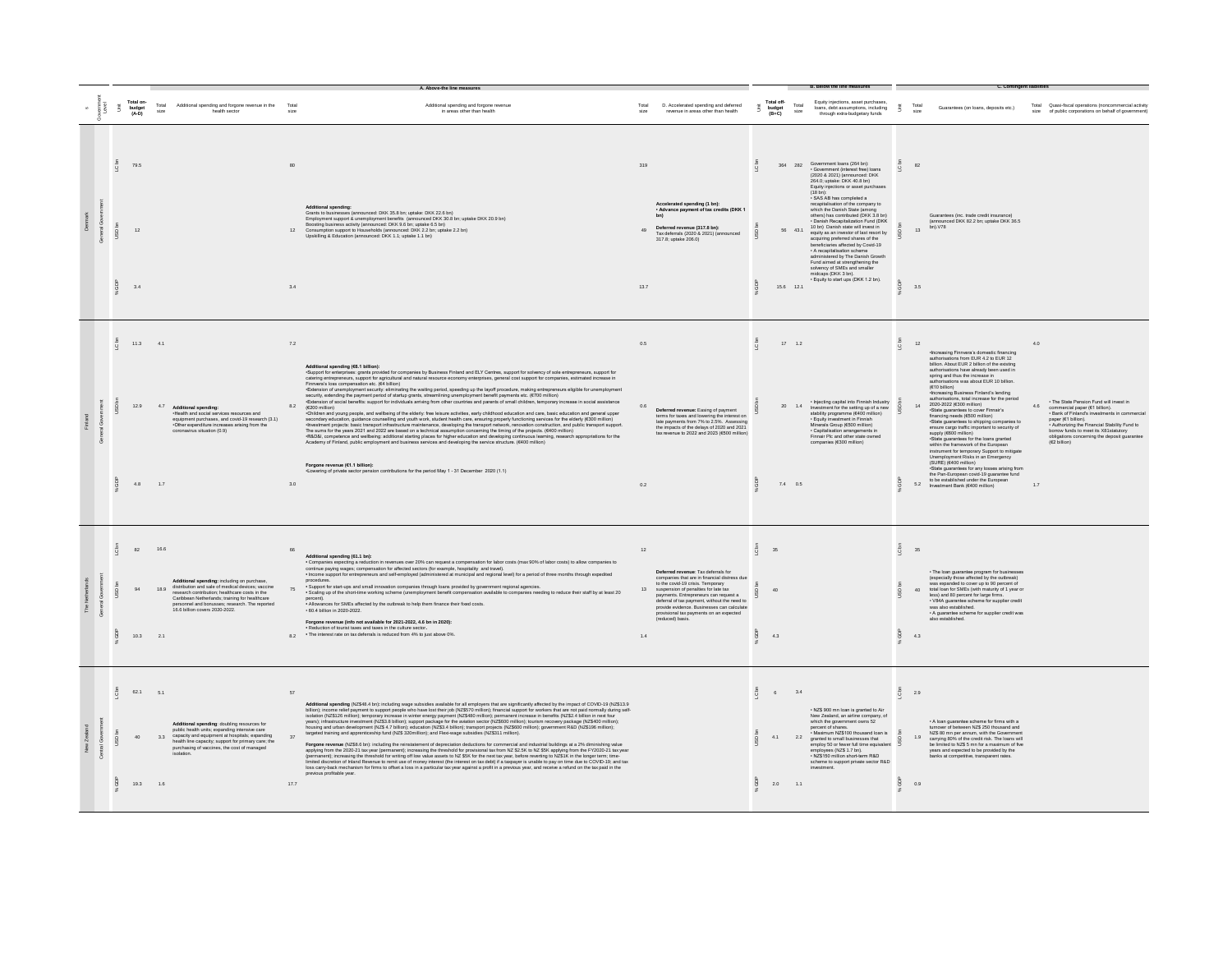|           |   |             |                              |                              |                                                                                                                                                                                                                                                                                          |                 |                                                                                                                                                                                                                                                                                                                                                                                                                                                                                                                                                                                                                                                                                                                                                                                                                                                                                                                                                                                                                                                                                                                                                                                                                                                                                                                                                                                                                                                         |                          |                                                                                                                                                                                                                                                                                                                                                                        |                                    |                                | <b>B. Below the line measures</b>                                                                                                                                                                                                                                                                                                                                                                                                                                                                                                                                                                                                                                                                                                             |                     | C. Contingent liabilitie                                                                                                                                                                                                                                                                                                                                                                                                                                                                                                                                                                                                                                                                                                                                                                                                                                                                                                                                                                           |                                                                                                                                                                                                                                                                                                                                   |
|-----------|---|-------------|------------------------------|------------------------------|------------------------------------------------------------------------------------------------------------------------------------------------------------------------------------------------------------------------------------------------------------------------------------------|-----------------|---------------------------------------------------------------------------------------------------------------------------------------------------------------------------------------------------------------------------------------------------------------------------------------------------------------------------------------------------------------------------------------------------------------------------------------------------------------------------------------------------------------------------------------------------------------------------------------------------------------------------------------------------------------------------------------------------------------------------------------------------------------------------------------------------------------------------------------------------------------------------------------------------------------------------------------------------------------------------------------------------------------------------------------------------------------------------------------------------------------------------------------------------------------------------------------------------------------------------------------------------------------------------------------------------------------------------------------------------------------------------------------------------------------------------------------------------------|--------------------------|------------------------------------------------------------------------------------------------------------------------------------------------------------------------------------------------------------------------------------------------------------------------------------------------------------------------------------------------------------------------|------------------------------------|--------------------------------|-----------------------------------------------------------------------------------------------------------------------------------------------------------------------------------------------------------------------------------------------------------------------------------------------------------------------------------------------------------------------------------------------------------------------------------------------------------------------------------------------------------------------------------------------------------------------------------------------------------------------------------------------------------------------------------------------------------------------------------------------|---------------------|----------------------------------------------------------------------------------------------------------------------------------------------------------------------------------------------------------------------------------------------------------------------------------------------------------------------------------------------------------------------------------------------------------------------------------------------------------------------------------------------------------------------------------------------------------------------------------------------------------------------------------------------------------------------------------------------------------------------------------------------------------------------------------------------------------------------------------------------------------------------------------------------------------------------------------------------------------------------------------------------------|-----------------------------------------------------------------------------------------------------------------------------------------------------------------------------------------------------------------------------------------------------------------------------------------------------------------------------------|
|           |   | š           | Total on-<br>budget<br>(A-D) | Total<br>size                | Additional spending and forgone revenue in the<br>health sector                                                                                                                                                                                                                          | Tota<br>size    | Additional spending and forgone revenue<br>in areas other than health                                                                                                                                                                                                                                                                                                                                                                                                                                                                                                                                                                                                                                                                                                                                                                                                                                                                                                                                                                                                                                                                                                                                                                                                                                                                                                                                                                                   | Total<br>size            | D. Accelerated spending and deferred<br>revenue in areas other than health                                                                                                                                                                                                                                                                                             | Total off-<br>budget<br>(B+C)<br>š | Total<br>size                  | Equity injections, asset purchases<br>loans, debt assumptions, including<br>through extra-budgetary funds                                                                                                                                                                                                                                                                                                                                                                                                                                                                                                                                                                                                                                     | š                   | Guarantees (on loans, deposits etc.)<br>size                                                                                                                                                                                                                                                                                                                                                                                                                                                                                                                                                                                                                                                                                                                                                                                                                                                                                                                                                       | Total Quasi-fiscal operations (noncommercial activity<br>size of public corporations on behalf of government)                                                                                                                                                                                                                     |
| $\bar{g}$ |   | $\tilde{Q}$ | 79.5<br>12<br>3.4            |                              |                                                                                                                                                                                                                                                                                          | 80<br>3.4       | <b>Additional spending:</b><br>Grants to businesses (announced: DKK 35.8 hm untake: DKK 22.6 hn).<br>Simpleyment support & university methods and the material conditions of the proposed by Employment support & unemployment benefits (announced DKK 30.8 bn; uptake DKK 20.9 bn)<br>Boosting business activity (announced: DKK 9.6<br>Consumption support to Households (announced: DKK 2.2 bn; uptake 2.2 bn)<br>Upskilling & Education (announced: DKK 1.1; uptake 1.1 bn)                                                                                                                                                                                                                                                                                                                                                                                                                                                                                                                                                                                                                                                                                                                                                                                                                                                                                                                                                                         | 319<br>$A\Omega$<br>13.7 | Accelerated spending (1 bn):<br>. Advance payment of tax credits (DKK 1<br>Deferred revenue (317.8 bn):<br>Tax deferrals (2020 & 2021) (announced<br>317.8: uptake 206.0)                                                                                                                                                                                              | C <sub>bn</sub>                    | 56 43.1<br>15.6 12.1           | 364 282 Government loans (264 bn):<br>Government (interest free) loans<br>(2020 & 2021) (announced: DKK<br>264.0; uptake: DKK 40.8 bn)<br>Equity injections or asset purchases<br>$(18 bh)$ :<br>· SAS AB has completed a<br>recapitalisation of the company to<br>which the Danish State (among<br>others) has contributed (DKK 3.8 bn)<br>- Danish Recapitalization Fund (DKK<br>10 hn) Danish state will invest in<br>equity as an investor of last resort by<br>acquiring preferred shares of the<br>beneficiaries affected by Covid-19<br>· A recapitalisation scheme<br>administered by The Danish Growth<br>Fund aimed at strengthening the<br>solvency of SMEs and smaller<br>midcans (DKK 3 hn)<br>Equity to start ups (DKK 1.2 bn). | $\overline{Q}$<br>ă | 82<br>Guarantees (inc. trade credit insurance)<br>(announced DKK 82.2 bn; uptake DKK 36.5<br>hn) V78<br>$12 -$<br>3.5                                                                                                                                                                                                                                                                                                                                                                                                                                                                                                                                                                                                                                                                                                                                                                                                                                                                              |                                                                                                                                                                                                                                                                                                                                   |
|           | 8 |             | 11.3<br>12.9<br>4.8          | 41<br>4.7<br>1.7             | Additional spending:<br>-Health and social services resources and<br>equipment purchases, and covid-19 research (3.1)<br>-Other expenditure increases arising from the<br>coronavirus situation (0.9)                                                                                    | 72<br>8.2<br>30 | Additional spending (€6.1 billion):<br>-Support for enterprises: grants provided for companies by Business Finland and ELY Centres, support for solvency of sole entrepreneurs, support for<br>catering entrepreneurs, support for agricultural and natural resource eco<br>Finmers's loss compensation etc. (es billion)<br>"Extension of unemployment security: eliminating the waling period, speeding up the layoff procedure, making entrepreneurs eligible for unemployment<br>security, estending the pay<br>$(6200 \text{ million})$<br>-Children and young people, and wellbeing of the elderly: free leisure activities, early childhood education and care, basic education and general upper<br>secondary education, guidance counselling and youth work, student health care, ensuring properly functioning services for the elderly (€300 million)<br>- litvestment projects: basic transport infrastructure maintenance, devel<br>The sums for the years 2021 and 2022 are based on a technical assumption concerning the timing of the projects. (6400 million)<br>The distribution of the text was considered to the constant assumption concoming to the propose. (Social competence and wellbeing: additional starting places for higher education and developing continuous learning, researc<br>Forgone revenue (€1.1 billion):<br>-Eowering of private sector pension contributions for the period May 1 - 31 December 2020 (1.1) | 0.5<br>0R<br>0.2         | Deferred revenue: Easing of payment<br>terms for taxes and lowering the interest on<br>ate payments from 7% to 2.5%. Asses<br>the impacts of the delays of 2020 and 2021<br>tax revenue to 2022 and 2023 (E500 million)                                                                                                                                                | C bn<br>å                          | 17 12<br>$20 - 1.4$<br>7.4 0.5 | · Injecting capital into Finnish Industry<br>Investment for the setting up of a new<br>stability programme (6400 million)<br>- Equity investment in Finnish<br>Minerals Group (€500 million)<br>· Capitalisation arrangements in<br>Finnair Plc and other state owned<br>companies (€300 million)                                                                                                                                                                                                                                                                                                                                                                                                                                             | LC bn<br>å          | 12<br>·Increasing Finnvera's domestic financing<br>authorisations from FUR 4.2 to FUR 12<br>billion. About EUR 2 billion of the existing<br>authorisations have already been used in<br>spring and thus the increase in<br>authorisations was about EUR 10 billion.<br>$(F10)$ billion)<br>Increasing Business Finland's lending<br>authorisations, total increase for the period<br>2020-2022 (€300 million)<br>State guarantees to cover Finnair's<br>14<br>financing needs (€500 million)<br>-State guarantees to shipping companies to<br>ensure cargo traffic important to security of<br>supply (€600 million)<br>-State guarantees for the loans granted<br>within the framework of the European<br>instrument for temporary Support to mitigate<br>Unemployment Risks in an Emergency<br>(SURE) (6400 million)<br>State guarantees for any losses arising from<br>the Pan-European covid-19 guarantee fund<br>to be established under the European<br>Investment Bank (6400 million)<br>52 | 40<br>. The State Pension Fund will invest in<br>4.6<br>commercial paper (€1 billion).<br>- Bank of Finland's investments in commercial<br>paper (€1 billion).<br>• Authorizing the Financial Stability Fund to<br>borrow funds to meet its X81statutory<br>bligations concerning the deposit guarantee<br>$(E2)$ billion)<br>1.7 |
|           |   |             | 82<br>10.3                   | 16.6<br>18.9<br>2.1          | Additional spending: including on purchase,<br>distribution and sale of medical devices; vaccine<br>research contribution: bealthcare costs in the<br>Caribbean Netherlands; training for healthcare<br>personnel and bonusses: research. The reported<br>16.6 billion covers 2020-2022. | 66              | Additional spending (61.1 bn):<br>. Companies expecting a reduction in revenues over 20% can request a compensation for labor costs (max 90% of labor costs) to allow companies to<br>continue paying wages; compensation for affected sectors (for example, hospitality and travel).<br>. Income support for entrepreneurs and self-employed (administered at municipal and regional level) for a period of three months through expedited<br>procedures.<br>prococourse.<br>• Support for start-ups and small innovation companies through loans provided by government regional agencies.<br>• Scaling up of the short-time working scheme (unemployment benefit compensation available to comp<br>percent).<br>. Allowances for SMEs affected by the outbreak to help them finance their fixed costs.<br>. 60.4 billion in 2020-2022.<br>Forgone revenue (info not available for 2021-2022, 4.6 bn in 2020):<br>Reduction of tourist taxes and taxes in the culture sector.<br>8.2 . The interest rate on tax deferrals is reduced from 4% to just above 0%.                                                                                                                                                                                                                                                                                                                                                                                        | 12<br>13<br>1.4          | Deferred revenue: Tax deferrals for<br>companies that are in financial distress due<br>to the covid-19 crisis. Temporary<br>suspension of penalties for late tax<br>payments. Entrepreneurs can request a<br>deferral of tax payment, without the need to<br>provide evidence. Businesses can calculate<br>provisional tax payments on an expected<br>(reduced) basis. | LC bn<br>35<br>40<br>ă<br>4.3      |                                |                                                                                                                                                                                                                                                                                                                                                                                                                                                                                                                                                                                                                                                                                                                                               | LC bn<br>å          | 35<br>· The loan guarantee program for businesses<br>(especially those affected by the outbreak)<br>was expanded to cover up to 90 percent of<br>total loan for SMEs (with maturity of 1 year or<br>40<br>less) and 80 percent for large firms.<br>V84A guarantee scheme for supplier credit<br>was also established.<br>. A guarantee scheme for supplier credit was<br>also established.<br>43                                                                                                                                                                                                                                                                                                                                                                                                                                                                                                                                                                                                   |                                                                                                                                                                                                                                                                                                                                   |
|           |   |             | 62.1<br>40<br>19.3           | 5.1<br>33 <sup>2</sup><br>16 | Additional spending: doubling resources for<br>public health units; expanding intensive care<br>capacity and equipment at hospitals; expanding<br>health line capacity; support for primary care; the<br>purchasing of vaccines, the cost of managed                                     | 57<br>37<br>177 | Additional spending (NZ\$48.4 bn): including wage subsides available for all employers that are significantly affected by the impact of COVID-19 (NZ\$13.9<br>billion); income relief payment to support people who have lost their<br>years); infrastructure investment (NZ\$3.8 billion); support package for the aviation sector (NZ\$600 million); tourism recovery package (NZ\$400 million);<br>housing and urban development (NZ\$4.7 billion); education (NZ\$4.4 bil<br>Forgone revenue (NZ\$8.6 bn): including the reinstatement of depreciation deductions for commercial and industrial buildings at a 2% diminishing value<br>applying from the 2020-21 tax year (permanent); increasing the threshold for provisional tax from NZ \$2.5K to NZ \$5K applying from the FY2020-21 tax year<br>(permanent); increasing the threshold for writing off low value asse<br>limited discretion of Inland Revenue to remit use of money interest (the interest on tax debt) if a taxpayer is unable to pay on time due to COVID-19; and tax<br>loss carry-back mechanism for firms to offset a loss in a parti<br>previous profitable year.                                                                                                                                                                                                                                                                                                        |                          |                                                                                                                                                                                                                                                                                                                                                                        | C bn<br>6<br>4.1<br>ă              | 34<br>$2.0$ 1.1                | . NZ\$ 900 mn loan is granted to Air<br>New Zealand, an airline company, of<br>which the government owns 52<br>. Maximum NZ\$100 thousand loan is<br>2.2 granted to small businesses that<br>employ 50 or fewer full time equivalent<br>employees (NZ\$ 1.7 bn).<br>• NZ\$150 million short-term R&D<br>scheme to support private sector R&D                                                                                                                                                                                                                                                                                                                                                                                                  | LC bn<br>å          | 2.9<br>- A loan guarantee scheme for firms with a<br>turnover of between NZ\$ 250 thousand and<br>NZS 80 mn per annum, with the Government<br>19<br>carrying 80% of the credit risk. The loans will<br>be limited to NZ\$ 5 mn for a maximum of five<br>years and expected to be provided by the<br>banks at competitive, transparent rates.<br>0.9                                                                                                                                                                                                                                                                                                                                                                                                                                                                                                                                                                                                                                                |                                                                                                                                                                                                                                                                                                                                   |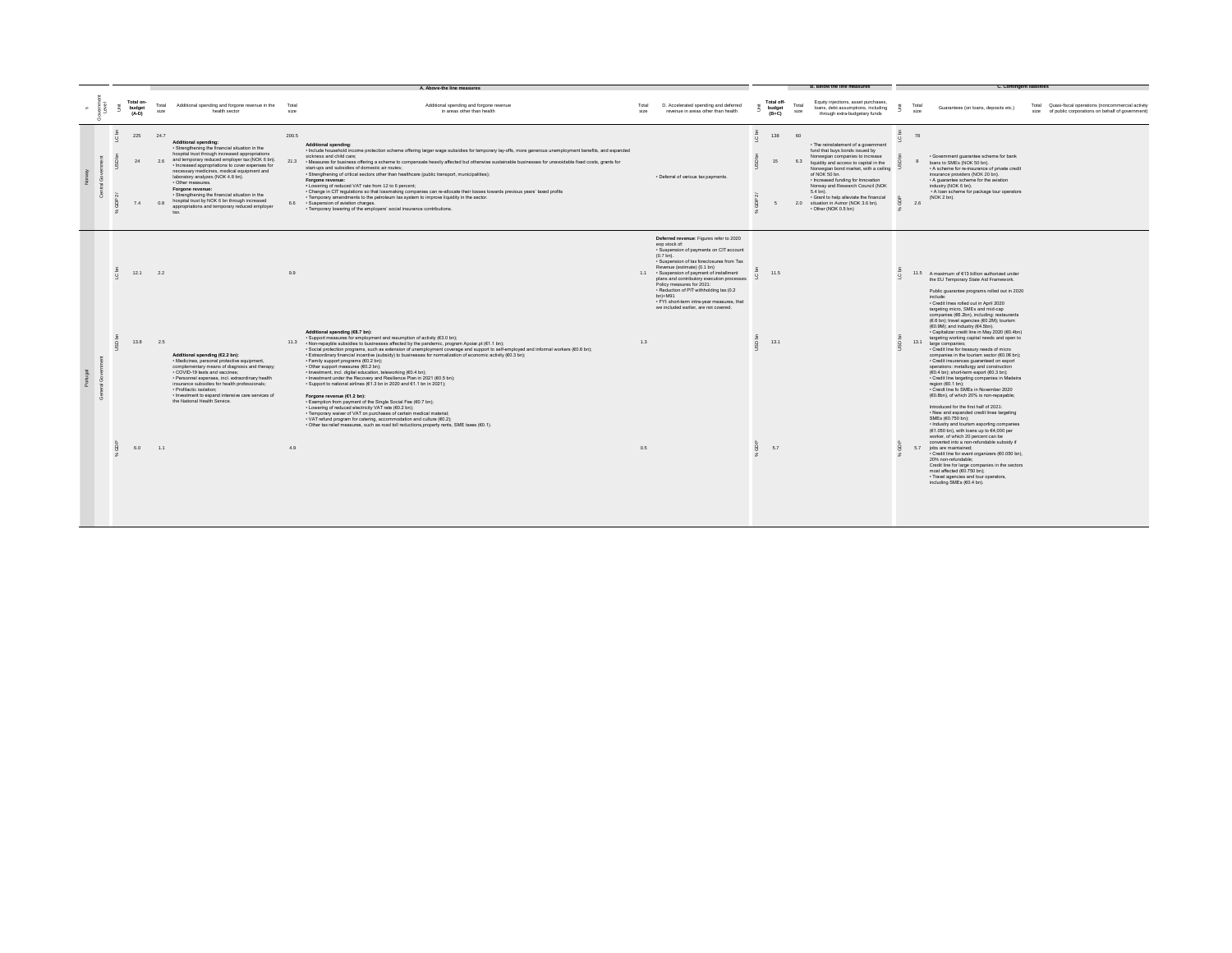|  |         |                                |                   |                                                                                                                                                                                                                                                                                                                                                                                                                                                                                                                |               | A. Above-the line measures                                                                                                                                                                                                                                                                                                                                                                                                                                                                                                                                                                                                                                                                                                                                                                                                                                                                                                                                |               |                                                                                                                                                                                                                                                                                                                                                                                                                                                                                 |         |                                 |               | B. Below the line measures                                                                                                                                                                                                                                                                                                                                                                                     |                                  |                | <b>C. Contingent liabilities</b>                                                                                                                                                                                                                                                                                                                                                                                                                                                                                                                                                                 |                                                                                                               |
|--|---------|--------------------------------|-------------------|----------------------------------------------------------------------------------------------------------------------------------------------------------------------------------------------------------------------------------------------------------------------------------------------------------------------------------------------------------------------------------------------------------------------------------------------------------------------------------------------------------------|---------------|-----------------------------------------------------------------------------------------------------------------------------------------------------------------------------------------------------------------------------------------------------------------------------------------------------------------------------------------------------------------------------------------------------------------------------------------------------------------------------------------------------------------------------------------------------------------------------------------------------------------------------------------------------------------------------------------------------------------------------------------------------------------------------------------------------------------------------------------------------------------------------------------------------------------------------------------------------------|---------------|---------------------------------------------------------------------------------------------------------------------------------------------------------------------------------------------------------------------------------------------------------------------------------------------------------------------------------------------------------------------------------------------------------------------------------------------------------------------------------|---------|---------------------------------|---------------|----------------------------------------------------------------------------------------------------------------------------------------------------------------------------------------------------------------------------------------------------------------------------------------------------------------------------------------------------------------------------------------------------------------|----------------------------------|----------------|--------------------------------------------------------------------------------------------------------------------------------------------------------------------------------------------------------------------------------------------------------------------------------------------------------------------------------------------------------------------------------------------------------------------------------------------------------------------------------------------------------------------------------------------------------------------------------------------------|---------------------------------------------------------------------------------------------------------------|
|  |         | Total on-<br>budget<br>$(A-D)$ | Total<br>size     | Additional spending and forgone revenue in the<br>health sector                                                                                                                                                                                                                                                                                                                                                                                                                                                | Total<br>size | Additional spending and forgone revenue<br>in areas other than health                                                                                                                                                                                                                                                                                                                                                                                                                                                                                                                                                                                                                                                                                                                                                                                                                                                                                     | Total<br>size | D. Accelerated spending and deferred<br>revenue in areas other than health                                                                                                                                                                                                                                                                                                                                                                                                      |         | Total off-<br>budget<br>$(B+C)$ | Total<br>size | Equity injections, asset purchases,<br>loans, debt assumptions, including<br>through extra-budgetary funds                                                                                                                                                                                                                                                                                                     |                                  | Total<br>size  | Guarantees (on loans, deposits etc.)                                                                                                                                                                                                                                                                                                                                                                                                                                                                                                                                                             | Total Quasi-fiscal operations (noncommercial activity<br>size of public corporations on behalf of government) |
|  | $\circ$ | 225<br>7.4                     | 24.7<br>2R<br>0.8 | Additional spending:<br>· Strengthening the financial situation in the<br>hospital trust through increased appropriations<br>and temporary reduced employer tax (NOK 6 bn).<br>· Increased appropriations to cover expenses for<br>necessary medicines, medical equipment and<br>laboratory analyzes (NOK 4.8 bn).<br>· Other measures.<br>Forgone revenue:<br>· Strengthening the financial situation in the<br>hospital trust by NOK 6 bn through increased<br>appropriations and temporary reduced employer | 200.5         | <b>Additional spending:</b><br>- Include household income protection scheme offering larger wage subsidies for temporary lay-offs, more generous unemployment benefits, and expanded<br>sickness and child care:<br>21.3 . Measures for business offering a scheme to compensate heavily affected but otherwise sustainable businesses for unavoidable fixed costs, grants for<br>start-ups and subsidies of domestic air routes;<br>· Strengthening of critical sectors other than healthcare (public transport, municipalities);<br>Forgone revenue:<br>. Lowering of reduced VAT rate from 12 to 6 percent:<br>- Change in CIT regulations so that lossmaking companies can re-allocate their losses towards previous years' taxed profits<br>· Temporary amendments to the petroleum tax system to improve liquidity in the sector.<br>6.6 · Suspension of aviation charges.<br>· Temporary lowering of the employers' social insurance contributions |               | · Deferral of various tax payments.                                                                                                                                                                                                                                                                                                                                                                                                                                             | $\circ$ | 138<br>15                       | 60<br>6.3     | · The reinstatement of a government<br>fund that buys bonds issued by<br>Norwegian companies to increase<br>liquidity and access to capital in the<br>Norwegian bond market, with a ceiling<br>of NOK 50 bn.<br>· Increased funding for Innovation<br>Norway and Research Council (NOK<br>5.4 bn).<br>· Grant to help alleviate the financial<br>2.0 situation in Avinor (NOK 3.6 bn).<br>· Other (NOK 0.5 bn) | $\overline{a}$<br>$\overline{O}$ | 78<br>8<br>2.6 | · Government guarantee scheme for bank<br>loans to SMEs (NOK 50 bn).<br>. A scheme for re-insurance of private credit<br>insurance providers (NOK 20 bn).<br>. A guarantee scheme for the aviation<br>industry (NOK 6 bn).<br>. A loan scheme for package tour operators<br>(NOK 2 bn).                                                                                                                                                                                                                                                                                                          |                                                                                                               |
|  |         | 12.1                           | 2.2               |                                                                                                                                                                                                                                                                                                                                                                                                                                                                                                                | 9.9           |                                                                                                                                                                                                                                                                                                                                                                                                                                                                                                                                                                                                                                                                                                                                                                                                                                                                                                                                                           |               | Deferred revenue: Figures refer to 2020<br>eop stock of:<br>· Suspension of payments on CIT account<br>$(0.7 \text{ bn})$ .<br>· Suspension of tax foreclosures from Tax<br>Revenue (estimate) (0.1 bn)<br>1.1 · Suspension of payment of installment<br>plans and contributory execution processes<br>Policy measures for 2021:<br>- Reduction of PIT withholding tax (0.2<br>$bn)+M91$<br>· FYL short-term intra-year measures, that<br>we included earlier, are not covered. |         | 11.5                            |               |                                                                                                                                                                                                                                                                                                                                                                                                                | 5<br>$\overline{Q}$              |                | 11.5 A maximum of €13 billion authorized under<br>the EU Temporary State Aid Framework.<br>Public guarantee programs rolled out in 2020<br>include:<br>. Credit lines rolled out in April 2020<br>targeting micro. SMEs and mid-cap<br>companies (€6.2bn), including: restaurants                                                                                                                                                                                                                                                                                                                |                                                                                                               |
|  |         | 13.8                           | 2.5               | Additional spending (€2.2 bn):<br>· Medicines, personal protective equipment.<br>complementary means of diagnosis and therapy;<br>· COVID-19 tests and vaccines;<br>· Personnel expenses, incl. extraordinary health<br>insurance subsidies for health professionals;<br>· Profilactic isolation:<br>· Investment to expand intensive care services of<br>the National Health Service.                                                                                                                         |               | Additional spending (€8.7 bn):<br>· Support measures for employment and resumption of activity (€3.0 bn);<br>11.3 • Non-repayble subsidies to businesses affected by the pandemic, program Apoiar.pt (€1.1 bn);<br>- Social protection programs, such as extension of unemployment coverage and support to self-employed and informal workers (€0.6 bn);<br>- Extraordinary financial incentive (subsidy) to businesses for normalization of economic activity (€0.3 bn);<br>· Family support programs (€0.2 bn);<br>• Other support measures (€0.2 bn);<br>· Investment, incl. digital education, teleworking (€0.4 bn);<br>. Investment under the Recovery and Resilience Plan in 2021 (€0.5 bn);<br>. Support to national airlines (€1.3 bn in 2020 and €1.1 bn in 2021);<br>Forgone revenue (€1.2 bn):<br>Exemption from payment of the Single Social Fee (60.7 bn);                                                                                  | 1.3           |                                                                                                                                                                                                                                                                                                                                                                                                                                                                                 |         | 13.1                            |               |                                                                                                                                                                                                                                                                                                                                                                                                                | $\circ$                          |                | (€.6 bn); travel agencies (€0.2M); tourism<br>(60.9M); and industry (64.5bn).<br>- Capitalizar credit line in May 2020 (€0.4bn)<br>targeting working capital needs and open to<br>13.1 large companies;<br>· Credit line for treasury needs of micro<br>companies in the tourism sector (€0.06 bn):<br>· Credit insurances quaranteed on export<br>operations: metallurgy and construction<br>(€0.4 bn); short-term export (€0.3 bn);<br>· Credit line targeting companies in Madeira<br>region (€0.1 bn);<br>· Creidt line fo SMEs in November 2020<br>(€0.8bn), of which 20% is non-repayable; |                                                                                                               |
|  |         | 6.0                            | 1.1               |                                                                                                                                                                                                                                                                                                                                                                                                                                                                                                                | 4.9           | Lowering of reduced electricity VAT rate (€0.2 bn):<br>· Temporary waiver of VAT on purchases of certain medical material;<br>• VAT refund program for catering, accommodation and culture (€0.2);<br>· Other tax relief measures, such as road toll reductions, property rents, SME taxes (€0.1).                                                                                                                                                                                                                                                                                                                                                                                                                                                                                                                                                                                                                                                        | 0.5           |                                                                                                                                                                                                                                                                                                                                                                                                                                                                                 |         | 5.7                             |               |                                                                                                                                                                                                                                                                                                                                                                                                                |                                  |                | Introduced for the first half of 2021:<br>. New and expanded credit lines targeting<br>SMEs (60.750 bn);<br>· Industry and tourism exporting companies<br>(€1.050 bn), with loans up to €4,000 per<br>worker, of which 20 percent can be<br>converted into a non-refundable subsidy if<br>5.7 jobs are maintained;<br>· Credit line for event organizers (€0.050 bn),<br>20% non-refundable;<br>Credit line for large companies in the sectors<br>most affected (€0.750 bn);<br>· Travel agencies and tour operators,<br>including SMEs (€0.4 bn).                                               |                                                                                                               |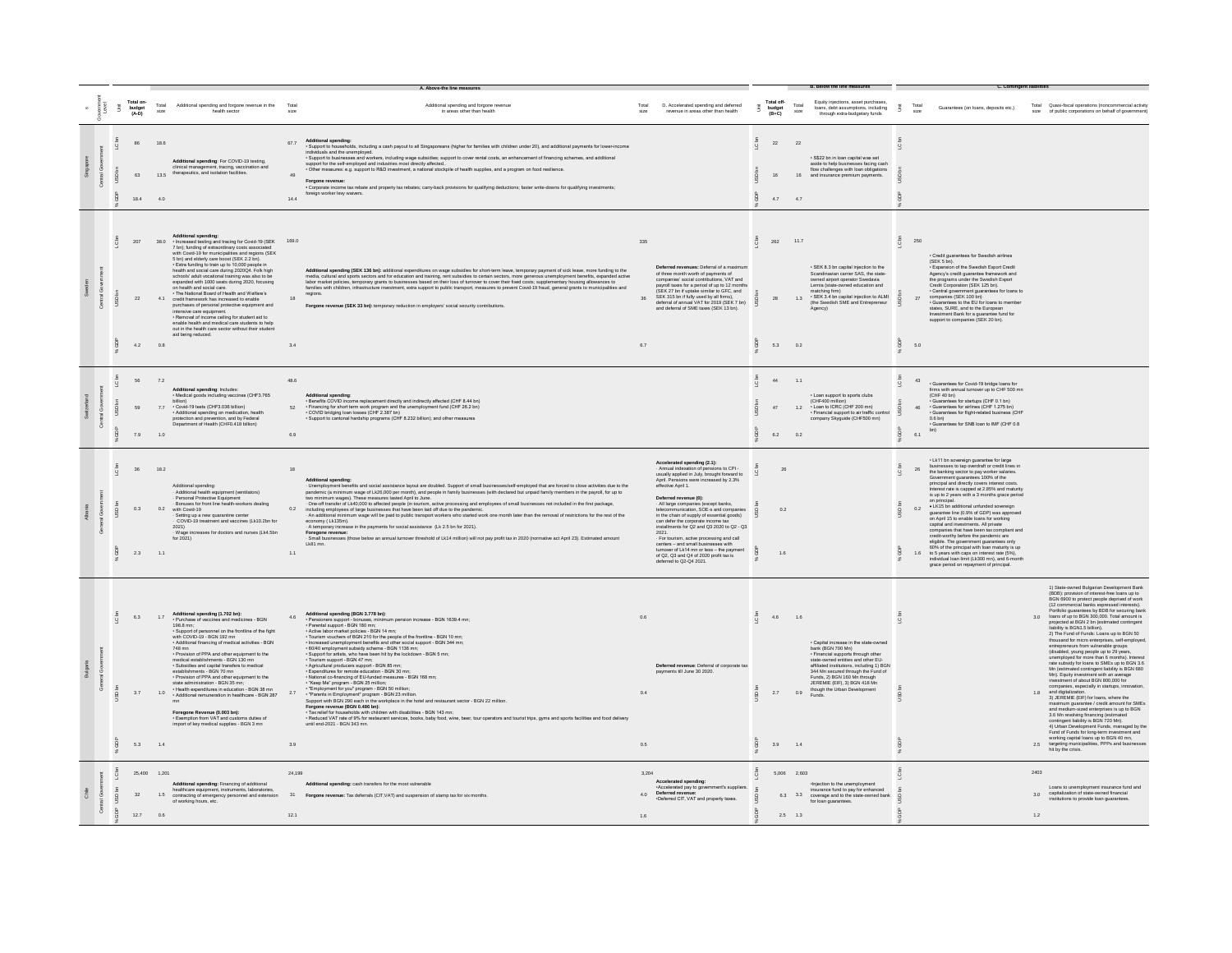|   |   |                                 |                                |                            |                                                                                                                                                                                                                                                                                                                                                                                                                                                                                                                                                                                                                                                                                                                                                                                                                                                 |                            | A. Above-the line measures                                                                                                                                                                                                                                                                                                                                                                                                                                                                                                                                                                                                                                                                                                                                                                                                                                                                                                                                                                                                                                                                                                                                                                                                                                                                                                     |                           |                                                                                                                                                                                                                                                                                                                                                                                                                                                                                                                                                                                                                                                 |                      |                                         |                                           | <b>B.</b> Below the line measures                                                                                                                                                                                                                                                                                                  |                     | <b>C. Contingent liabilities</b>                                                                                                                                                                                                                                                                                                                                                                                                                                                                                                                                                                                                                                                                                                                                                                                                                           |                                                                                                                                                                                                                                                                                                                                                                                                                                                                                                                                                                                                                                                                                                                                                                                                                                                                                                                                                                                                                                                                                                                                                                                                                                                                                                             |
|---|---|---------------------------------|--------------------------------|----------------------------|-------------------------------------------------------------------------------------------------------------------------------------------------------------------------------------------------------------------------------------------------------------------------------------------------------------------------------------------------------------------------------------------------------------------------------------------------------------------------------------------------------------------------------------------------------------------------------------------------------------------------------------------------------------------------------------------------------------------------------------------------------------------------------------------------------------------------------------------------|----------------------------|--------------------------------------------------------------------------------------------------------------------------------------------------------------------------------------------------------------------------------------------------------------------------------------------------------------------------------------------------------------------------------------------------------------------------------------------------------------------------------------------------------------------------------------------------------------------------------------------------------------------------------------------------------------------------------------------------------------------------------------------------------------------------------------------------------------------------------------------------------------------------------------------------------------------------------------------------------------------------------------------------------------------------------------------------------------------------------------------------------------------------------------------------------------------------------------------------------------------------------------------------------------------------------------------------------------------------------|---------------------------|-------------------------------------------------------------------------------------------------------------------------------------------------------------------------------------------------------------------------------------------------------------------------------------------------------------------------------------------------------------------------------------------------------------------------------------------------------------------------------------------------------------------------------------------------------------------------------------------------------------------------------------------------|----------------------|-----------------------------------------|-------------------------------------------|------------------------------------------------------------------------------------------------------------------------------------------------------------------------------------------------------------------------------------------------------------------------------------------------------------------------------------|---------------------|------------------------------------------------------------------------------------------------------------------------------------------------------------------------------------------------------------------------------------------------------------------------------------------------------------------------------------------------------------------------------------------------------------------------------------------------------------------------------------------------------------------------------------------------------------------------------------------------------------------------------------------------------------------------------------------------------------------------------------------------------------------------------------------------------------------------------------------------------------|-------------------------------------------------------------------------------------------------------------------------------------------------------------------------------------------------------------------------------------------------------------------------------------------------------------------------------------------------------------------------------------------------------------------------------------------------------------------------------------------------------------------------------------------------------------------------------------------------------------------------------------------------------------------------------------------------------------------------------------------------------------------------------------------------------------------------------------------------------------------------------------------------------------------------------------------------------------------------------------------------------------------------------------------------------------------------------------------------------------------------------------------------------------------------------------------------------------------------------------------------------------------------------------------------------------|
|   |   | Ã                               | Total on-<br>budget<br>(A-D)   | Total<br>size              | Additional spending and forgone revenue in the<br>health sector                                                                                                                                                                                                                                                                                                                                                                                                                                                                                                                                                                                                                                                                                                                                                                                 | size                       | Additional spending and forgone revenue<br>in areas other than health                                                                                                                                                                                                                                                                                                                                                                                                                                                                                                                                                                                                                                                                                                                                                                                                                                                                                                                                                                                                                                                                                                                                                                                                                                                          | size                      | D. Accelerated spending and deferred<br>revenue in areas other than health                                                                                                                                                                                                                                                                                                                                                                                                                                                                                                                                                                      | Ã                    | Total off-<br>budget<br>(B+C)           | Total<br>size                             | Equity injections, asset purchases,<br>loans, debt assumptions, including<br>through extra-budgetary funds                                                                                                                                                                                                                         | š                   | Total<br>Guarantees (on loans, deposits etc.)<br>size                                                                                                                                                                                                                                                                                                                                                                                                                                                                                                                                                                                                                                                                                                                                                                                                      | Total Quasi-fiscal operations (noncommercial activity<br>size of public corporations on behalf of government)                                                                                                                                                                                                                                                                                                                                                                                                                                                                                                                                                                                                                                                                                                                                                                                                                                                                                                                                                                                                                                                                                                                                                                                               |
|   |   | $\epsilon$                      | 86<br>63<br>18.4               | 18.6<br>13.5<br>4.0        | Additional spending: For COVID-19 testing,<br>clinical management, tracing, vaccination and<br>therapeutics, and isolation facilities.                                                                                                                                                                                                                                                                                                                                                                                                                                                                                                                                                                                                                                                                                                          | 67.7                       | Additional spending:<br>• Support to households, including a cash payout to all Singaporeans (higher for families with children under 20), and additional payments for lower-income<br>- Support to businesses and workers, including wage subsidies; support to cover rental costs, an enhancement of financing schemes, and additional<br>support for the self-employed and industries most directly affected.<br>- Other<br>Forgone revenue:<br>. Corporate income tax rebate and property tax rebates: carry-back provisions for qualifying deductions: faster write-downs for qualifying investments:<br>foreign worker levy waivers                                                                                                                                                                                                                                                                                                                                                                                                                                                                                                                                                                                                                                                                                      |                           |                                                                                                                                                                                                                                                                                                                                                                                                                                                                                                                                                                                                                                                 | c bn                 | 22<br>16<br>4.7                         | 22<br>16<br>4.7                           | . S\$22 bn in loan canital was set<br>aside to help businesses facing cash<br>flow challenges with loan obligations<br>and insurance premium payments.                                                                                                                                                                             |                     |                                                                                                                                                                                                                                                                                                                                                                                                                                                                                                                                                                                                                                                                                                                                                                                                                                                            |                                                                                                                                                                                                                                                                                                                                                                                                                                                                                                                                                                                                                                                                                                                                                                                                                                                                                                                                                                                                                                                                                                                                                                                                                                                                                                             |
|   |   |                                 | 207<br>22<br>$4.2\,$           | 38.0<br>4.1<br>0.8         | Additional spending:<br>• Increased testing and tracing for Covid-19 (SEK 169.0)<br>7 bn); funding of extraordinary costs associated<br>with Covid-19 for municipalities and regions (SEK<br>5 bn) and elderly care boost (SEK 2.2 bn).<br>- Extra funding to train up to 10,000 people in<br>health and social care during 2020Q4. Folk high<br>schools' adult vocational training was also to be<br>expanded with 1000 seats during 2020, focusing<br>on health and social care.<br>. The National Board of Health and Welfare's<br>credit framework has increased to enable<br>purchases of personal protective equipment and<br>intensive care equipment.<br>. Removal of income ceiling for student aid to<br>enable health and medical care students to help<br>out in the health care sector without their student<br>aid being reduced. | $3.4\,$                    | Additional georiging (SEK 156 be) additional expenditures on wage audides to shockem leave, temporay payment of six lawy, more including to the model of the model of the model of the model of the model of the model of the<br>regions.<br>Forgone revenue (SEK 33 bn): temporary reduction in employers' social security contributions.                                                                                                                                                                                                                                                                                                                                                                                                                                                                                                                                                                                                                                                                                                                                                                                                                                                                                                                                                                                     | 335<br>36<br>$_{\rm 6.7}$ | Deferred revenues: Deferral of a maximum<br>of three month worth of payments of<br>companies' social contributions. VAT and<br>payroll taxes for a period of up to 12 months<br>(SEK 27 bn if uptake similar to GFC, and<br>SEK 315 bn if fully used by all firms).<br>deferral of annual VAT for 2019 (SEK 7 bn)<br>and deferral of SME taxes (SEK 13 bn).                                                                                                                                                                                                                                                                                     | C <sub>bn</sub><br>ă | 262 11.7<br>28<br>5.3                   | 1.3<br>0.2                                | · SEK 8.3 bn capital injection to the<br>Scandinavian carrier SAS, the state-<br>owned airport operator Swedavia<br>Lernia (state-owned education and<br>matching firm)<br>SEK 3.4 bn capital injection to ALMI<br>(the Swedish SME and Entrepreneur<br>Agency)                                                                    | LC bn<br>å          | 250<br>· Credit guarantees for Swedish airlines<br>(SEK 5 bn).<br>· Expansion of the Swedish Export Credit<br>Agency's credit guarantee framework and<br>the programs under the Swedish Export<br>Credit Corporation (SEK 125 bn).<br>• Central government guarantees for loans to<br>companies (SEK 100 bn)<br>- Guarantees to the EU for loans to member<br>states, SURE, and to the European<br>Investment Bank for a quarantee fund for<br>support to companies (SEK 20 bn).<br>5.0                                                                                                                                                                                                                                                                                                                                                                    |                                                                                                                                                                                                                                                                                                                                                                                                                                                                                                                                                                                                                                                                                                                                                                                                                                                                                                                                                                                                                                                                                                                                                                                                                                                                                                             |
|   |   | USD <sub>bn</sub>               | 56<br>69<br>7.9                | 7.2<br>7.7<br>1.0          | Additional spending: Includes:<br>• Medical goods including vaccines (CHF3.765<br>· Covid-19 tests (CHF3.036 billion)<br>- Additional spending on medication, health<br>protection and prevention, and by Federal<br>Department of Health (CHF0.418 billion)                                                                                                                                                                                                                                                                                                                                                                                                                                                                                                                                                                                    | 48.6<br>52<br>$_{\rm 6.9}$ | <b>Additional spending</b><br>- Benefits COVID income replacement directly and indirectly affected (CHF 8.44 bn)<br>- Financing for short term work program and the unemployment fund (CHF 26.2 bn)<br>- COVID bridging loan losses (CHF 2.387 bn)<br>- Support to cantonal hardship programs (CHF 8.232 billion); and other measures                                                                                                                                                                                                                                                                                                                                                                                                                                                                                                                                                                                                                                                                                                                                                                                                                                                                                                                                                                                          |                           |                                                                                                                                                                                                                                                                                                                                                                                                                                                                                                                                                                                                                                                 |                      | 44<br>47<br>$6.2\qquad \quad 0.2\qquad$ | 1.1<br>1.2                                | . Loan support to sports clubs<br>(CHF400 million)<br>• Loan to ICRC (CHF 200 mn)<br>- Financial support to air traffic control<br>company Skyguide (CHF500 mn)                                                                                                                                                                    | $\overline{a}$<br>ā | 43<br>· Guarantees for Covid-19 bridge loans for<br>firms with annual turnover up to CHF 500 mn<br>(CHF 40 bn)<br>Guarantees for startups (CHF 0.1 bn)<br>· Guarantees for airlines (CHF 1.275 bn)<br>46<br>· Guarantees for flight-related business (CHF<br>$0.6$ bn)<br>Guarantees for SNB loan to IMF (CHF 0.8<br>bn)<br>6.1                                                                                                                                                                                                                                                                                                                                                                                                                                                                                                                            |                                                                                                                                                                                                                                                                                                                                                                                                                                                                                                                                                                                                                                                                                                                                                                                                                                                                                                                                                                                                                                                                                                                                                                                                                                                                                                             |
|   |   |                                 | 36<br>0.3<br>2.3               | 18.2<br>0.2<br>1.1         | Additional spending:<br>- Additional health equipment (ventilators)<br>Personal Protective Equipment<br>Bonuses for front line health-workers dealing<br>with Covid-19<br>war collector<br>- Setting up a new quarantine center<br>- COVID-19 treatment and vaccines (Lk10.2bn for<br>2021<br>Wage increases for doctors and nurses (Lk4.5bn<br>for 2021)                                                                                                                                                                                                                                                                                                                                                                                                                                                                                       | 18<br>1.1                  | <b>Additional spending</b><br>Unemployment benefits and social assistance layout are doubled. Support of small businesses/self-employed that are forced to close activities due to the<br>pandemic (a minimum wage of Lk26,000 per month), and people in family businesses (with declared but unpaid family members in the payroll, for up to<br>two minimum wages). These measures lasted April to June.<br>- One-off transfer of Lk40,000 to affected people (in tourism, active processing and employees of small businesses not included in the first package,<br>including employees of large businesses that have been laid off due to the pandemic.<br>An additional minimum wage will be paid to public transport workers who started work one month later than the removal of restrictions for the rest of the<br>economy (Lk135m).<br>A temporary increase in the payments for social assistance (Lk 2.5 bn for 2021).<br>Foregone revenue:<br>Small businesses (those below an annual turnover threshold of Lk14 million) will not pay profit tax in 2020 (normative act April 23). Estimated amount<br>Lk81 mn.                                                                                                                                                                                                    |                           | Accelerated spending (2.1):<br>- Annual indexation of pensions to CPI<br>- usually applied in July, brought forward to<br>April. Pensions were increased by 2.3%<br>effective April 1.<br>Deferred revenue (0):<br>- All large companies (except banks,<br>telecommunication, SOE-s and companies<br>in the chain of supply of essential goods)<br>can defer the corporate income tax<br>installments for Q2 and Q3 2020 to Q2 - Q3<br>2021<br>- For tourism, active processing and call<br>centers - and small businesses with<br>tumover of Lk14 mn or less - the payment<br>of Q2, Q3 and Q4 of 2020 profit tax is<br>deferred to Q2-Q4 2021 |                      | 26<br>0.2<br>1.6                        |                                           |                                                                                                                                                                                                                                                                                                                                    | $\overline{a}$      | . Lk11 bn sovereign guarantee for large<br>businesses to tap overdraft or credit lines in<br>the banking sector to pay worker salaries.<br>26<br>Government quarantees 100% of the<br>principal and directly covers interest costs.<br>Interest rate is capped at 2.85% and maturity<br>is up to 2 years with a 3 months grace period<br>· LK15 bn additional unfunded sovereign<br>0.2<br>quarantee line (0.9% of GDP) was approved<br>on April 15 to enable loans for working<br>capital and investments. All private<br>companies that have been tax compliant and<br>credit-worthy before the pandemic are<br>eligible. The government quarantees only<br>60% of the principal with loan maturity is up<br>1.6 to 5 years with caps on interest rate (5%),<br>individual loan limit (Lk300 mn), and 6-month<br>grace period on repayment of principal. |                                                                                                                                                                                                                                                                                                                                                                                                                                                                                                                                                                                                                                                                                                                                                                                                                                                                                                                                                                                                                                                                                                                                                                                                                                                                                                             |
|   |   |                                 | $_{\rm 6.3}$<br>$3.7\,$<br>5.3 | 1.7<br>1.0<br>1.4          | Additional spending (1.702 bn):<br>· Purchase of vaccines and medicines - BGN<br>198.8 mn;<br>- Support of personnel on the frontline of the fight<br>vith COVID-19 - BGN 192 mn<br>· Additional financing of medical activities - BGN<br>748 mn<br>· Provision of PPA and other equipment to the<br>medical establishments - BGN 130 mn<br>- Subsidies and capital transfers to medical<br>establishments - BGN 70 mn<br>- Provision of PPA and other equipment to the<br>state administration - BGN 35 mn:<br>Health expenditures in education - BGN 38 mn<br>· Additional remuneration in healthcare - BGN 287<br>Foregone Revenue (0.003 bn):<br>Exemption from VAT and customs duties of<br>import of key medical supplies - BGN 3 mn                                                                                                      | 4.6<br>2.7<br>3.9          | Additional spending (BGN 3.778 bn):<br>· Pensioners support - bonuses, minimum pension increase - BGN 1639.4 mn;<br>· Parental support - BGN 180 mn;<br>. Active labor market policies - RGN 14 mm<br>- Tourism vouchers of BGN 210 for the people of the frontline - BGN 10 mn;<br>- Increased unemployment benefits and other social support - BGN 344 mm;<br>- 60/40 employment subsidy scheme - BGN 1136 mm;<br>- Support for artists, who have been hit by the lockdown - BGN 5 mm;<br>- Tourism support - BGN 47 mm;<br><br>· Agricultural producers support - BGN 85 mn;<br>- Expenditures for remote education - BGN 30 mn;<br>- Expenditures for remote education - BGN 30 mn;<br>- National co-financing of EU-funded measures - BGN 168 mn;<br>- "Keep Me" program - BGN 25 million;<br>- "Employment for you" program - BGN 50 million<br>- "Parents in Employment" program - BGN 23 million.<br>Support with BGN 290 each in the workplace in the hotel and restaurant sector - BGN 22 million.<br>Forgone revenue (BGN 0.486 bn):<br>- Tax relief for households with children with disabilities - BGN 143 mn:<br>- Reduced VAT rate of 9% for restaurant services, books, baby food, wine, beer, tour operators and tourist trips, gyms and sports facilities and food delivery<br>until end-2021 - BGN 343 mn. | 0.6<br>0.4<br>0.5         | Deferred revenue: Deferral of corporate tax<br>ts till June 30 2020                                                                                                                                                                                                                                                                                                                                                                                                                                                                                                                                                                             |                      | 4.6<br>2.7<br>$3.9$ 1.4                 | 1.6<br>0.9                                | · Capital increase in the state-owned<br>bank (BGN 700 Mn)<br>Financial supports through other<br>state-owned entities and other EU-<br>saffiliated institutions, including 1) BGN<br>344 Mn secured through the Fund of<br>Funds, 2) BGN 160 Mn through<br>JEREMIE (EIF), 3) BGN 418 Mn<br>though the Urban Development<br>Funds. |                     |                                                                                                                                                                                                                                                                                                                                                                                                                                                                                                                                                                                                                                                                                                                                                                                                                                                            | 1) State-owned Bulgarian Development Bank<br>(BDB): provision of interest-free loans up to<br>BGN 6900 to protect people deprived of work<br>(12 commercial banks expressed interests).<br>Portfolio quarantees by BDB for securing bank<br>loans of up to BGN 300,000. Total amount is<br>3.0<br>projected at BGN 2 bn (estimated contingent<br>liability is BGN1.5 billion).<br>2) The Fund of Funds: Loans up to BGN 50<br>thousand for micro enterprises, self-employed<br>entrepreneurs from vulnerable groups<br>(disabled, young people up to 29 years,<br>unemployed for more than 6 months). Int<br>rate subsidy for loans to SMEs up to BGN 3.6<br>Mn (estimated contingent liability is BGN 680<br>Mn). Equity investment with an average<br>investment of about BGN 800,000 for<br>companies, especially in startups, innova<br>1.8 and digitalization.<br>3) JEREMIE (EIF) for loans, where the<br>maximum guarantee / credit amount for SMEs<br>and medium-sized enterprises is up to BGN<br>3.6 Mn revolving financing (estimated<br>commigent liability is BGN 720 Mn).<br>4) Urban Development Funds, managed by the<br>Fund of Funds for long-term investment and<br>working capital loans up to BGN 40 mn,<br>targeting municipalities, PPPs and businesser<br>2.5<br>hit by the crisis. |
| 悥 | ౘ | -S<br>g<br>SD <sub>1</sub><br>ê | 32<br>12.7                     | 25,400 1,201<br>1.5<br>0.6 | Additional spending: Financing of additional<br>healthcare equipment, instruments, laboratories<br>contracting of emergency personnel and extension<br>of working hours, etc.                                                                                                                                                                                                                                                                                                                                                                                                                                                                                                                                                                                                                                                                   | 24 199<br>12.1             | Additional spending: cash transfers for the most vulnerable<br>31 Forgone revenue: Tax deferrals (CIT, VAT) and suspension of stamp tax for six months.                                                                                                                                                                                                                                                                                                                                                                                                                                                                                                                                                                                                                                                                                                                                                                                                                                                                                                                                                                                                                                                                                                                                                                        | 3.204<br>4.0<br>1.6       | Accelerated spending:<br>-Accelerated pay to government's suppliers.<br>Deferred reve<br>-Deferred CIT, VAT and property taxes.                                                                                                                                                                                                                                                                                                                                                                                                                                                                                                                 |                      |                                         | 5,006 2,603<br>$6.3$ $3.3$<br>$2.5 - 1.3$ | ·Injection to the unemployment<br>insurance fund to pay for enhanced<br>coverage and to the state-owned bank<br>for loan quarantees.                                                                                                                                                                                               |                     |                                                                                                                                                                                                                                                                                                                                                                                                                                                                                                                                                                                                                                                                                                                                                                                                                                                            | 2403<br>Loans to unemployment insurance fund and<br>capitalization of state-owned financial<br>3.0<br>institutions to provide loan guarantees<br>$1.2\,$                                                                                                                                                                                                                                                                                                                                                                                                                                                                                                                                                                                                                                                                                                                                                                                                                                                                                                                                                                                                                                                                                                                                                    |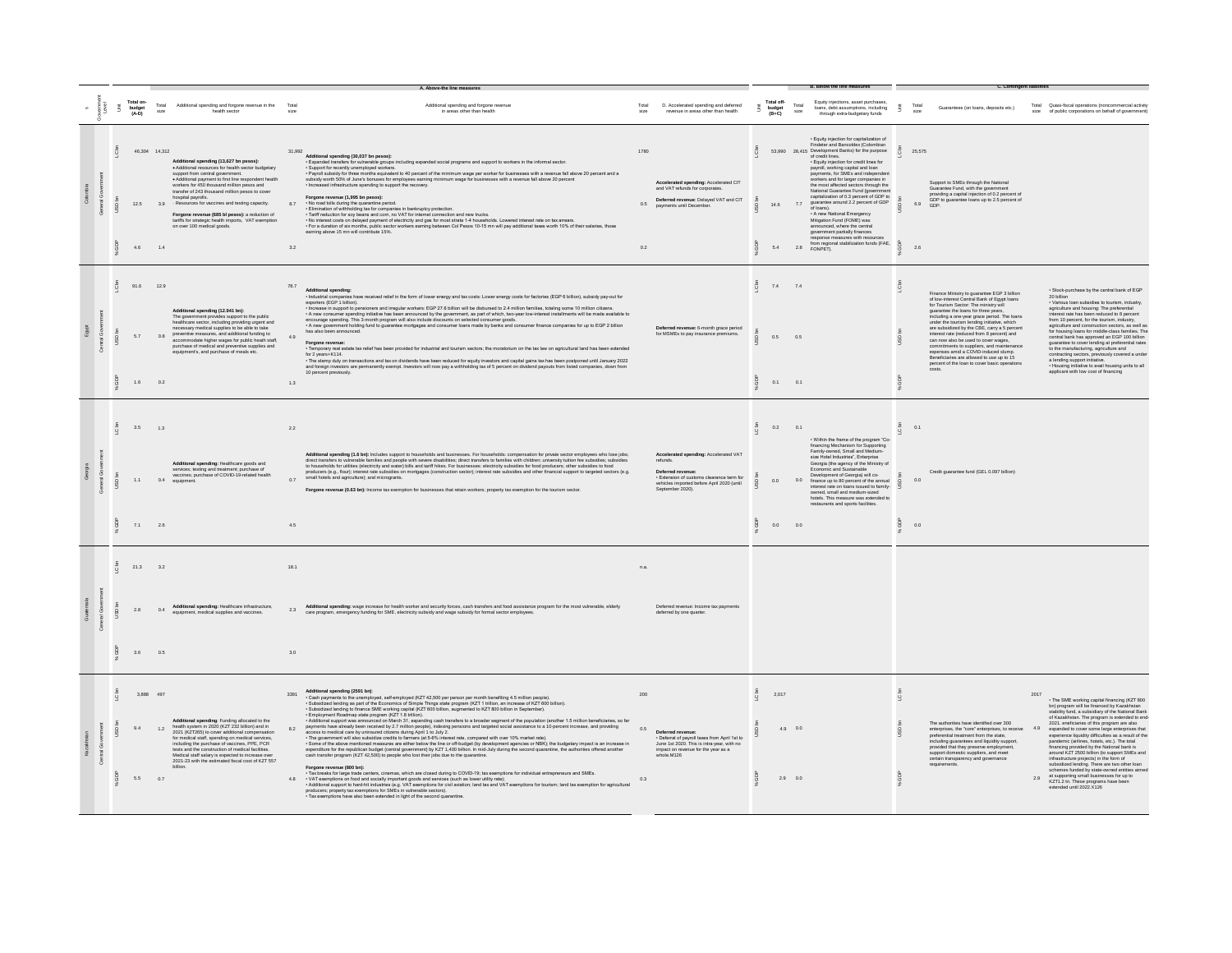|  |        | Total on-<br>budget<br>(A-D) |                         | Total Additional spending and forcone revenue in the Total<br>health secto                                                                                                                                                                                                                                                                                                                                                                                                                                     |                      | Additional spending and forgone revenue<br>in areas other than health                                                                                                                                                                                                                                                                                                                                                                                                                                                                                                                                                                                                                                                                                                                                                                                                                                                                                                                                                                                                                                                                                                                                                                                                                                                                                                                                                                                                                                                                                                                                                                                                                                                                                        | Total              | D. Accelerated spending and deferred<br>revenue in areas other than health                                                                                                            | Ã  | Total off-<br>budget<br>$(B+C)$ | Total<br>size      | Equity injections, asset purchases<br>loans, debt assumptions, including<br>through extra-budgetary funds                                                                                                                                                                                                                                                                                                                                                                                                                                                                                                                                                                                                                                                                  | Ξ.             | Total                     | Guarantees (on loans, deposits etc.)                                                                                                                                                                                                                                                                                                                                                                                                                                                                                                                                                     |                   | Total Quasi-fiscal operations (noncommercial activity<br>size of public corporations on behalf of government                                                                                                                                                                                                                                                                                                                                                                                                                                                                                                                                                                                                                                                      |
|--|--------|------------------------------|-------------------------|----------------------------------------------------------------------------------------------------------------------------------------------------------------------------------------------------------------------------------------------------------------------------------------------------------------------------------------------------------------------------------------------------------------------------------------------------------------------------------------------------------------|----------------------|--------------------------------------------------------------------------------------------------------------------------------------------------------------------------------------------------------------------------------------------------------------------------------------------------------------------------------------------------------------------------------------------------------------------------------------------------------------------------------------------------------------------------------------------------------------------------------------------------------------------------------------------------------------------------------------------------------------------------------------------------------------------------------------------------------------------------------------------------------------------------------------------------------------------------------------------------------------------------------------------------------------------------------------------------------------------------------------------------------------------------------------------------------------------------------------------------------------------------------------------------------------------------------------------------------------------------------------------------------------------------------------------------------------------------------------------------------------------------------------------------------------------------------------------------------------------------------------------------------------------------------------------------------------------------------------------------------------------------------------------------------------|--------------------|---------------------------------------------------------------------------------------------------------------------------------------------------------------------------------------|----|---------------------------------|--------------------|----------------------------------------------------------------------------------------------------------------------------------------------------------------------------------------------------------------------------------------------------------------------------------------------------------------------------------------------------------------------------------------------------------------------------------------------------------------------------------------------------------------------------------------------------------------------------------------------------------------------------------------------------------------------------------------------------------------------------------------------------------------------------|----------------|---------------------------|------------------------------------------------------------------------------------------------------------------------------------------------------------------------------------------------------------------------------------------------------------------------------------------------------------------------------------------------------------------------------------------------------------------------------------------------------------------------------------------------------------------------------------------------------------------------------------------|-------------------|-------------------------------------------------------------------------------------------------------------------------------------------------------------------------------------------------------------------------------------------------------------------------------------------------------------------------------------------------------------------------------------------------------------------------------------------------------------------------------------------------------------------------------------------------------------------------------------------------------------------------------------------------------------------------------------------------------------------------------------------------------------------|
|  |        | 4.6                          | 46.304 14.312<br>1.4    | Additional spending (13,627 bn pesos):<br>· Additional resources for health sector budgetary<br>support from central government<br>· Additional payment to first line respondent health<br>workers for 450 thousand million pesos and<br>transfer of 243 thousand million pesos to cover<br>hospital payrolls.<br>12.5 3.9 Resources for vaccines and testing capacity.<br>Forgone revenue (685 bl pesos): a reduction of<br>tariffs for strategic health imports, VAT exemption<br>on over 100 medical goods. | 31.992<br>8.7<br>3.2 | Additional spending (30,037 bn pesos):<br>· Expanded transfers for vulnerable groups including expanded social programs and support to workers in the informal sector.<br>· Support for recently unemployed workers.<br>Composition in the months equivalent to 40 percent of the minimum wage per worker for businesses with a revenue fall above 20 percent and a<br>subsidy worth 50% of June's bonuses for employees earning minimum wage for busines<br>· Increased infrastructure spending to support the recovery.<br>Forgone revenue (1.995 bn pesos):<br>- No road tolls during the quarantine period.<br>- No road tolls during the quarantine period.<br>- Elimination of withholding tax for companies in bankruptcy protection.<br>- Tariff reduction for soy beans and com, no VAT for internet connection and new trucks.<br>- No interest costs on delayed payment of electricity and gas for most strats 1-4 housebolds. Lowered interest rate on tax arrears.<br>-<br>earning above 15 mn will contribute 15%.                                                                                                                                                                                                                                                                                                                                                                                                                                                                                                                                                                                                                                                                                                                             | 1780<br>0.5<br>0.2 | Accelerated spending: Accelerated CIT<br>and VAT refunds for corporates.<br>Deferred revenue: Delayed VAT and CIT<br>payments until December.                                         |    | 14.6<br>5.4                     | 7.7                | · Equity injection for capitalization of<br>Equisy injection for cupinalization of<br>Findeter and Bancoldex (Colombian<br>53,990 28,415 Development Banks) for the purpose<br>of credit lines.<br>· Equity injection for credit lines for<br>payroll, working capital and loan<br>payments, for SMEs and independent<br>workers and for larger companies in<br>the most affected sectors through the<br>National Guarantee Fund (government<br>capitalization of 0.3 percent of GDP to<br>quarantee around 2.2 percent of GDP<br>of loans).<br>. A new National Emergency<br>Mitigation Fund (FOME) was<br>announced, where the central<br>government partially finances<br>response measures with resources<br>from regional stabilization funds (FAE, a<br>2.8 FONPET). |                | 25.575<br>6.9 GDP.<br>2.6 | Support to SMEs through the National<br>Guarantee Fund, with the government<br>providing a capital injection of 0.2 percent of<br>GDP to guarantee loans up to 2.5 percent of                                                                                                                                                                                                                                                                                                                                                                                                            |                   |                                                                                                                                                                                                                                                                                                                                                                                                                                                                                                                                                                                                                                                                                                                                                                   |
|  |        | 91.6<br>5.7<br>1.6           | 12.9<br>0.8<br>0.2      | Additional spending (12.941 bn):<br>The government provides support to the public<br>healthcare sector, including providing urgent and<br>necessary medical supplies to be able to take<br>preventive measures, and additional funding to<br>accommodate higher wages for public heath staff,<br>purchase of medical and preventive supplies and<br>equipment's, and purchase of meals etc.                                                                                                                    | 78.7<br>4.9<br>1.3   | Additional spending:<br>· Industrial companies have received relief in the form of lower energy and tax costs: Lower energy costs for factories (EGP 6 billion), subsidy pay-out for<br>exporters (EGP 1 billion).<br>- Increase in support to pensioners and irregular workers: EGP 27.6 billion will be disbursed to 2.4 million families, totaling some 10 million citizens.<br>- A new consumer spending initiative has been announced by the government, as part of which, two-year low-interest installments will be made available to encourage spending. This 3-month program will also include discounts<br>- A new government holding fund to guarantee mortgages and consumer loans made by banks and consumer finance companies for up to EGP 2 billion<br>has also been announced.<br>Forgone revenue<br>· Temporary real estate tax relief has been provided for industrial and tourism sectors; the moratorium on the tax law on agricultural land has been extended<br>for 2 years+K114.<br>- The stamp duty on transactions and tax on dividends have been reduced for equity investors and capital gains tax has been postponed until January 2022<br>and foreign investors are permanently exempt. Investors will now pay a withholding tax of 5 percent on dividend payouts from listed companies, down from<br>10 percent previously.                                                                                                                                                                                                                                                                                                                                                                                                   |                    | Deferred revenue: 6-month grace period<br>for MSMEs to pay insurance premiums.                                                                                                        |    | 7.4 7.4<br>0.5<br>0.1 0.1       | 0.6                |                                                                                                                                                                                                                                                                                                                                                                                                                                                                                                                                                                                                                                                                                                                                                                            | $\overline{a}$ |                           | Finance Ministry to guarantee EGP 3 billion<br>of low-interest Central Bank of Egypt Ioans<br>for Tourism Sector: The ministry will<br>quarantee the loans for three years.<br>ncluding a one-year grace period. The loans<br>under the tourism lending initiative, which<br>are subsidized by the CBE, carry a 5 percent<br>interest rate (reduced from 8 percent) and<br>can now also be used to cover wages,<br>commitments to suppliers, and main<br>expenses amid a COVID-induced slump.<br>Beneficiaries are allowed to use up to 15<br>percent of the loan to cover basic operati |                   | · Stock-purchase by the central bank of EGP<br>20 billion<br>· Various loan subsidies to tourism, industry,<br>agriculture and housing: The preferential<br>nterest rate has been reduced to 8 percent<br>from 10 percent, for the tourism, industry,<br>agriculture and construction sectors, as well as<br>for housing loans for middle-class families. The<br>central bank has approved an EGP 100 billion<br>guarantee to cover lending at preferential rates<br>to the manufacturing, agriculture and<br>contracting sectors, previously covered a unde<br>a lending support initiative.<br>Housing initiative to avail housing units to all<br>applicant with low cost of financing                                                                         |
|  | ă<br>S | 3.5<br>1.1<br>7.1            | 1.3<br>2.6              | Additional spending: Healthcare goods and<br>services; testing and treatment; purchase of<br>vaccines; purchase of COVID-19-related health<br>0.4 equipment.                                                                                                                                                                                                                                                                                                                                                   | 2.2<br>0.7<br>4.5    | Additional spending (1.6 bn): Includes support to households and businesses. For households: compensation for private sector employees who lose jobs;<br>direct transiles to winnerable families and people with severe disabilit<br>producers (e.g., flour); interest rate subsidies on mortgages (construction sector); interest rate subsidies and other financial support to targeted sectors (e.g.<br>small hotels and agriculture); and microgrants.<br>Forgone revenue (0.63 bn): Income tax exemption for businesses that retain workers; property tax exemption for the tourism sector.                                                                                                                                                                                                                                                                                                                                                                                                                                                                                                                                                                                                                                                                                                                                                                                                                                                                                                                                                                                                                                                                                                                                                             |                    | Accelerated spending: Accelerated VAT<br>refunds.<br>Deferred revenue:<br>· Extension of customs clearance term for<br>vehicles imported before April 2020 (until<br>September 2020). |    | $0.2$ 0.1<br>0.0<br>0.0 0.0     | 0.0                | . Within the frame of the program "Co-<br>financing Mechanism for Supporting<br>Family-owned, Small and Medium-<br>size Hotel Industries", Enterprise<br>Georgia (the agency of the Ministry of<br>Economic and Sustainable<br>Development of Georgia) will co-<br>finance up to 80 percent of the annual<br>interest rate on loans issued to family-<br>owned, small and medium-sized<br>hotels. This measure was extended to<br>restaurants and sports facilities.                                                                                                                                                                                                                                                                                                       | ā              | 0.1<br>0.0<br>0.0         | Credit guarantee fund (GEL 0.097 billion)                                                                                                                                                                                                                                                                                                                                                                                                                                                                                                                                                |                   |                                                                                                                                                                                                                                                                                                                                                                                                                                                                                                                                                                                                                                                                                                                                                                   |
|  |        | 21.3<br>2.8<br>3.6           | 3.2<br>0.4<br>0.5       | Additional spending: Healthcare infrastructure.<br>equipment, medical supplies and vaccines.                                                                                                                                                                                                                                                                                                                                                                                                                   | 18.1<br>3.0          | Additional spending: wage increase for health worker and security forces, cash transfers and food assistance program for the most vulnerable, elderly<br>2.3 Additional spending: wage increase ror ireaiur wurker and secondy worker, were increased to the care program, emergency funding for SME, electricity subsidy and wage subsidy for formal sector employees.                                                                                                                                                                                                                                                                                                                                                                                                                                                                                                                                                                                                                                                                                                                                                                                                                                                                                                                                                                                                                                                                                                                                                                                                                                                                                                                                                                                      | n.a.               | Deferred revenue: Income tax payments<br>deferred by one quarter.                                                                                                                     |    |                                 |                    |                                                                                                                                                                                                                                                                                                                                                                                                                                                                                                                                                                                                                                                                                                                                                                            |                |                           |                                                                                                                                                                                                                                                                                                                                                                                                                                                                                                                                                                                          |                   |                                                                                                                                                                                                                                                                                                                                                                                                                                                                                                                                                                                                                                                                                                                                                                   |
|  |        | 94<br>5.5                    | 3.888 497<br>1.2<br>0.7 | Additional spending: Funding allocated to the<br>health system in 2020 (KZT 232 billion) and in<br>2021 (KZT265) to cover additional compensation<br>for medical staff, spending on medical services,<br>including the purchase of vaccines, PPE, PCR<br>tests and the construction of medical facilities.<br>Medical staff salary is expected to increase<br>2021-23 with the estimated fiscal cost of KZT 557                                                                                                | 3391<br>8.2          | Additional spending (2591 bn):<br>- Cash payments to the unemployed, self-employed (KZT 42,500 per person per month benefiting 4.5 million people).<br>- Cash payments to the unemployed, self-employed (KZT 42,500 per person per month benefiting 4.5 million peo<br>· Subsidized lending to finance SME working capital (KZT 600 billion, augmented to KZT 800 billion in September).<br>- Employment Roadmap state program (KZT 1.8 trillion).<br>- Additional support was announced on March 31, expanding cash transfers to a broader segment of the population (another 1.5 million beneficiaries, so far<br>payments have already been received by 27 million people), indexing<br>- The government will also subsidize credits to farmers (at 5-8% interest rate, compared with over 10% market rate).<br>- Some of the above mentioned measures are either below the line or off-budget (by development agencies o<br>expenditure for the republican budget (central government) by KZT 1,400 billion. In mid-July during the second quarantine, the authorities offered another<br>cash transfer program (KZT 42,500) to people who lost their jobs due to the quarantine.<br>Forgone revenue (800 bn):<br>- Tax breaks for large trade centers, cinemas, which are closed during to COVID-19; tax exemptions for individual entrepreneurs and SMEs.<br>-<br>VAT exemptions on food and socially important goods and services (such as lower utility rate);<br>- Additional support to hard-hit industries (e.g. VAT exemptions for civil aviation; land tax and VAT exemptions for tourism;<br>producers: property tax exemptions for SMEs in vulnerable sectors).<br>- Tax exemptions have also been extended in light of the second quarantine | 200<br>0.6<br>0.3  | Deferred revenue:<br>. Deferral of payroll taxes from April 1st to<br>June 1st 2020. This is intra-year, with no<br>impact on revenue for the year as a<br>whole.M126                 | -8 | 2.017                           | 4.9 0.0<br>2.9 0.0 |                                                                                                                                                                                                                                                                                                                                                                                                                                                                                                                                                                                                                                                                                                                                                                            |                |                           | The authorities have identified over 300<br>enterprises, the "core" enterprises, to receive<br>preferential treatment from the state.<br>including guarantees and liquidity support<br>provided that they preserve employment,<br>support domestic suppliers, and meet<br>certain transparency and governance<br>requirements                                                                                                                                                                                                                                                            | 2017<br>49<br>2.9 | . The SME working capital financing (KZT 800<br>bn) program will be financed by Kazakhstan<br>stability fund, a subsidiary of the National Bank<br>of Kazakhstan. The program is extended to end-<br>2021. eneficiaries of this program are also<br>expanded to cover some large enterprises that<br>experience liquidity difficulties as a result of the<br>pandemic (airlines, hotels, etc.). The total<br>financing provided by the National bank is<br>around KZT 2500 billion (to support SMEs and<br>infrastructure projects) in the form of<br>subsidized lending. There are two other loan<br>schemes funded by state-owned entities aimed<br>at supporting small businesses for up to<br>KZT1.2 tn. These programs have been<br>extended until 2022.X126 |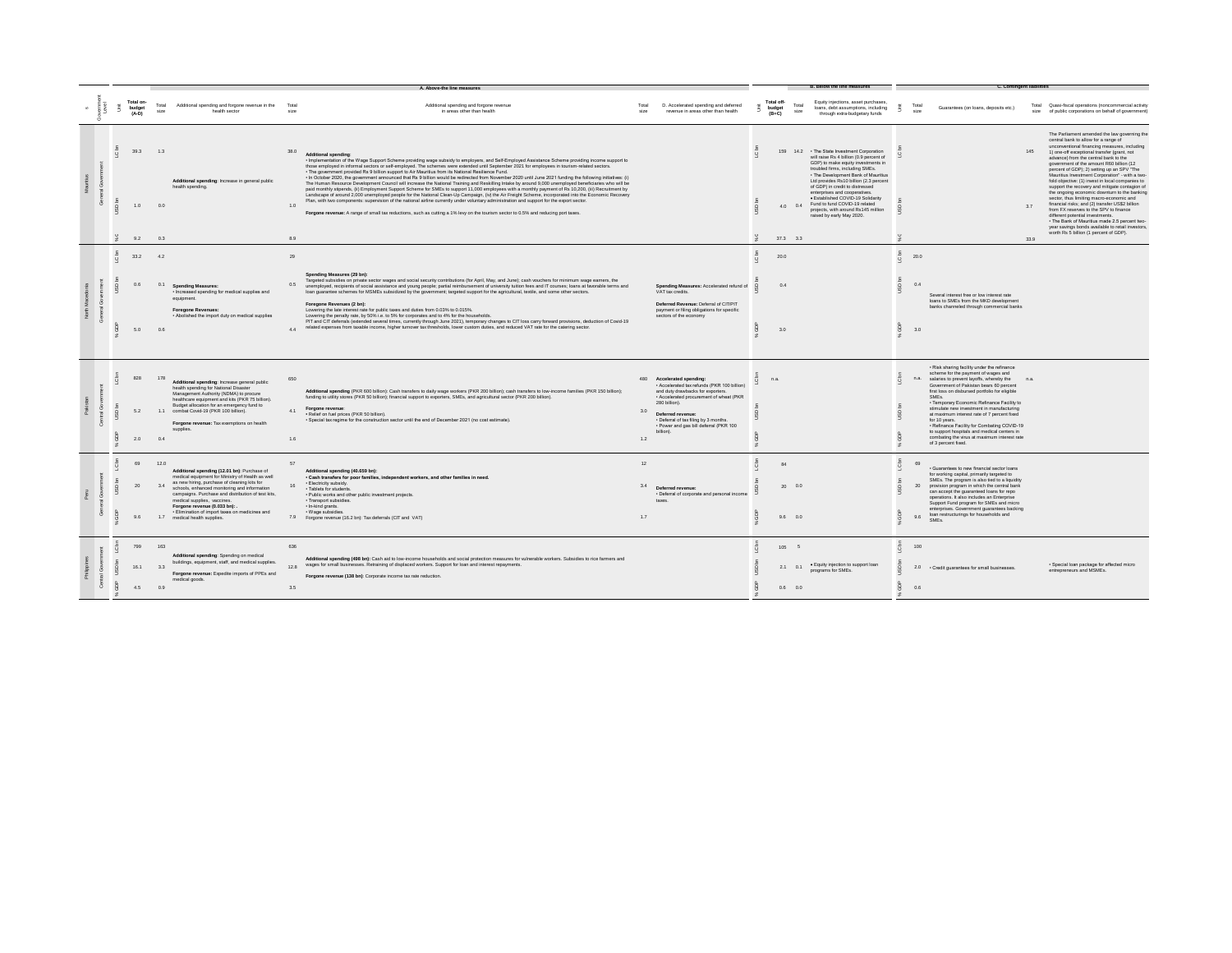|  |                |                                |                   |                                                                                                                                                                                                                                                       |                    | A. Above-the line measures                                                                                                                                                                                                                                                                                                                                                                                                                                                                                                                                                                                                                                                                                                                                                                                                                                                                                                                                                                                                                                                                                                                                                                                                                                                                                                                                        |               |                                                                                                                                                                               |                                 |               | <b>B. Below the line measures</b>                                                                                                                                                                                                                                                                                                                                                                                                                                  |                           |                                                                                                                                                                                                                                                                                                                                                    | <b>C. Contingent liabilities</b> |                                                                                                                                                                                                                                                                                                                                                                                                                                                                                                                                                                                                                                                                                                                                                                                                                                                             |
|--|----------------|--------------------------------|-------------------|-------------------------------------------------------------------------------------------------------------------------------------------------------------------------------------------------------------------------------------------------------|--------------------|-------------------------------------------------------------------------------------------------------------------------------------------------------------------------------------------------------------------------------------------------------------------------------------------------------------------------------------------------------------------------------------------------------------------------------------------------------------------------------------------------------------------------------------------------------------------------------------------------------------------------------------------------------------------------------------------------------------------------------------------------------------------------------------------------------------------------------------------------------------------------------------------------------------------------------------------------------------------------------------------------------------------------------------------------------------------------------------------------------------------------------------------------------------------------------------------------------------------------------------------------------------------------------------------------------------------------------------------------------------------|---------------|-------------------------------------------------------------------------------------------------------------------------------------------------------------------------------|---------------------------------|---------------|--------------------------------------------------------------------------------------------------------------------------------------------------------------------------------------------------------------------------------------------------------------------------------------------------------------------------------------------------------------------------------------------------------------------------------------------------------------------|---------------------------|----------------------------------------------------------------------------------------------------------------------------------------------------------------------------------------------------------------------------------------------------------------------------------------------------------------------------------------------------|----------------------------------|-------------------------------------------------------------------------------------------------------------------------------------------------------------------------------------------------------------------------------------------------------------------------------------------------------------------------------------------------------------------------------------------------------------------------------------------------------------------------------------------------------------------------------------------------------------------------------------------------------------------------------------------------------------------------------------------------------------------------------------------------------------------------------------------------------------------------------------------------------------|
|  |                | Total on-<br>budget<br>$(A-D)$ | Total<br>size     | Additional spending and forgone revenue in the<br>health sector                                                                                                                                                                                       | Tota<br>size       | Additional spending and forgone revenue<br>in areas other than health                                                                                                                                                                                                                                                                                                                                                                                                                                                                                                                                                                                                                                                                                                                                                                                                                                                                                                                                                                                                                                                                                                                                                                                                                                                                                             | Total<br>size | D. Accelerated spending and deferred<br>revenue in areas other than health                                                                                                    | Total off-<br>budget<br>$(B+C)$ | Total<br>size | Equity injections, asset purchases,<br>loans, debt assumptions, including<br>through extra-budgetary funds                                                                                                                                                                                                                                                                                                                                                         |                           | Total<br>Guarantees (on loans, deposits etc.)<br>size                                                                                                                                                                                                                                                                                              |                                  | Total Quasi-fiscal operations (noncommercial activity<br>size of public corporations on behalf of government)                                                                                                                                                                                                                                                                                                                                                                                                                                                                                                                                                                                                                                                                                                                                               |
|  |                | 39.3<br>1.0<br>9.2             | 1.3<br>0.0<br>0.3 | Additional spending: Increase in general public<br>health spending.                                                                                                                                                                                   | 38.0<br>1.0<br>8.9 | <b>Additional spending</b><br>- Implementation of the Wage Support Scheme providing wage subsidy to employers, and Self-Employed Assistance Scheme providing income support to<br>those employed in informal sectors or self-employed. The schemes were extended until September 2021 for employees in tourism-related sectors.<br>. The government provided Rs 9 billion support to Air Mauritius from its National Resilience Fund.<br>- In October 2020, the government announced that Rs 9 billion would be redirected from November 2020 until June 2021 funding the following initiatives: (i)<br>The Human Resource Development Council will increase the National Training and Reskilling Intake by around 9,000 unemployed beneficiaries who will be<br>paid monthly stipends, (ii) Employment Support Scheme for SMEs to support 11,000 employees with a monthly payment of Rs 10,200, (iii) Recruitment by<br>Landscape of around 2,000 unemployed people for the National Clean-Up Campaign, (iv) the Air Freight Scheme, incorporated into the Economic Recovery<br>Plan, with two components: supervision of the national airline currently under voluntary administration and support for the export sector.<br>Forgone revenue: A range of small tax reductions, such as cutting a 1% levy on the tourism sector to 0.5% and reducing port taxes. |               |                                                                                                                                                                               | 159<br>37.3 3.3                 |               | 14.2 • The State Investment Corporation<br>will raise Rs 4 billion (0.9 percent of<br>GDP) to make equity investments in<br>troubled firms, including SMEs.<br>. The Development Bank of Mauritius<br>Ltd provides Rs10 billion (2.3 percent<br>of GDP) in credit to distressed<br>enterprises and cooperatives.<br>· Established COVID-19 Solidarity<br>4.0 0.4 Fund to fund COVID-19 related<br>projects, with around Rs145 million<br>raised by early May 2020. |                           |                                                                                                                                                                                                                                                                                                                                                    | 145<br>3.7<br>33.9               | The Parliament amended the law governing the<br>central bank to allow for a range of<br>unconventional financing measures, including<br>1) one-off exceptional transfer (grant, not<br>advance) from the central bank to the<br>government of the amount R60 billion (12<br>percent of GDP); 2) setting up an SPV "The<br>Mauritius Investment Corporation" - with a two<br>fold objective: (1) invest in local companies to<br>support the recovery and mitigate contagion of<br>the ongoing economic downturn to the banking<br>sector, thus limiting macro-economic and<br>financial risks; and (2) transfer US\$2 billion<br>from FX reserves to the SPV to finance<br>different potential investments.<br>. The Bank of Mauritius made 2.5 percent two-<br>year savings bonds available to retail investors,<br>worth Rs 5 billion (1 percent of GDP). |
|  | $\circ$        | 33.2                           | 4.2               |                                                                                                                                                                                                                                                       | 29                 |                                                                                                                                                                                                                                                                                                                                                                                                                                                                                                                                                                                                                                                                                                                                                                                                                                                                                                                                                                                                                                                                                                                                                                                                                                                                                                                                                                   |               |                                                                                                                                                                               | 20.0                            |               |                                                                                                                                                                                                                                                                                                                                                                                                                                                                    | $\mathbf Q$               | 20.0                                                                                                                                                                                                                                                                                                                                               |                                  |                                                                                                                                                                                                                                                                                                                                                                                                                                                                                                                                                                                                                                                                                                                                                                                                                                                             |
|  |                | 5.0                            | 0.1<br>0.6        | <b>Spending Measures:</b><br>· Increased spending for medical supplies and<br>equipment.<br><b>Foregone Revenues:</b><br>. Abolished the import duty on medical supplies                                                                              | 0.5<br>44          | Spending Measures (29 bn):<br>Targeted subsidies on private sector wages and social security contributions (for April, May, and June); cash vouchers for minimum wage earners, the<br>unemployed, recipients of social assistance and young people; partial reimbursement of university tuition fees and IT courses; loans at favorable terms and<br>loan guarantee schemes for MSMEs subsidized by the government; targeted support for the agricultural, textile, and some other sectors.<br>Foregone Revenues (2 bn):<br>Lowering the late interest rate for public taxes and duties from 0.03% to 0.015%.<br>Lowering the penalty rate, by 50% i.e. to 5% for corporates and to 4% for the households.<br>PIT and CIT deferrals (extended several times, currently through June 2021), temporary changes to CIT loss carry forward provisions, deduction of Covid-19<br>related expenses from taxable income, higher turnover tax thresholds, lower custom duties, and reduced VAT rate for the catering sector.                                                                                                                                                                                                                                                                                                                                              |               | Spending Measures: Accelerated refund of<br>VAT tax credits.<br>Deferred Revenue: Deferral of CIT/PIT<br>payment or filing obligations for specific<br>sectors of the economy | 0.4<br>3.0                      |               |                                                                                                                                                                                                                                                                                                                                                                                                                                                                    |                           | 0.4<br>Several interest free or low interest rate<br>loans to SMEs from the MKD development<br>banks channeled through commercial banks<br>3.0                                                                                                                                                                                                     |                                  |                                                                                                                                                                                                                                                                                                                                                                                                                                                                                                                                                                                                                                                                                                                                                                                                                                                             |
|  |                | 828                            | 178               | Additional spending: Increase general public<br>health spending for National Disaster<br>Management Authority (NDMA) to procure<br>healthcare equipment and kits (PKR 75 billion).<br>Budget allocation for an emergency fund to                      | 650                | Additional spending (PKR 600 billion): Cash transfers to daily wage workers (PKR 200 billion); cash transfers to low-income families (PKR 150 billion);<br>funding to utility stores (PKR 50 billion); financial support to exporters, SMEs, and agricultural sector (PKR 200 billion).<br>Forgone revenue:                                                                                                                                                                                                                                                                                                                                                                                                                                                                                                                                                                                                                                                                                                                                                                                                                                                                                                                                                                                                                                                       | 480           | <b>Accelerated spending</b><br>- Accelerated tax refunds (PKR 100 billion)<br>and duty drawbacks for exporters.<br>· Accelerated procurement of wheat (PKR<br>280 billion).   | n.a                             |               |                                                                                                                                                                                                                                                                                                                                                                                                                                                                    |                           | · Risk sharing facility under the refinance<br>scheme for the payment of wages and<br>n.a.<br>salaries to prevent layoffs, whereby the<br>Government of Pakistan bears 60 percent<br>first loss on disbursed portfolio for eligible<br>SMF <sub>*</sub><br>· Temporary Economic Refinance Facility to<br>stimulate new investment in manufacturing |                                  |                                                                                                                                                                                                                                                                                                                                                                                                                                                                                                                                                                                                                                                                                                                                                                                                                                                             |
|  |                | 5.2<br>2.0                     | 0.4               | 1.1 combat Covid-19 (PKR 100 billion).<br>Forgone revenue: Tax exemptions on health<br>supplies                                                                                                                                                       | 4.1<br>1.6         | · Relief on fuel prices (PKR 50 billion).<br>· Special tax regime for the construction sector until the end of December 2021 (no cost estimate).                                                                                                                                                                                                                                                                                                                                                                                                                                                                                                                                                                                                                                                                                                                                                                                                                                                                                                                                                                                                                                                                                                                                                                                                                  | 3.0<br>1.2    | Deferred revenue:<br>. Deferral of tax filing by 3 months.<br>· Power and gas bill deferral (PKR 100<br>billion).                                                             |                                 |               |                                                                                                                                                                                                                                                                                                                                                                                                                                                                    |                           | at maximum interest rate of 7 percent fixed<br>for 10 years.<br>. Refinance Facility for Combating COVID-19<br>to support hospitals and medical centers in<br>combating the virus at maximum interest rate<br>of 3 percent fixed.                                                                                                                  |                                  |                                                                                                                                                                                                                                                                                                                                                                                                                                                                                                                                                                                                                                                                                                                                                                                                                                                             |
|  |                | 69<br>20                       | 12.0<br>3.4       | Additional spending (12.01 bn): Purchase of<br>medical equipment for Ministry of Health as well<br>as new hiring, purchase of cleaning kits for<br>schools, enhanced monitoring and information<br>campaigns. Purchase and distribution of test kits, | 57                 | Additional spending (40.659 bn):<br>· Cash transfers for poor families, independent workers, and other families in need.<br>· Electricity subsidy.<br>· Tablets for students.<br>· Public works and other public investment projects.                                                                                                                                                                                                                                                                                                                                                                                                                                                                                                                                                                                                                                                                                                                                                                                                                                                                                                                                                                                                                                                                                                                             | 12<br>3.4     | Deferred revenue:<br>· Deferral of corporate and personal income                                                                                                              | RA<br>2000.0                    |               |                                                                                                                                                                                                                                                                                                                                                                                                                                                                    | $\overline{a}$<br>$\circ$ | · Guarantees to new financial sector loans<br>for working capital, primarily targeted to<br>SMEs. The program is also tied to a liquidity<br>provision program in which the central bank<br>20<br>can accept the guaranteed loans for repo                                                                                                         |                                  |                                                                                                                                                                                                                                                                                                                                                                                                                                                                                                                                                                                                                                                                                                                                                                                                                                                             |
|  |                | 96                             |                   | medical supplies, vaccines.<br>Forgone revenue (0.033 bn): .<br>· Elimination of import taxes on medicines and<br>1.7 medical health supplies.                                                                                                        |                    | · Transport subsidies.<br>· In-kind grants.<br>· Wage subsidies<br>7.9 Forgone revenue (16.2 bn): Tax deferrals (CIT and VAT)                                                                                                                                                                                                                                                                                                                                                                                                                                                                                                                                                                                                                                                                                                                                                                                                                                                                                                                                                                                                                                                                                                                                                                                                                                     | 1.7           | taxes                                                                                                                                                                         | $9.6\qquad0.0$                  |               |                                                                                                                                                                                                                                                                                                                                                                                                                                                                    |                           | operations. It also includes an Enterprise<br>Support Fund program for SMEs and micro<br>enterprises. Government guarantees backing<br>loan restructurings for households and<br>9.6<br>SMEs.                                                                                                                                                      |                                  |                                                                                                                                                                                                                                                                                                                                                                                                                                                                                                                                                                                                                                                                                                                                                                                                                                                             |
|  | $\circ$<br>USD | 799<br>16.1                    | 163<br>33         | Additional spending: Spending on medical<br>buildings, equipment, staff, and medical supplies.<br>Forgone revenue: Expedite imports of PPEs and<br>medical goods.                                                                                     | 636<br>12.8        | Additional spending (498 bn): Cash aid to low-income households and social protection measures for vulnerable workers. Subsidies to rice farmers and<br>wages for small businesses. Retraining of displaced workers. Support for loan and interest repayments.<br>Forgone revenue (138 bn): Corporate income tax rate reduction                                                                                                                                                                                                                                                                                                                                                                                                                                                                                                                                                                                                                                                                                                                                                                                                                                                                                                                                                                                                                                   |               |                                                                                                                                                                               | 105 5<br>$2.1\qquad 0.1$        |               | · Equity injection to support loan<br>programs for SMEs.                                                                                                                                                                                                                                                                                                                                                                                                           | $\circ$                   | 100<br>2.0 • Credit guarantees for small businesses.                                                                                                                                                                                                                                                                                               |                                  | · Special loan package for affected micro<br>entrepreneurs and MSMEs.                                                                                                                                                                                                                                                                                                                                                                                                                                                                                                                                                                                                                                                                                                                                                                                       |
|  |                | 4.5                            | 0.9               |                                                                                                                                                                                                                                                       | $3.5\,$            |                                                                                                                                                                                                                                                                                                                                                                                                                                                                                                                                                                                                                                                                                                                                                                                                                                                                                                                                                                                                                                                                                                                                                                                                                                                                                                                                                                   |               |                                                                                                                                                                               | 0.6                             | 0.0           |                                                                                                                                                                                                                                                                                                                                                                                                                                                                    |                           | 0.6                                                                                                                                                                                                                                                                                                                                                |                                  |                                                                                                                                                                                                                                                                                                                                                                                                                                                                                                                                                                                                                                                                                                                                                                                                                                                             |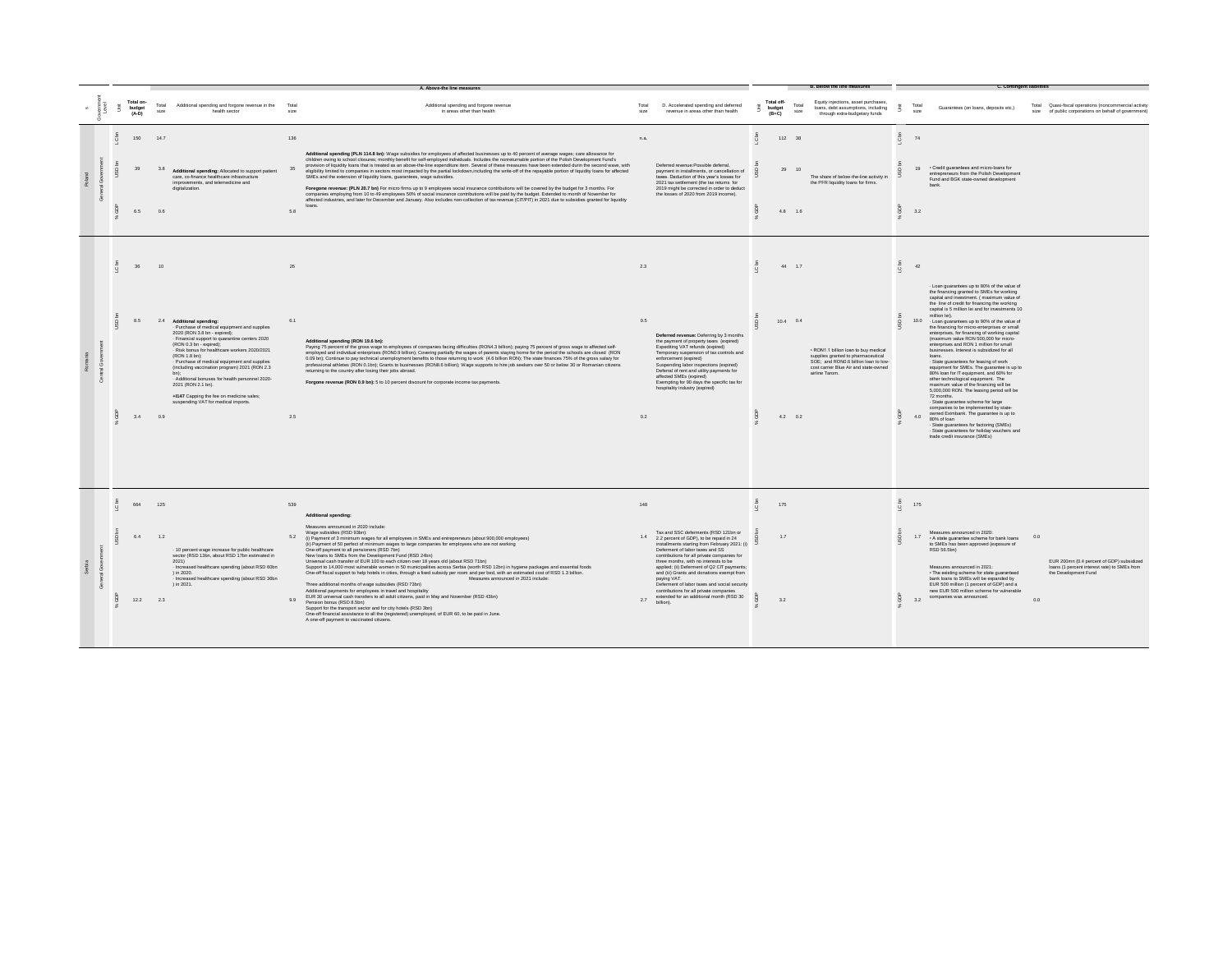|  |                                |                   |                                                                                                                                                                                                                                                                                                                                                                                                                                                                                                                |                   | A. Above-the line measures                                                                                                                                                                                                                                                                                                                                                                                                                                                                                                                                                                                                                                                                                                                                                                                                                                                                                                                                                                                                                                                                                                                                                                                                                                                                             |                   |                                                                                                                                                                                                                                                                                                                                                                                                                                                                                                                            |   |                                 |               |                                                                                                                                                                              |                       |                                                                                                                                                                                                                                                                                                                                                                                                                                                                                                                                                                                                                                                                                                                                                                                                                                                                                                                                                                                                                                                                                                                        |                                                                                                                                 |
|--|--------------------------------|-------------------|----------------------------------------------------------------------------------------------------------------------------------------------------------------------------------------------------------------------------------------------------------------------------------------------------------------------------------------------------------------------------------------------------------------------------------------------------------------------------------------------------------------|-------------------|--------------------------------------------------------------------------------------------------------------------------------------------------------------------------------------------------------------------------------------------------------------------------------------------------------------------------------------------------------------------------------------------------------------------------------------------------------------------------------------------------------------------------------------------------------------------------------------------------------------------------------------------------------------------------------------------------------------------------------------------------------------------------------------------------------------------------------------------------------------------------------------------------------------------------------------------------------------------------------------------------------------------------------------------------------------------------------------------------------------------------------------------------------------------------------------------------------------------------------------------------------------------------------------------------------|-------------------|----------------------------------------------------------------------------------------------------------------------------------------------------------------------------------------------------------------------------------------------------------------------------------------------------------------------------------------------------------------------------------------------------------------------------------------------------------------------------------------------------------------------------|---|---------------------------------|---------------|------------------------------------------------------------------------------------------------------------------------------------------------------------------------------|-----------------------|------------------------------------------------------------------------------------------------------------------------------------------------------------------------------------------------------------------------------------------------------------------------------------------------------------------------------------------------------------------------------------------------------------------------------------------------------------------------------------------------------------------------------------------------------------------------------------------------------------------------------------------------------------------------------------------------------------------------------------------------------------------------------------------------------------------------------------------------------------------------------------------------------------------------------------------------------------------------------------------------------------------------------------------------------------------------------------------------------------------------|---------------------------------------------------------------------------------------------------------------------------------|
|  | Total on-<br>budget<br>$(A-D)$ | Total<br>size     | Additional spending and forgone revenue in the<br>health sector                                                                                                                                                                                                                                                                                                                                                                                                                                                | Total<br>size     | Additional spending and forgone revenue<br>in areas other than health                                                                                                                                                                                                                                                                                                                                                                                                                                                                                                                                                                                                                                                                                                                                                                                                                                                                                                                                                                                                                                                                                                                                                                                                                                  | Total<br>size     | D. Accelerated spending and deferred<br>revenue in areas other than health                                                                                                                                                                                                                                                                                                                                                                                                                                                 |   | Total off-<br>budget<br>$(B+C)$ | Total<br>size | Equity injections, asset purchases.<br>loans, debt assumptions, including<br>through extra-budgetary funds                                                                   |                       | Tota<br>Guarantees (on loans, deposits etc.)<br>size                                                                                                                                                                                                                                                                                                                                                                                                                                                                                                                                                                                                                                                                                                                                                                                                                                                                                                                                                                                                                                                                   | Total Quasi-fiscal operations (noncommercial activity<br>size of public corporations on behalf of government)                   |
|  | 150<br>6.5                     | 147<br>3.8<br>0.6 | Additional spending: Allocated to support patient<br>care, co-finance healthcare infrastructure<br>improvements, and telemedicine and<br>digitalization.                                                                                                                                                                                                                                                                                                                                                       | 136<br>5.8        | Additional spending (PLN 114.8 bn): Wage subsidies for employees of affected businesses up to 40 percent of average wages; care allowance for<br>children owing to school closures; monthly benefit for self-employed individuals. Includes the nonreturnable portion of the Polish Development Fund's<br>provision of liquidity loans that is treated as an above-the-line expenditure item. Several of these measures have been extended durin the second wave, with<br>eligibility limited to companies in sectors most impacted by the partial lockdown,including the write-off of the repayable portion of liquidity loans for affected<br>SMEs and the extension of liquidity loans, guarantees, wage subsidies.<br>Foregone revenue: (PLN 20.7 bn) For micro firms up to 9 employees social insurance contributions will be covered by the budget for 3 months. For<br>companies employing from 10 to 49 employees 50% of social insurance contributions will be paid by the budget. Extended to month of November for<br>affected industries, and later for December and January. Also includes non-collection of tax revenue (CIT/PIT) in 2021 due to subsidies granted for liquidity<br>loans                                                                                                | n.a.              | Deferred revenue:Possible deferral,<br>payment in installments, or cancellation of<br>taxes. Deduction of this year's losses for<br>2021 tax settlement (the tax returns for<br>2019 might be corrected in order to deduct<br>the losses of 2020 from 2019 income).                                                                                                                                                                                                                                                        |   | 112 38<br>29<br>4.8 1.6         | 10            | The share of below-the-line activity in<br>the PFR liquidity loans for firms.                                                                                                | C bn                  | 74<br>. Credit quarantees and micro-loans for<br>19<br>entrepreneurs from the Polish Development<br>Fund and BGK state-owned development<br>hank<br>3.2                                                                                                                                                                                                                                                                                                                                                                                                                                                                                                                                                                                                                                                                                                                                                                                                                                                                                                                                                                |                                                                                                                                 |
|  | 36<br>8.5<br>3.4               | $10^{-1}$<br>0.9  | 2.4 Additional spending:<br>Purchase of medical equipment and supplies<br>2020 (RON 3.8 bn - expired):<br>- Financial support to quarantine centers 2020<br>(RON 0.3 bn - expired);<br>Risk bonus for healthcare workers 2020/2021<br>(RON 1.8 bn);<br>Purchase of medical equipment and supplies<br>(including vaccination program) 2021 (RON 2.3<br>- Additional bonuses for health personnel 2020-<br>2021 (RON 2.1 bn).<br>+1147 Capping the fee on medicine sales;<br>suspending VAT for medical imports. | 26<br>6.1<br>2.5  | Additional spending (RON 19.6 bn):<br>Paying 75 percent of the gross wage to employees of companies facing difficulties (RON4.3 billion); paying 75 percent of gross wage to affected self-<br>employed and individual enterprises (RON0.9 billion); Covering partially the wages of parents staying home for the period the schools are closed (RON<br>0.09 bn); Continue to pay technical unemployment benefits to those returning to work (4.6 billion RON); The state finances 75% of the gross salary for<br>professional athletes (RON 0.1bn); Grants to businesses (RON8.6 billion); Wage supports to hire job seekers over 50 or below 30 or Romanian citizens<br>returning to the country after losing their jobs abroad.<br>Forgone revenue (RON 0.9 bn): 5 to 10 percent discount for corporate income tax payments.                                                                                                                                                                                                                                                                                                                                                                                                                                                                        | 2.3<br>0.5<br>0.2 | Deferred revenue: Deferring by 3 months<br>the payment of property taxes (expired)<br>Expediting VAT refunds (expired)<br>Temporary suspension of tax controls and<br>enforcement (expired)<br>Suspending labor inspections (expired)<br>Deferral of rent and utility payments for<br>affected SMEs (expired)<br>Exempting for 90 days the specific tax for<br>hospitality industry (expired)                                                                                                                              |   | 44 1.7<br>$10.4$ 0.4<br>4.2 0.2 |               | . RON1.1 billion loan to buy medical<br>supplies granted to pharmaceutical<br>SOE; and RON0.6 billion loan to low-<br>cost carrier Blue Air and state-owned<br>airline Tarom | c.                    | 42<br>- Loan guarantees up to 80% of the value of<br>the financing granted to SMEs for working<br>capital and investment. (maximum value of<br>the line of credit for financing the working<br>capital is 5 million lei and for investments 10<br>million lei).<br>10.0 - Loan guarantees up to 90% of the value of<br>the financing for micro-enterprises or small<br>enterprises, for financing of working capital<br>(maximum value RON 500,000 for micro-<br>enterprises and RON 1 million for small<br>businesses, Interest is subsidized for all<br>loans<br>· State guarantees for leasing of work<br>equipment for SMEs. The guarantee is up to<br>80% loan for IT equipment, and 60% for<br>other technological equipment. The<br>maximum value of the financing will be<br>5,000,000 RON. The leasing period will be<br>72 months.<br>- State guarantee scheme for large<br>companies to be implemented by state-<br>owned Eximbank. The guarantee is up to<br>4.0<br>80% of loan<br>- State guarantees for factoring (SMEs)<br>- State guarantees for holiday vouchers and<br>trade credit insurance (SMEs) |                                                                                                                                 |
|  | 664<br>$6.4\,$<br>12.2         | 125<br>1.2<br>2.3 | - 10 percent wage increase for public healthcare<br>sector (RSD 13bn, about RSD 17bn estimated in<br>2021<br>- Increased healthcare spending (about RSD 60bn<br>) in 2020.<br>- Increased healthcare spending (about RSD 36bn<br>) in 2021.                                                                                                                                                                                                                                                                    | 539<br>5.2<br>9.9 | Additional spending:<br>Measures announced in 2020 include:<br>Wage subsidies (RSD 93bn):<br>(i) Payment of 3 minimum wages for all employees in SMEs and entrepreneurs (about 900,000 employees)<br>(ii) Payment of 50 perfect of minimum wages to large companies for employees who are not working<br>One-off payment to all pensioners (RSD 7bn)<br>New loans to SMEs from the Development Fund (RSD 24bn)<br>Universal cash transfer of EUR 100 to each citizen over 18 years old (about RSD 71bn)<br>Support to 14,000 most vulnerable women in 50 municipalities across Serbia (worth RSD 12bn) in hygiene packages and essential foods<br>One-off fiscal support to help hotels in cities, through a fixed subsidy per room and per bed, with an estimated cost of RSD 1.3 billion.<br>Measures announced in 2021 include:<br>Three additional months of wage subsidies (RSD 73bn)<br>Additional payments for employees in travel and hospitality<br>EUR 30 universal cash transfers to all adult citizens, paid in May and November (RSD 43bn)<br>Pension bonus (RSD 8.5bn)<br>Support for the transport sector and for city hotels (RSD 3bn)<br>One-off financial assistance to all the (registered) unemployed, of EUR 60, to be paid in June.<br>A one-off payment to vaccinated citizens. | 148<br>14<br>2.7  | Tax and SSC deferments (RSD 121bn or<br>2.2 percent of GDP), to be repaid in 24<br>installments starting from February 2021: (i)<br>Deferment of labor taxes and SS<br>contributions for all private companies for<br>three months, with no interests to be<br>applied; (ii) Deferment of Q2 CIT payments;<br>and (iii) Grants and donations exempt from<br>paying VAT.<br>Deferment of labor taxes and social security<br>contributions for all private companies<br>extended for an additional month (RSD 30<br>billion) | Q | 175<br>17<br>3.2                |               |                                                                                                                                                                              | LC br<br>$\circ$<br>유 | 175<br>Measures announced in 2020:<br>17<br>. A state guarantee scheme for bank loans<br>to SMEs has been approved (exposure of<br>RSD 56.5bn)<br>Measures announced in 2021:<br>. The existing scheme for state guaranteed<br>bank loans to SMEs will be expanded by<br>EUR 500 million (1 percent of GDP) and a<br>new EUR 500 million scheme for vulnerable<br>companies was announced.<br>3.2                                                                                                                                                                                                                                                                                                                                                                                                                                                                                                                                                                                                                                                                                                                      | 0.0<br>EUR 200mn (0.4 percent of GDP) subsidized<br>loans (1 percent interest rate) to SMEs from<br>the Development Fund<br>0.0 |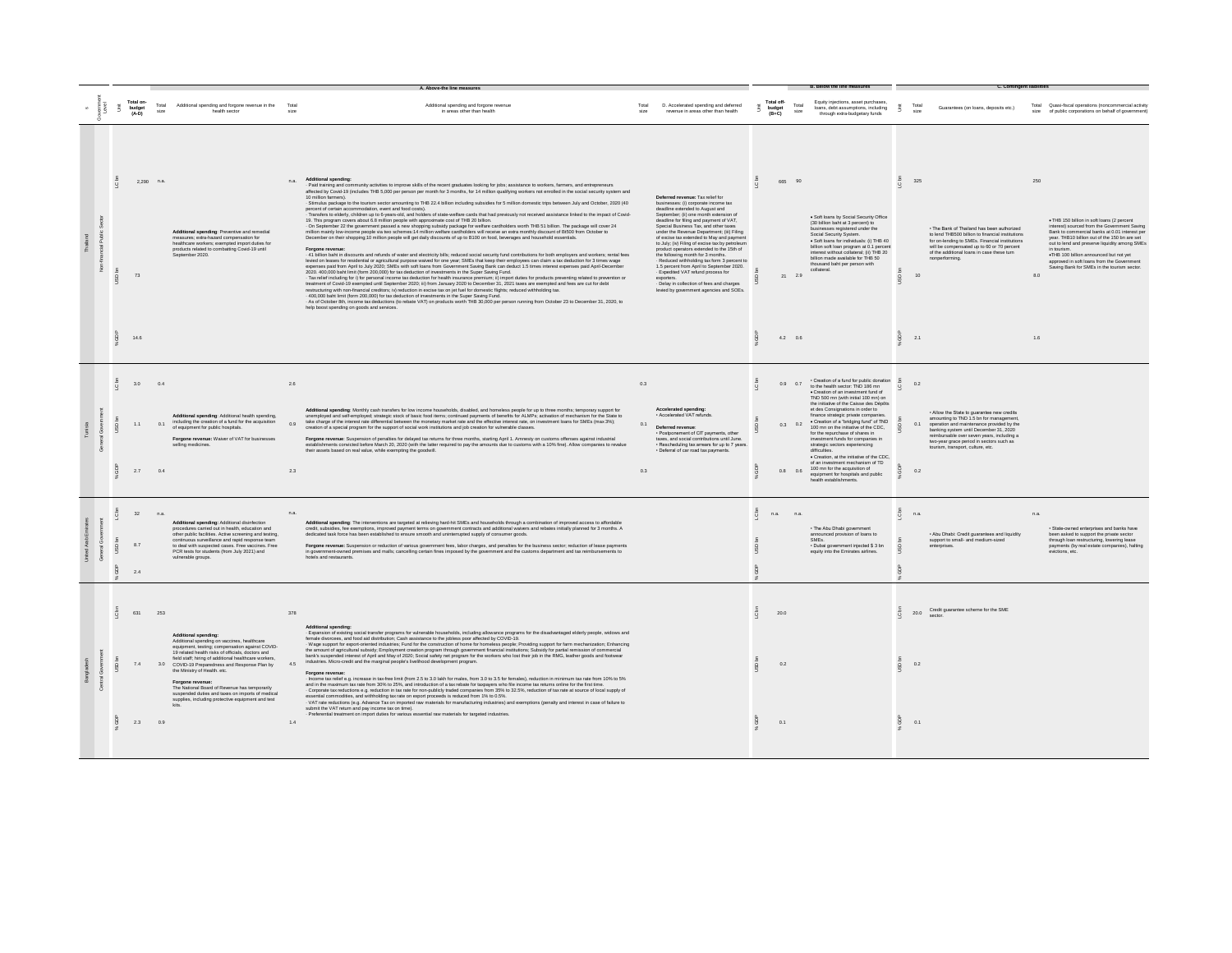|                 |                                                 |                   |                                                                                                                                                                                                                                                                                                                                                                                                                                                                                                             |                   |                                                                                                                                                                                                                                                                                                                                                                                                                                                                                                                                                                                                                                                                                                                                                                                                                                                                                                                                                                                                                                                                                                                                                                                                                                                                                                                                                                                                                                                                                                                                                                                                                                                                                                                                                                                                                                                                                                                                                                                                                                                                                                                                                                                                                                                                                                                                                                                                                                                                                                                                |                   |                                                                                                                                                                                                                                                                                                                                                                                                                                                                                                                                                                                                                                                                                                               |                      |                                                                  | <b>B. Below the line measures</b>                                                                                                                                                                                                                                                                                                                                                                                                                                                                                                                                                                                                                                                |                        | C. Contingent liabilities                                                                                                                                                                                                                                                                                                       |                                                                                                                                                                                                                                                                                                                                                                                                                             |
|-----------------|-------------------------------------------------|-------------------|-------------------------------------------------------------------------------------------------------------------------------------------------------------------------------------------------------------------------------------------------------------------------------------------------------------------------------------------------------------------------------------------------------------------------------------------------------------------------------------------------------------|-------------------|--------------------------------------------------------------------------------------------------------------------------------------------------------------------------------------------------------------------------------------------------------------------------------------------------------------------------------------------------------------------------------------------------------------------------------------------------------------------------------------------------------------------------------------------------------------------------------------------------------------------------------------------------------------------------------------------------------------------------------------------------------------------------------------------------------------------------------------------------------------------------------------------------------------------------------------------------------------------------------------------------------------------------------------------------------------------------------------------------------------------------------------------------------------------------------------------------------------------------------------------------------------------------------------------------------------------------------------------------------------------------------------------------------------------------------------------------------------------------------------------------------------------------------------------------------------------------------------------------------------------------------------------------------------------------------------------------------------------------------------------------------------------------------------------------------------------------------------------------------------------------------------------------------------------------------------------------------------------------------------------------------------------------------------------------------------------------------------------------------------------------------------------------------------------------------------------------------------------------------------------------------------------------------------------------------------------------------------------------------------------------------------------------------------------------------------------------------------------------------------------------------------------------------|-------------------|---------------------------------------------------------------------------------------------------------------------------------------------------------------------------------------------------------------------------------------------------------------------------------------------------------------------------------------------------------------------------------------------------------------------------------------------------------------------------------------------------------------------------------------------------------------------------------------------------------------------------------------------------------------------------------------------------------------|----------------------|------------------------------------------------------------------|----------------------------------------------------------------------------------------------------------------------------------------------------------------------------------------------------------------------------------------------------------------------------------------------------------------------------------------------------------------------------------------------------------------------------------------------------------------------------------------------------------------------------------------------------------------------------------------------------------------------------------------------------------------------------------|------------------------|---------------------------------------------------------------------------------------------------------------------------------------------------------------------------------------------------------------------------------------------------------------------------------------------------------------------------------|-----------------------------------------------------------------------------------------------------------------------------------------------------------------------------------------------------------------------------------------------------------------------------------------------------------------------------------------------------------------------------------------------------------------------------|
|                 | Total on-<br>$\tilde{\Xi}$<br>budget<br>$(A-D)$ | Total<br>size     | Additional spending and forgone revenue in the Total<br>health sector                                                                                                                                                                                                                                                                                                                                                                                                                                       | size              | Additional spending and forgone revenue<br>in areas other than health                                                                                                                                                                                                                                                                                                                                                                                                                                                                                                                                                                                                                                                                                                                                                                                                                                                                                                                                                                                                                                                                                                                                                                                                                                                                                                                                                                                                                                                                                                                                                                                                                                                                                                                                                                                                                                                                                                                                                                                                                                                                                                                                                                                                                                                                                                                                                                                                                                                          | Total<br>size     | D. Accelerated spending and deferred<br>revenue in areas other than health                                                                                                                                                                                                                                                                                                                                                                                                                                                                                                                                                                                                                                    | š<br>budget<br>(B+C) | Total off-<br>Total<br>size                                      | Equity injections, asset purchases.<br>loans, debt assumptions, including<br>through extra-budgetary funds                                                                                                                                                                                                                                                                                                                                                                                                                                                                                                                                                                       | - E                    | Tota<br>Guarantees (on loans, deposits etc.)<br>size                                                                                                                                                                                                                                                                            | Total Quasi-fiscal operations (noncommercial activity<br>size of public corporations on behalf of government'                                                                                                                                                                                                                                                                                                               |
|                 | 73<br>14.6                                      | $2,290$ n.a.      | Additional spending: Preventive and remedial<br>measures; extra-hazard compensation for<br>healthcare workers; exempted import duties for<br>products related to combatting Covid-19 until<br>Sentember 2020                                                                                                                                                                                                                                                                                                | n.a.              | Additional spending:<br>- Paid training and community activities to improve skills of the recent graduates looking for jobs; assistance to workers, farmers, and entrepreneurs<br>affected by Covid-19 (includes THB 5,000 per person per month for 3 mon<br>10 million farmers).<br>Stimulus package to the tourism sector amounting to THB 22.4 billion including subsidies for 5 million domestic trips between July and October, 2020 (40<br>percent of certain accommodation, event and food costs).<br>Transfers to elderly, children up to 6-years-old, and holders of state-welfare cards that had previously not received assistance linked to the impact of Covid-<br>19. This program covers about 6.8 million people with approximate cost of THB 20 billion.<br>is. This program covers about os mimori people with approximate cost or free zo union.<br>On September 22 the government passed a new shopping subsidy package for welfare cardholders worth THB 51 billion. The package will cov<br>December on their shopping; 10 million people will get daily discounts of up to B100 on food, beverages and household essentials.<br>Forgone revenue:<br>41 billion baht in discounts and refunds of water and electricity bills: reduced social security fund contributions for both employers and workers: rental fees<br>levied on leases for residential or agricultural purpose waived for one year: SMEs that keep their employees can claim a tax deduction for 3 times wage<br>expenses paid from April to July 2020; SMEs with soft loans from Government Saving Bank can deduct 1.5 times interest expenses paid April-Decembe<br>2020. 400.000 baht limit (form 200.000) for tax deduction of investments in the Super Saving Fund.<br>Tax relief including for i) for personal income tax deduction for health insurance premium; ii) import duties for products preventing related to prevention or<br>treatment of Covid-19 exempted until September 2020; iii) from January 2020 to December 31, 2021 taxes are exempted and fees are cut for debt<br>restructuring with non-financial creditors; iv) reduction in excise tax on jet fuel for domestic flights; reduced withholding tax.<br>400,000 baht limit (form 200,000) for tax deduction of investments in the Super Saving Fund.<br>- As of October 8th, income tax deductions (to rebate VAT) on products worth THB 30,000 per person running from October 23 to December 31, 2020, to<br>help boost spending on goods and services. |                   | Deferred revenue: Tax relief for<br>businesses: (i) corporate income tax<br>deadline extended to August and<br>September; (ii) one month extension of<br>deadline for filing and payment of VAT.<br>Special Business Tax, and other taxes<br>under the Revenue Department: (iii) Filing<br>of excise tax extended to May and payment<br>to July; (iv) Filing of excise tax by petroleum<br>product operators extended to the 15th of<br>the following month for 3 months.<br>Reduced withholding tax form 3 percent to<br>1.5 percent from April to September 2020.<br>- Expedited VAT refund process for<br>exporters.<br>Delay in collection of fees and charges<br>levied by government agencies and SOEs. |                      | 665 90<br>$21 \t 2.9$<br>$4.2\phantom{0000}\phantom{00000}\,0.6$ | · Soft loans by Social Security Office<br>(30 billion baht at 3 percent) to<br>businesses registered under the<br>Social Security System<br>· Soft loans for individuals: (i) THB 40<br>billion soft loan program at 0.1 percent<br>interest without collateral: (ii) THR 20.<br>billion made available for THB 50<br>thousand baht per person with<br>collateral.                                                                                                                                                                                                                                                                                                               |                        | 325<br>. The Bank of Thailand has been authorized<br>to lead THR500 billion to financial institutions.<br>for on-lending to SMEs. Financial institutions<br>will be compensated up to 60 or 70 percent<br>of the additional loans in case these turn<br>nonperforming.<br>10<br>2.1                                             | 250<br>. THB 150 billion in soft loans (2 percent<br>interest) sourced from the Government Saving<br>Bank to commercial banks at 0.01 interest per<br>year. THB10 billion out of the 150 bn are set<br>out to lend and preserve liquidity among SMEs<br>in tourism.<br>.THB 100 billion announced but not yet<br>annoved in soft loans from the Government<br>Saving Bank for SMEs in the tourism sector.<br>8.0<br>$1.6\,$ |
| C <sub>bn</sub> | 3.0<br>1.1<br>2.7                               | 0.4<br>0.1<br>0.4 | Additional spending: Additional health spending.<br>including the creation of a fund for the acquisition<br>of equipment for public hospitals.<br>Forgone revenue: Waiver of VAT for businesses<br>selling medicines.                                                                                                                                                                                                                                                                                       | 2.6<br>0.9<br>2.3 | Additional spending: Monthly cash transfers for low income households, disabled, and homeless people for up to three months; temporary support for<br>unemployed and self-employed; strategic stock of basic food items; continue<br>take charge of the interest rate differential between the monetary market rate and the effective interest rate, on investment loans for SMEs (max 3%);<br>creation of a special program for the support of social work institutions and job creation for vulnerable classes.<br>Forgone revenue: Suspension of penalties for delayed tax returns for three months, starting April 1. Amnesty on customs offenses against industrial<br>establishments convicted before March 20, 2020 (with the latter required to pay the amounts due to customs with a 10% fine). Allow companies to revalue<br>their assets based on real value, while exempting the goodwill.                                                                                                                                                                                                                                                                                                                                                                                                                                                                                                                                                                                                                                                                                                                                                                                                                                                                                                                                                                                                                                                                                                                                                                                                                                                                                                                                                                                                                                                                                                                                                                                                                         | 0.3<br>0.1<br>0.3 | Accelerated spending:<br>- Accelerated VAT refunds.<br>Deferred revenue<br>· Postponement of CIT payments, other<br>taxes, and social contributions until June.<br>· Rescheduling tax arrears for up to 7 years.<br>· Deferral of car road tax payments.                                                                                                                                                                                                                                                                                                                                                                                                                                                      |                      | 0.9 0.7<br>$0.3$ 0.2<br>0.8<br>0.6                               | · Creation of a fund for public donation<br>to the health sector: TND 186 mn<br>· Creation of an investment fund of<br>TND 500 mn (with initial 100 mn) on<br>the initiative of the Caisse des Dépôts<br>et des Consignations in order to<br>finance strategic private companies.<br>. Creation of a "bridging fund" of TND<br>100 mn on the initiative of the CDC.<br>for the repurchase of shares in<br>investment funds for companies in<br>strategic sectors experiencing<br>difficulties.<br>· Creation, at the initiative of the CDC,<br>of an investment mechanism of TD<br>100 mn for the acquisition of<br>equipment for hospitals and public<br>health establishments. |                        | 02<br>. Allow the State to guarantee new credits<br>amounting to TND 1.5 bn for management,<br>0.1<br>operation and maintenance provided by the<br>banking system until December 31, 2020<br>reimbursable over seven years, including a<br>two-year grace period in sectors such as<br>tourism, transport, culture, etc.<br>0.2 |                                                                                                                                                                                                                                                                                                                                                                                                                             |
| $\circ$<br>ă    | 32<br>8.7<br>2.4                                | n.a.              | Additional spending: Additional disinfection<br>procedures carried out in health, education and<br>other public facilities. Active screening and testing.<br>continuous surveillance and rapid response team<br>to deal with suspected cases. Free vaccines. Free<br>PCR tests for students (from July 2021) and<br>vulnerable groups.                                                                                                                                                                      | n.a.              | Additional spending: The interventions are targeted at relieving hard-hit SMEs and households through a combination of improved access to affordable<br>credit, subsidies, fee exemptions, improved payment terms on government contracts and additional waivers and rebates initially planned for 3 months. A<br>dedicated task force has been established to ensure smooth and uninterr<br>Forgone revenue: Suspension or reduction of various government fees, labor charges, and penalties for the business sector; reduction of lease payments<br>in government-owned premises and malls; cancelling certain fines imposed by the government and the customs department and tax reimbursements to<br>otels and restaurants.                                                                                                                                                                                                                                                                                                                                                                                                                                                                                                                                                                                                                                                                                                                                                                                                                                                                                                                                                                                                                                                                                                                                                                                                                                                                                                                                                                                                                                                                                                                                                                                                                                                                                                                                                                                               |                   |                                                                                                                                                                                                                                                                                                                                                                                                                                                                                                                                                                                                                                                                                                               | Q                    | n.a.<br>n.a.                                                     | . The Abu Dhabi government<br>announced provision of loans to<br>SMEs.<br>· Dubai government injected \$ 3 bn<br>equity into the Emirates airlines.                                                                                                                                                                                                                                                                                                                                                                                                                                                                                                                              | $\sum$<br>$\mathbf{Q}$ | n.a.<br>. Abu Dhabi: Credit guarantees and liquidity<br>support to small- and medium-sized<br>enterprises.                                                                                                                                                                                                                      | n.a.<br>· State-owned enterprises and banks have<br>been asked to support the private sector<br>through loan restructuring, lowering lease<br>payments (by real estate companies), halting<br>evictions, etc.                                                                                                                                                                                                               |
| $\sqrt{2}$      | 631<br>74<br>2.3                                | 253<br>0.9        | <b>Additional spending:</b><br>Additional spending on vaccines, healthcare<br>equipment, testing; compensation against COVID-<br>19 related health risks of officials, doctors and<br>field staff; hiring of additional healthcare workers,<br>3.0 COVID-19 Preparedness and Response Plan by<br>the Ministry of Health. etc.<br>Forgone revenue:<br>The National Board of Revenue has temporarily<br>suspended duties and taxes on imports of medical<br>supplies, including protective equipment and test | 378<br>4.5<br>1.4 | <b>Additional spending:</b><br>- Expansion of existing social transfer programs for vulnerable households, including allowance programs for the disadvantaged elderly people, widows and<br>female divorcees, and food aid distribution; Cash assistance to the jobless poor affected by COVID-19.<br>- Wage support for export-oriented industries; Fund for the construction of home for homeless people; Providing support for farm mechanization; Enhancing<br>the amount of agricultural subsidy; Employment creation program thro<br>bank's suspended interest of April and May of 2020; Social safety net program for the workers who lost their job in the RMG, leather goods and footwear<br>industries. Micro-credit and the marginal people's livelihood developm<br>Forgone revenue<br>Income tax relief e.g. increase in tax-free limit (from 2.5 to 3.0 lakh for males, from 3.0 to 3.5 for females), reduction in minimum tax rate from 10% to 5%<br>and in the maximum tax rate from 30% to 25%, and introduction of a tax rebate for taxpayers who file income tax returns online for the first time.<br>- Corporate tax reductions e.g. reduction in tax rate for non-publicly trad<br>essential commodities, and withholding tax rate on export proceeds is reduced from 1% to 0.5%.<br>- VAT rate reductions (e.g. Advance Tax on imported raw materials for manufacturing industries) and exemptions (penalty and interest in case of failure to<br>submit the VAT return and pay income tax on time).<br>Preferential treatment on import duties for various essential raw materials for targeted industries.                                                                                                                                                                                                                                                                                                                                                                                                                                                                                                                                                                                                                                                                                                                                                                                                                                                                                            |                   |                                                                                                                                                                                                                                                                                                                                                                                                                                                                                                                                                                                                                                                                                                               |                      | 20.0<br>0.2<br>0.1                                               |                                                                                                                                                                                                                                                                                                                                                                                                                                                                                                                                                                                                                                                                                  |                        | Credit quarantee scheme for the SME<br>20.0<br>0.2<br>0.1                                                                                                                                                                                                                                                                       |                                                                                                                                                                                                                                                                                                                                                                                                                             |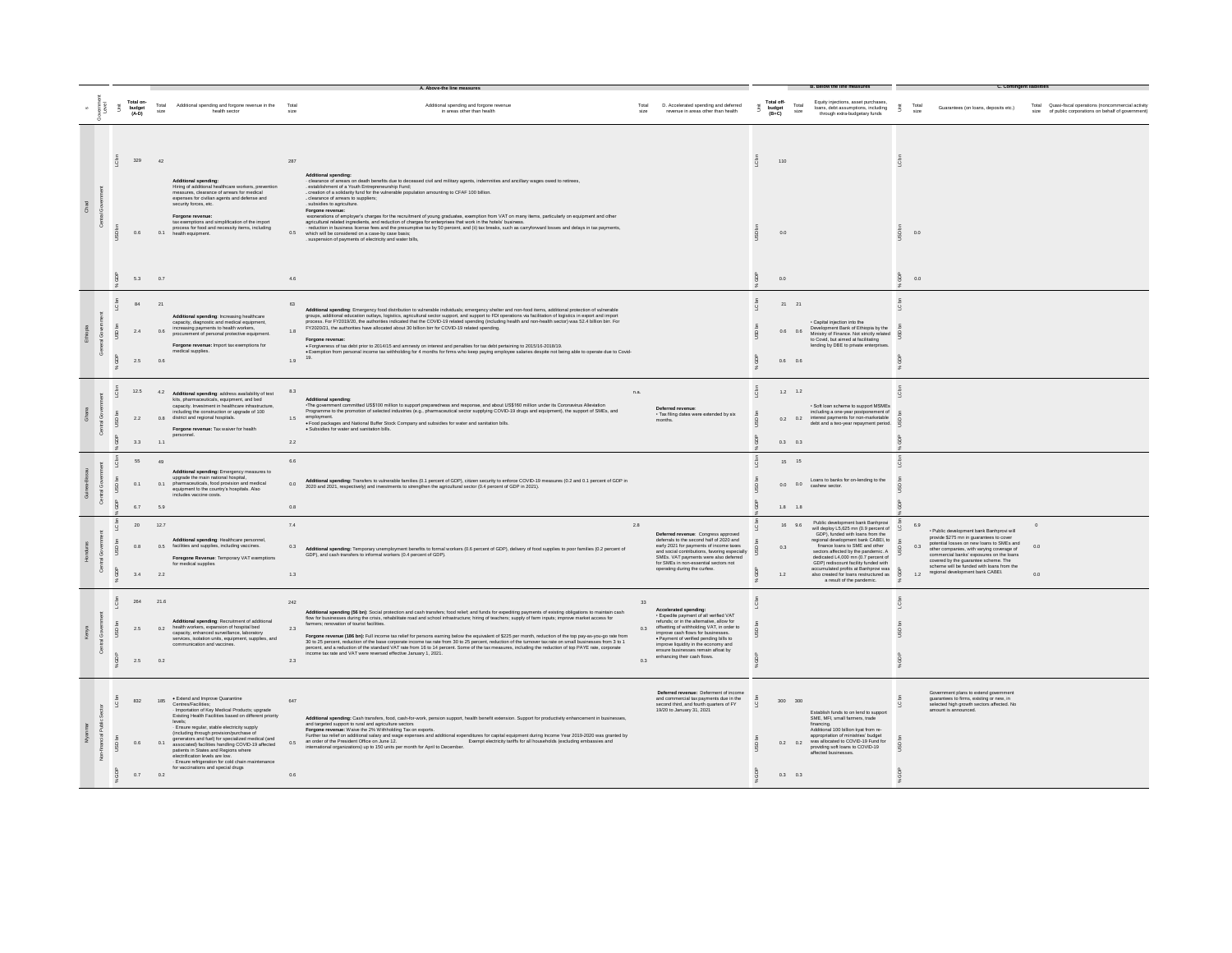|   |                           | Total on-<br>budget<br>(A-D) | Total<br>size      | Additional spending and forgone revenue in the<br>health sector                                                                                                                                                                                                                                                                                                                                                                                                                                                                                               | Total             | Additional spending and forgone revenue<br>in areas other than health                                                                                                                                                                                                                                                                                                                                                                                                                                                                                                                                                                                                                                                                                                                                                                 | Total<br>size    | D. Accelerated spending and deferred<br>revenue in areas other than health                                                                                                                                                                                                                                                                                     | š | Total off-<br>Total<br>budget<br>(B+C)<br>size | Equity injections, asset purchases<br>loans, debt assumptions, including<br>through extra-budgetary funds                                                                                                                                                                                                                                                                                                                    | - š | Total Quasi-fiscal operations (noncommercial activity<br>Total<br>Guarantees (on loans, deposits etc.)<br>size<br>of public corporations on behalf of government)<br>size                                                                                                                                                                                                             |
|---|---------------------------|------------------------------|--------------------|---------------------------------------------------------------------------------------------------------------------------------------------------------------------------------------------------------------------------------------------------------------------------------------------------------------------------------------------------------------------------------------------------------------------------------------------------------------------------------------------------------------------------------------------------------------|-------------------|---------------------------------------------------------------------------------------------------------------------------------------------------------------------------------------------------------------------------------------------------------------------------------------------------------------------------------------------------------------------------------------------------------------------------------------------------------------------------------------------------------------------------------------------------------------------------------------------------------------------------------------------------------------------------------------------------------------------------------------------------------------------------------------------------------------------------------------|------------------|----------------------------------------------------------------------------------------------------------------------------------------------------------------------------------------------------------------------------------------------------------------------------------------------------------------------------------------------------------------|---|------------------------------------------------|------------------------------------------------------------------------------------------------------------------------------------------------------------------------------------------------------------------------------------------------------------------------------------------------------------------------------------------------------------------------------------------------------------------------------|-----|---------------------------------------------------------------------------------------------------------------------------------------------------------------------------------------------------------------------------------------------------------------------------------------------------------------------------------------------------------------------------------------|
| ã |                           | 329<br>0.6                   | 42                 | dditional spending:<br>Hiring of additional healthcare workers, prevention<br>measures, clearance of arrears for medical<br>expenses for civilian agents and defense and<br>security forces, etc.<br>Forgone revenue<br>tax exemptions and simplification of the import<br>process for food and necessity items, including                                                                                                                                                                                                                                    | 287<br>0.5        | Additional spending:<br>- clearance of arrears on death benefits due to deceased civil and military agents, indemnities and ancillary wages owed to retirees,<br>establishment of a Youth Entrepreneurship Fund:<br>creation of a solidarity fund for the vulnerable population amounting to CFAF 100 billion.<br>clearance of arrears to suppliers:<br>subsidies to agriculture.<br>Forgone revenue:<br>-exonerations of employer's charges for the recruitment of young graduates, exemption from VAT on many items, particularly on equipment and other<br>agricultural related ingredients, and reduction of charges for enterprises that work in the hotels' business.<br>reduction in business license fees and the presumptive tax by 50 percent, and (ii) tax breaks, such as carryforward losses and delays in tax payments, |                  |                                                                                                                                                                                                                                                                                                                                                                |   | 110                                            |                                                                                                                                                                                                                                                                                                                                                                                                                              |     |                                                                                                                                                                                                                                                                                                                                                                                       |
|   |                           | 5.3                          | 0.1<br>0.7         | health equipment.                                                                                                                                                                                                                                                                                                                                                                                                                                                                                                                                             | 4.6               | which will be considered on a case-by case basis:<br>suspension of payments of electricity and water bills,                                                                                                                                                                                                                                                                                                                                                                                                                                                                                                                                                                                                                                                                                                                           |                  |                                                                                                                                                                                                                                                                                                                                                                |   | 0.0<br>0.0                                     |                                                                                                                                                                                                                                                                                                                                                                                                                              | SD  | 0.0<br>0.0                                                                                                                                                                                                                                                                                                                                                                            |
|   | å                         | 84<br>2.4<br>2.5             | 21<br>0.6<br>0.6   | Additional spending: Increasing healthcare<br>capacity, diagnostic and medical equipment.<br>increasing payments to health workers,<br>procurement of personal protective equipment.<br>Forgone revenue: Import tax exemptions for<br>medical supplies.                                                                                                                                                                                                                                                                                                       | 1.8<br>1.9        | Additional spending: Emergency food distribution to vulnerable individuals; emergency shelter and non-food items, additional protection of vulnerable<br>additional education outlays, logistics, agricultural sector suspont, and support to FDI operations via facilitation of logistics in export and import<br>process. For FY2019/20, the authorities indicated that the COVID-19 rel<br>FY2020/21, the authorities have allocated about 30 billion birr for COVID-19 related spending.<br>Forgone revenue<br>Forgiveness of tax debt prior to 2014/15 and amnesty on interest and penalties for tax debt pertaining to 2015/16-2018/19.<br>Exemption from personal income tax withholding for 4 months for firms who keep paying employee sala<br>19.                                                                           |                  |                                                                                                                                                                                                                                                                                                                                                                |   | $21\qquad 21$<br>$0.6$ 0.6<br>0.6 0.6          | · Capital injection into the<br>Development Bank of Ethiopia by the<br>Ministry of Finance. Not strictly related<br>to Covid, but aimed at facilitating<br>lending by DBE to private enterprises.                                                                                                                                                                                                                            |     |                                                                                                                                                                                                                                                                                                                                                                                       |
|   | $\circ$<br>S<br><b>B</b>  | 12.5<br>22<br>3.3            | 4.2<br>1.1         | Additional spending: address availability of test<br>kits, pharmaceuticals, equipment, and bed<br>capacity. Investment in healthcare infrastructure,<br>including the construction or upgrade of 100<br>0.8 district and regional hospitals.<br>Forgone revenue: Tax waiver for health<br>personnel.                                                                                                                                                                                                                                                          | 8.3<br>1.5<br>2.2 | <b>Additional spending</b><br>-The government committed US\$100 million to support preparedness and response, and about US\$160 million under its Coronavirus Alleviation<br>Programme to the promotion of selected industries (e.g., pharmaceutical sector supplying COVID-19 drugs and equipment), the support of SMEs, and<br>employment.<br>. Food packages and National Buffer Stock Company and subsidies for water and sanitation bills.<br>· Subsidies for water and sanitation bills.                                                                                                                                                                                                                                                                                                                                        | n.a.             | Deferred revenue:<br>· Tax filing dates were extended by six<br>months.                                                                                                                                                                                                                                                                                        |   | $1.2$ 1.2<br>$0.3$ 0.3                         | · Soft loan scheme to support MSMEs<br>including a one-year postponement of<br>0.2 0.2 interest payments for non-marketable<br>debt and a two-year repayment period.                                                                                                                                                                                                                                                         |     |                                                                                                                                                                                                                                                                                                                                                                                       |
|   | $\overline{a}$            | 55<br>0.1<br>6.7             | 49<br>0.1<br>5.9   | Additional spending: Emergency measures to<br>upgrade the main national hospital,<br>pharmaceuticals, food provision and medical<br>equipment to the country's hospitals. Also<br>includes vaccine costs.                                                                                                                                                                                                                                                                                                                                                     | 6.6<br>0.0<br>0.8 | Additional spending: Transfers to vulnerable families (0.1 percent of GDP), citizen security to enforce COVID-19 measures (0.2 and 0.1 percent of GDP in<br>2020 and 2021, respectively) and investments to strengthen the agricultural sector (0.4 percent of GDP in 2021).                                                                                                                                                                                                                                                                                                                                                                                                                                                                                                                                                          |                  |                                                                                                                                                                                                                                                                                                                                                                |   | 15 15<br>$1.8$ 1.8                             | Loans to banks for on-lending to the<br>$0.0$ $0.0$ $\alpha$ cashew sector.                                                                                                                                                                                                                                                                                                                                                  |     |                                                                                                                                                                                                                                                                                                                                                                                       |
|   | USD                       | 20<br>0.8<br>3.4             | 12.7<br>0.5<br>2.2 | Additional spending: Healthcare personnel<br>facilities and supplies, including vaccines.<br>Foregone Revenue: Temporary VAT exemptions<br>for medical supplies                                                                                                                                                                                                                                                                                                                                                                                               | 7.4<br>0.3<br>1.3 | Additional spending: Temporary unemployment benefits to formal workers (0.6 percent of GDP), delivery of food supplies to poor families (0.2 percent of<br>GDP), and cash transfers to informal workers (0.4 percent of GDP).                                                                                                                                                                                                                                                                                                                                                                                                                                                                                                                                                                                                         | 2.8              | Deferred revenue: Congress approved<br>deferrals to the second half of 2020 and<br>early 2021 for payments of income taxes<br>and social contributions, favoring especially<br>SMEs. VAT payments were also deferred<br>for SMEs in non-essential sectors not<br>operating during the curfew.                                                                  |   | 16 9.6<br>0.3<br>1.2                           | Public development bank Banhprovi<br>will deploy L5,625 mn (0.9 percent of<br>GDP), funded with loans from the<br>regional development bank CABEI, to<br>finance loans to SME and other<br>sectors affected by the pandemic. A<br>dedicated L4,000 mn (0.7 percent of<br>GDP) rediscount facility funded with<br>accumulated profits at Banhprovi was<br>also created for loans restructured as<br>a result of the pandemic. |     | 6.9<br>· Public development bank Banhprovi will<br>provide \$275 mn in guarantees to cover<br>potential losses on new loans to SMEs and<br>0.0<br>0.3<br>other companies, with varying coverage of<br>commercial banks' exposures on the loans<br>covered by the guarantee scheme. The<br>scheme will be funded with loans from the<br>regional development bank CABEI.<br>1.2<br>0.0 |
|   | c<br>$\overline{50}$<br>ă | 264<br>2.5<br>$2.6\,$        | 21.6<br>02<br>0.2  | Additional spending: Recruitment of additional<br>health workers, expansion of hospital bed<br>capacity, enhanced surveillance, laboratory<br>services, isolation units, equipment, supplies, and<br>communication and vaccines.                                                                                                                                                                                                                                                                                                                              | 242<br>23<br>2.3  | Additional spending (56 bn): Social protection and cash transfers; food relief; and funds for expediting payments of existing obigations to maintain cash flow for businesses during the crisis, rehabilitate road and school<br>farmers; renovation of tourist facilities.<br>Forgone revenue (186 bn): Full income tax relief for persons earning below the equivalent of \$225 per month, reduction of the top pay-as-you-go rate from<br>30 to 25 percent, reduction of the base corporate income tax rate fr<br>percent, and a reduction of the standard VAT rate from 16 to 14 percent. Some of the tax measures, including the reduction of top PAYE rate, corporate<br>income tax rate and VAT were reversed effective January 1, 2021.                                                                                       | 33<br>0.3<br>0.3 | <b>Accelerated spending:</b><br>· Expedite payment of all verified VAT<br>refunds: or in the alternative, allow for<br>offsetting of withholding VAT, in order to<br>improve cash flows for businesses.<br>· Payment of verified pending bills to<br>improve liquidity in the economy and<br>ensure businesses remain afloat by<br>enhancing their cash flows. |   |                                                |                                                                                                                                                                                                                                                                                                                                                                                                                              |     |                                                                                                                                                                                                                                                                                                                                                                                       |
|   | ¢<br>$\frac{8}{2}$        | 832<br>08<br>0.7             | 185<br>01<br>0.2   | . Extend and Improve Quarantine<br>-<br>Centres/Facilities;<br>· Importation of Key Medical Products; upgrade<br>Existing Health Facilities based on different priority<br>levels:<br>· Ensure regular, stable electricity supply<br>(including through provision/purchase of<br>generators and fuel) for specialized medical (and<br>associated) facilities handling COVID-19 affected<br>patients in States and Regions where<br>electrification levels are low.<br>· Ensure refrigeration for cold chain maintenance<br>for vaccinations and special drugs | 647<br>0.5<br>0.6 | Additional spending: Cash transfers, food, cash-for-work, pension support, health benefit extension. Support for productivity enhancement in businesses<br>and targeted support to rural and agriculture sectors<br>Forgone revenue: Waive the 2% Withholding Tax on exports.<br>Further tax relief on additional salary and wage expenses and additional expenditures for capital equipment during Income Year 2019-2020 was granted by<br>an order of the President Office on June 12.<br>Exempt electricity tariffs for all households (excluding embassies and<br>international organizations) up to 150 units per month for April to December.                                                                                                                                                                                   |                  | Deferred revenue: Deferment of income<br>and commercial tax payments due in the<br>second third, and fourth quarters of FY<br>19/20 to January 31, 2021                                                                                                                                                                                                        |   | 300 300<br>$0.3$ 0.3                           | Establish funds to on lend to support<br>SME, MFI, small farmers, trade<br>financing.<br>Additional 100 billion kyat from re-<br>appropriation of ministries' budget<br>0.2 0.2 was allocated to COVID-19 Fund for<br>providing soft loans to COVID-19<br>affected businesses                                                                                                                                                |     | Government plans to extend government<br>guarantees to firms, existing or new, in<br>selected high growth sectors affected. No<br>amount is announced.                                                                                                                                                                                                                                |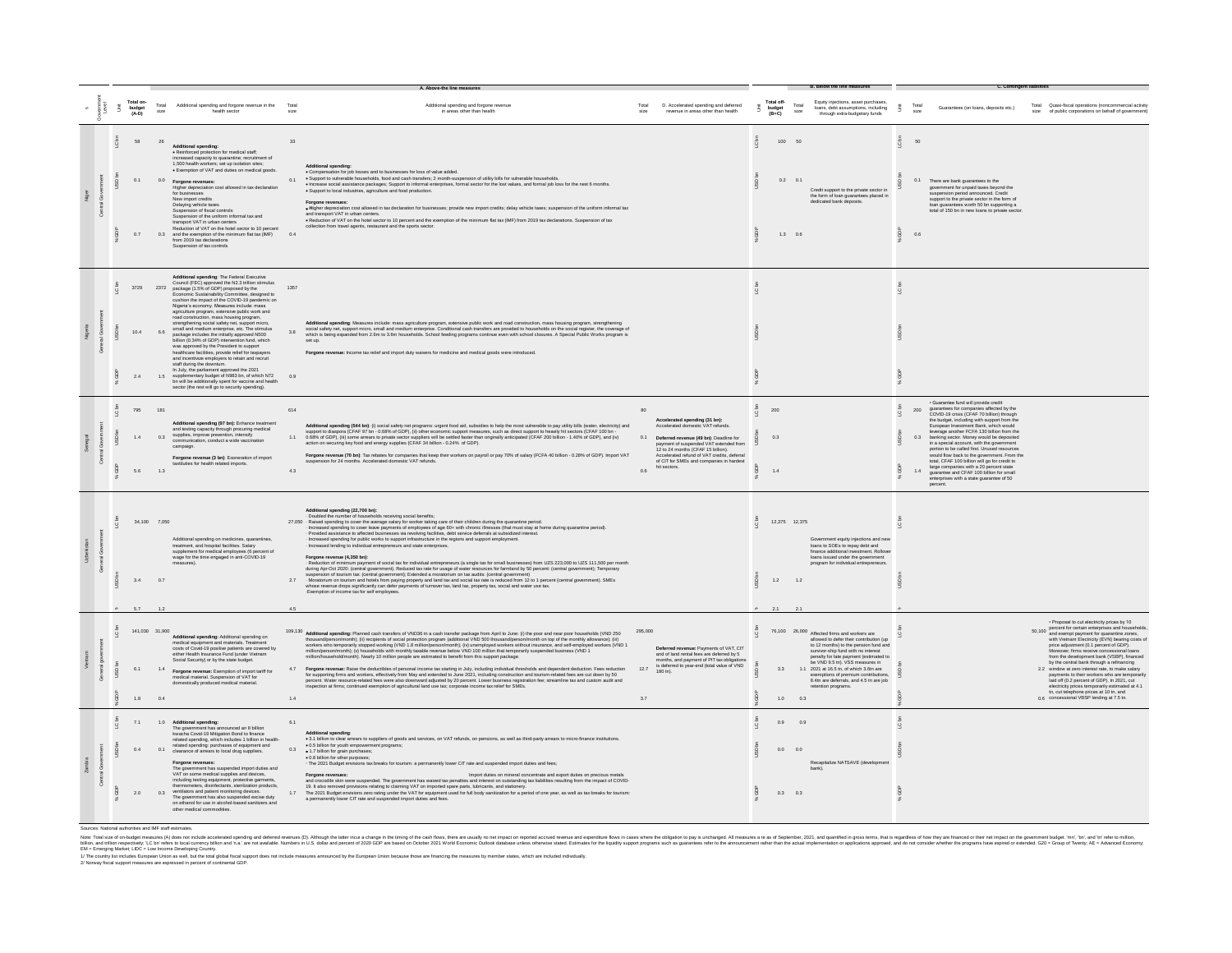|    |  | Total on-<br>budget<br>(A-D) | Total<br>size         | Additional spending and forgone revenue in the<br>health sector                                                                                                                                                                                                                                                                                                                                                                                                                                                                                                                                                                                                                                                                                                                                                                                                                                                                                                                           | Total             | Additional spending and forgone revenue<br>in areas other than health                                                                                                                                                                                                                                                                                                                                                                                                                                                                                                                                                                                                                                                                                                                                                                                                                                                                                                                                                                                                                                                                                                                                                                                                                       | Total<br>size          | D. Accelerated spending and deferred<br>revenue in areas other than health                                                                                                                                                                                                                             | Ã | Total off-<br>budget<br>(B+C) | Total<br>size   | Equity injections, asset purchases<br>loans, debt assumptions, including<br>through extra-budgetary funds                                                                                                                                                                                                                                                                                                | š            | Total<br>size               | Guarantees (on loans, deposits etc.)                                                                                                                                                                                                                                                                                                                                                                                                                                                                                                                                                                                                         | Total Quasi-fiscal operations (noncommercial activity<br>size of public corporations on behalf of government)                                                                                                                                                                                                                                                                                                                                                                                                                                                                                                                                                                            |
|----|--|------------------------------|-----------------------|-------------------------------------------------------------------------------------------------------------------------------------------------------------------------------------------------------------------------------------------------------------------------------------------------------------------------------------------------------------------------------------------------------------------------------------------------------------------------------------------------------------------------------------------------------------------------------------------------------------------------------------------------------------------------------------------------------------------------------------------------------------------------------------------------------------------------------------------------------------------------------------------------------------------------------------------------------------------------------------------|-------------------|---------------------------------------------------------------------------------------------------------------------------------------------------------------------------------------------------------------------------------------------------------------------------------------------------------------------------------------------------------------------------------------------------------------------------------------------------------------------------------------------------------------------------------------------------------------------------------------------------------------------------------------------------------------------------------------------------------------------------------------------------------------------------------------------------------------------------------------------------------------------------------------------------------------------------------------------------------------------------------------------------------------------------------------------------------------------------------------------------------------------------------------------------------------------------------------------------------------------------------------------------------------------------------------------|------------------------|--------------------------------------------------------------------------------------------------------------------------------------------------------------------------------------------------------------------------------------------------------------------------------------------------------|---|-------------------------------|-----------------|----------------------------------------------------------------------------------------------------------------------------------------------------------------------------------------------------------------------------------------------------------------------------------------------------------------------------------------------------------------------------------------------------------|--------------|-----------------------------|----------------------------------------------------------------------------------------------------------------------------------------------------------------------------------------------------------------------------------------------------------------------------------------------------------------------------------------------------------------------------------------------------------------------------------------------------------------------------------------------------------------------------------------------------------------------------------------------------------------------------------------------|------------------------------------------------------------------------------------------------------------------------------------------------------------------------------------------------------------------------------------------------------------------------------------------------------------------------------------------------------------------------------------------------------------------------------------------------------------------------------------------------------------------------------------------------------------------------------------------------------------------------------------------------------------------------------------------|
|    |  | 68<br>0.1<br>0.7             | 26<br>0.0<br>0.3      | <b>Additional spending:</b><br>· Reinforced protection for medical staff:<br>ased capacity to quarantine; recruitment of<br>1,500 health workers; set up isolation sites;<br>· Exemption of VAT and duties on medical goods<br>Forgone revenues:<br>figher depreciation cost allowed in tax declaration<br>for businesses<br>New import credits<br>Delaying vehicle taxes<br>Suspension of fiscal controls<br>Suspension of the uniform informal tax and<br>ransport VAT in urban centers<br>Reduction of VAT on the hotel sector to 10 percent<br>and the exemption of the minimum flat tax (IMF)<br>from 2019 tax declarations<br>Suspension of tax controls                                                                                                                                                                                                                                                                                                                            | 33<br>0.1<br>0.4  | Additional spending:<br>· Compensation for job losses and to businesses for loss of value added.<br>. Support to vulnerable households, food and cash transfers; 2 month-suspension of utility bills for vulnerable households.<br>. Increase social assistance packages; Support to informal enterprises, formal sector for the lost values, and formal job loss for the next 6 months.<br>· Support to local industries, agriculture and food production.<br>. Higher depreciation cost allowed in tax declaration for businesses; provide new import credits; delay vehicle taxes; suspension of the uniform informal tax<br>and transport VAT in urban centers.<br>. Reduction of VAT on the hotel sector to 10 percent and the exemption of the minimum flat tax (IMF) from 2019 tax declarations. Suspension of tax<br>collection from travel agents, restaurant and the sports sector.                                                                                                                                                                                                                                                                                                                                                                                               |                        |                                                                                                                                                                                                                                                                                                        |   | 100<br>0201<br>13.06          |                 | Credit support to the private sector in<br>the form of loan guarantees placed in<br>dedicated bank deposits                                                                                                                                                                                                                                                                                              | C bn<br>å    | 50<br>0.1<br>0 <sup>6</sup> | There are bank guarantees to the<br>government for unpaid taxes beyond the<br>suspension period announced. Credit<br>support to the private sector in the form of<br>loan guarantees worth 50 bn supporting a<br>total of 150 bn in new loans to private sector.                                                                                                                                                                                                                                                                                                                                                                             |                                                                                                                                                                                                                                                                                                                                                                                                                                                                                                                                                                                                                                                                                          |
|    |  | 10.4<br>24                   | 6.6<br>1.5            | Additional spending: The Federal Executive<br>Council (FEC) approved the N2.3 trillion stimulus<br>3729 2372 package (1.5% of GDP) proposed by the<br>Economic Sustainability Committee, designed to<br>cushion the impact of the COVID-19 pandemic on<br>Nigeria's economy. Measures include: mass<br>agriculture program, extensive public work and<br>road construction, mass housing program.<br>engthening social safety net, supp<br>small and medium enterprise, etc. The stimulus<br>package includes the initially approved N500<br>billion (0.34% of GDP) intervention fund, which<br>was approved by the President to support<br>healthcare facilities, provide relief for taxpayers<br>and incentivize employers to retain and recruit<br>staff during the downturn.<br>State of the partiament approved the 2021<br>supplementary budget of N983 bn, of which N72<br>bn will be additionally spent for vaccine and health<br>sector (the rest will go to security spending). | 1357<br>38<br>0.9 | Additional spending: Measures include: mass agriculture program, extensive public work and road construction, mass housing program, strengthening<br>social safety net, support micro, small and medium enterprise. Conditional c<br>which is being expanded from 2.6m to 3.6m households. School feeding programs continue even with school closures. A Special Public Works program is<br>Forgone revenue: Income tax relief and import duty waivers for medicine and medical goods were introduced.                                                                                                                                                                                                                                                                                                                                                                                                                                                                                                                                                                                                                                                                                                                                                                                      |                        |                                                                                                                                                                                                                                                                                                        |   |                               |                 |                                                                                                                                                                                                                                                                                                                                                                                                          |              |                             |                                                                                                                                                                                                                                                                                                                                                                                                                                                                                                                                                                                                                                              |                                                                                                                                                                                                                                                                                                                                                                                                                                                                                                                                                                                                                                                                                          |
|    |  | 795<br>1.4<br>56             | 181<br>0.3<br>13      | Additional spending (97 bn): Enhance treatment<br>and testing capacity through procuring medical<br>supplies, improve prevention, intensify<br>communication, conduct a wide vaccination<br>campaign.<br>Forgone revenue (3 bn): Excneration of import<br>ties for health related imports                                                                                                                                                                                                                                                                                                                                                                                                                                                                                                                                                                                                                                                                                                 | 614<br>11<br>43   | Additional spending (544 bn): (i) social safety net programs: urgent food aid, subsidies to help the most vulnerable to pay utility bills (water, electricity) and<br>support to diaspora (CFAF 97 th - 0.88% of GDP), (ii) other<br>action on securing key food and energy supplies (CFAF 34 billion - 0.24% of GDP).<br>Forgone revenue (70 bn): Tax rebates for companies that keep their workers on payroll or pay 70% of salary (FCFA 40 billion - 0.28% of GDP). Import VAT<br>sion for 24 months. Accelerated domestic VAT refunds.                                                                                                                                                                                                                                                                                                                                                                                                                                                                                                                                                                                                                                                                                                                                                  | 0.1<br>0.6             | Accelerated spending (31 bn):<br>Accelerated domestic VAT refunds<br>Deferred revenue (49 bn): Deadline for<br>payment of suspended VAT extended from<br>12 to 24 months (CFAF 15 billion).<br>Accelerated refund of VAT credits, deferral<br>of CIT for SMEs and companies in hardest<br>hit sectors. |   | 200<br>0.3<br>14              |                 |                                                                                                                                                                                                                                                                                                                                                                                                          | $\mathbf{Q}$ | 200<br>0.3<br>14            | · Guarantee fund will provide credit<br>quarantees for companies affected by the<br>COVID-19 crisis (CFAF 70 billion) through<br>the budget, including with support from the<br>European Investment Bank, which would<br>erage another FCFA 130 billion from the<br>banking sector. Money would be deposited<br>in a special account, with the government<br>portion to be called first. Unused resources<br>would flow back to the government. From the<br>total, CFAF 100 billion will go for credit to<br>large companies with a 20 percent state<br>guarantee and CFAF 100 billion for small<br>interprises with a state guarantee of 50 |                                                                                                                                                                                                                                                                                                                                                                                                                                                                                                                                                                                                                                                                                          |
|    |  | $3.4 \qquad \qquad 0.7$      | 34.100 7.050          | Additional spending on medicines, guarantines<br>treatment, and hospital facilities. Salary<br>supplement for medical employees (6 percent of<br>wage for the time engaged in anti-COVID-19                                                                                                                                                                                                                                                                                                                                                                                                                                                                                                                                                                                                                                                                                                                                                                                               | 27                | Additional spending (22,700 bn):<br>- Doubled the number of households receiving social benefits;<br>27,050 Raused are numeral convertible average salary for worker taking care of their children during the quarantine period.<br>https://scaled spending to cover the average salary for worker taking care of with chronic linesse<br>- Increased spending for public works to support infrastructure in the regions and support employment.<br>- Increased lending to individual entrepreneurs and state enterprises.<br>Forgone revenue (4,350 bn):<br>- Reduction of minimum payment of social tax for individual entrepreneurs (a single tax for small businesses) from UZS 223,000 to UZS 111,500 per month<br>during Apr-Oct 2020: (central government). Reduced tax rate for usage of water resources for farmland by 50 percent: (central government); Temporary<br>supersion of burism tax (central government), Extended a morabolium on tax audits: (central government)<br>- Moratorium on tourism and hotels from paying property and land tax and social tax rate is reduced from 12 to 1 perce<br>whose revenue drops significantly can defer payments of turnover tax, land tax, property tax, social and water use tax.<br>Exemption of income tax for self employees. |                        |                                                                                                                                                                                                                                                                                                        |   | 12.375 12.375<br>1.2          | 1.2             | Government equity injections and new<br>loans to SOEs to repay debt and<br>finance additional investment. Rollove<br>loans issued under the government<br>program for individual entrepreneurs.                                                                                                                                                                                                          |              |                             |                                                                                                                                                                                                                                                                                                                                                                                                                                                                                                                                                                                                                                              |                                                                                                                                                                                                                                                                                                                                                                                                                                                                                                                                                                                                                                                                                          |
|    |  | 6.1<br>$1.8$ 0.4             | 141.030 31.900<br>1.4 | Additional spending: Additional spending or<br>medical equipment and materials. Treatment<br>costs of Covid-19 positive patients are covered by<br>either Health Insurance Fund (under Vietnam<br>Social Security) or by the state budget.<br>Forgone revenue: Exemption of import tariff for<br>medical material. Suspension of VAT for<br>domestically produced medical material.                                                                                                                                                                                                                                                                                                                                                                                                                                                                                                                                                                                                       | 4.7<br>1.4        | 109,130 Additional spending: Planned cash transfers of VND36 in a cash transfer package from April to June: (i) the poor and near poor households (VND 250<br>thousandgenomeromity), (i) recipients of social protection program<br>Forgone revenue: Raise the deductibles of personal income tax starting in July, including individual thresholds and dependent deduction. Fees reduction<br>for supporting firms and workers, effectively from May and extended to<br>percent. Water resource-related fees were also downward adjusted by 20 percent. Lower business registration fee: streamline tax and custom audit and<br>inspection at firms; continued exemption of agricultural land use tax; corporate income tax relief for SMEs.                                                                                                                                                                                                                                                                                                                                                                                                                                                                                                                                               | 295,000<br>12.7<br>3.7 | Deferred revenue: Payments of VAT CIT<br>and of land rental fees are deferred by 5<br>months, and payment of PIT tax obligations<br>is deferred to year-end (total value of VND<br>180 tn).                                                                                                            |   | 33                            | $1.0\qquad 0.3$ | 76,100 26,000 Affected firms and workers are<br>allowed to defer their contribution (up<br>to 12 months) to the pension fund and<br>survivor-ship fund with no interest<br>penalty for late payment (estimated to<br>be VND 9.5 tn). VSS measures in<br>1.1 2021 at 16.5 tn, of which 3.6tn are<br>exemptions of premium contributions,<br>8.4tn are deferrals, and 4.5 tn are job<br>etention programs. |              |                             |                                                                                                                                                                                                                                                                                                                                                                                                                                                                                                                                                                                                                                              | · Proposal to cut electricity prices by 10<br>50,100 percent for certain enterprises and households,<br>50,100 and exempt payment for quarantine zones,<br>with Vietnam Electricity (EVN) bearing costs of<br>price adjustment (0.1 percent of GDP).<br>Moreover, firms receive concessional loans<br>from the development bank (VSBP), financed<br>by the central bank through a refinancing<br>2.2 window at zero interest rate, to make salary<br>payments to their workers who are temporari<br>laid off (0.2 percent of GDP). In 2021, cut<br>electricity prices temporarily estimated at 4.1<br>tn, cut telephone prices at 10 tn, and<br>0.6 concessional VBSP lending at 7.5 tn. |
| Å. |  | 0.4<br>2.0                   | 0.1<br>0.3            | 7.1 1.0 Additional spending:<br>The government has announced an 8 billion<br>kwacha Covid-19 Mitigation Bond to finance<br>related spending, which includes 1 billion in health-<br>related spending: purchases of equipment and<br>clearance of arrears to local drug suppliers.<br>Forgone revenues:<br>The government has suspended import duties and<br>VAT on some medical supplies and devices,<br>including testing equipment, protective garments<br>thermometers, disinfectants, sterilization products,<br>ventilators and patient monitoring devices.<br>The government has also suspended excise duty<br>on ethanol for use in alcohol-based sanitizers and                                                                                                                                                                                                                                                                                                                   | 61<br>0.3         | . 3.1 billion to clear arrears to suppliers of goods and services, on VAT refunds, on pensions, as well as third-party arrears to micro-finance institutions.<br>. 0.5 billion for youth empowerment programs;<br>. 1.7 billion for grain purchases:<br>-  union to your potentions.<br>• 0.8 billion for other purposes;<br>• The 2021 Budget envisions tax breaks for tourism: a permanently lower CIT rate and suspended import duties and fees;<br>Import duties on mineral concentrate and export duties on precious metal:<br>Forgone revenues<br>and crocodile skin were suspended. The government has waived tax penalties and interest on outstanding tax liabilities resulting from the impact of COVID-<br>and concerned provisions relating to claiming VAT on imported spare parts, lubricants, and stationery.<br>The 2021 Budget envisions relating to claiming VAT on imported spare parts, lubricants, and stationery.<br>The 2021 Budget<br>a permanently lower CIT rate and suspended import duties and fees.                                                                                                                                                                                                                                                            |                        |                                                                                                                                                                                                                                                                                                        |   | 0.9<br>0.0 0.0<br>0.3 0.3     | 0.9             | Recapitalize NATSAVE (developm<br>bank).                                                                                                                                                                                                                                                                                                                                                                 |              |                             |                                                                                                                                                                                                                                                                                                                                                                                                                                                                                                                                                                                                                                              |                                                                                                                                                                                                                                                                                                                                                                                                                                                                                                                                                                                                                                                                                          |

Sources: National authorities and IMF staff estimates.

Net Ed do-Major Major Research (Advertised Automobile Secure 2002) And the Construction of the Construction of the Construction of the Construction of the Construction of the Construction of the Construction of the Constr

1/ The country list includes European Union as well. but the total slobal fiscal support does not include measures announced by the European Union because those are financing the measures by member states, which are includ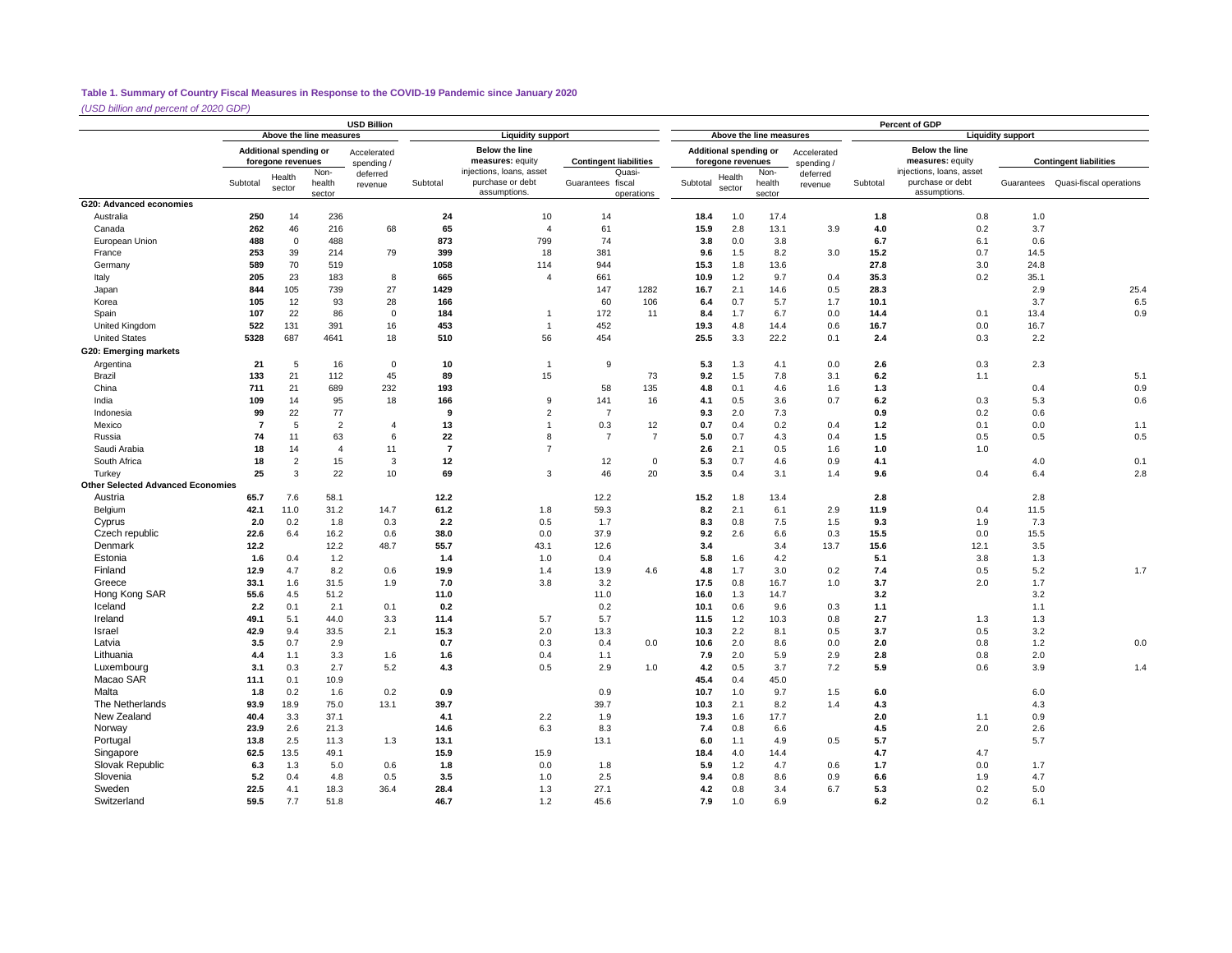*(USD billion and percent of 2020 GDP)*

|                                          |                |                                             |                          | <b>USD Billion</b>       |                |                                                              |                               | Percent of GDP<br>Above the line measures<br><b>Liquidity support</b> |              |                                             |                          |                           |            |                                                              |            |                                    |  |
|------------------------------------------|----------------|---------------------------------------------|--------------------------|--------------------------|----------------|--------------------------------------------------------------|-------------------------------|-----------------------------------------------------------------------|--------------|---------------------------------------------|--------------------------|---------------------------|------------|--------------------------------------------------------------|------------|------------------------------------|--|
|                                          |                |                                             | Above the line measures  |                          |                | <b>Liquidity support</b>                                     |                               |                                                                       |              |                                             |                          |                           |            |                                                              |            |                                    |  |
|                                          |                | Additional spending or<br>foregone revenues |                          | Accelerated<br>spending/ |                | <b>Below the line</b><br>measures: equity                    | <b>Contingent liabilities</b> |                                                                       |              | Additional spending or<br>foregone revenues |                          | Accelerated<br>spending / |            | <b>Below the line</b><br>measures: equity                    |            | <b>Contingent liabilities</b>      |  |
|                                          | Subtotal       | Health<br>sector                            | Non-<br>health<br>sector | deferred<br>revenue      | Subtotal       | injections, loans, asset<br>purchase or debt<br>assumptions. | Guarantees fiscal             | Quasi-<br>operations                                                  | Subtotal     | Health<br>sector                            | Non-<br>health<br>sector | deferred<br>revenue       | Subtotal   | injections, loans, asset<br>purchase or debt<br>assumptions. |            | Guarantees Quasi-fiscal operations |  |
| G20: Advanced economies                  |                |                                             |                          |                          |                |                                                              |                               |                                                                       |              |                                             |                          |                           |            |                                                              |            |                                    |  |
| Australia                                | 250            | 14                                          | 236                      |                          | 24             | 10                                                           | 14                            |                                                                       | 18.4         | 1.0                                         | 17.4                     |                           | 1.8        | 0.8                                                          | 1.0        |                                    |  |
| Canada                                   | 262            | 46                                          | 216                      | 68                       | 65             | $\overline{4}$                                               | 61                            |                                                                       | 15.9         | 2.8                                         | 13.1                     | 3.9                       | 4.0        | 0.2                                                          | 3.7        |                                    |  |
| European Union                           | 488            | $\mathbf{0}$                                | 488                      |                          | 873            | 799                                                          | 74                            |                                                                       | 3.8          | 0.0                                         | 3.8                      |                           | 6.7        | 6.1                                                          | 0.6        |                                    |  |
| France                                   | 253            | 39                                          | 214                      | 79                       | 399            | 18                                                           | 381                           |                                                                       | 9.6          | 1.5                                         | 8.2                      | 3.0                       | 15.2       | 0.7                                                          | 14.5       |                                    |  |
| Germany                                  | 589            | 70                                          | 519                      |                          | 1058           | 114                                                          | 944                           |                                                                       | 15.3         | 1.8                                         | 13.6                     |                           | 27.8       | 3.0                                                          | 24.8       |                                    |  |
| Italy                                    | 205            | 23                                          | 183                      | 8                        | 665            | $\overline{4}$                                               | 661                           |                                                                       | 10.9         | 1.2                                         | 9.7                      | 0.4                       | 35.3       | 0.2                                                          | 35.1       |                                    |  |
| Japan                                    | 844            | 105                                         | 739                      | 27                       | 1429           |                                                              | 147                           | 1282                                                                  | 16.7         | 2.1                                         | 14.6                     | 0.5                       | 28.3       |                                                              | 2.9        | 25.4                               |  |
| Korea                                    | 105            | 12                                          | 93                       | 28                       | 166            |                                                              | 60                            | 106                                                                   | 6.4          | 0.7                                         | 5.7                      | 1.7                       | 10.1       |                                                              | 3.7        | 6.5                                |  |
| Spain                                    | 107            | 22                                          | 86                       | $\mathbf 0$              | 184            |                                                              | 172                           | 11                                                                    | 8.4          | 1.7                                         | 6.7                      | 0.0                       | 14.4       | 0.1                                                          | 13.4       | 0.9                                |  |
| United Kingdom                           | 522            | 131                                         | 391                      | 16                       | 453            | $\overline{1}$                                               | 452                           |                                                                       | 19.3         | 4.8                                         | 14.4                     | 0.6                       | 16.7       | 0.0                                                          | 16.7       |                                    |  |
| <b>United States</b>                     | 5328           | 687                                         | 4641                     | 18                       | 510            | 56                                                           | 454                           |                                                                       | 25.5         | 3.3                                         | 22.2                     | 0.1                       | 2.4        | 0.3                                                          | 2.2        |                                    |  |
| G20: Emerging markets                    |                |                                             |                          |                          |                |                                                              |                               |                                                                       |              |                                             |                          |                           |            |                                                              |            |                                    |  |
| Argentina                                | 21             | 5                                           | 16                       | $\mathbf 0$              | 10             | $\overline{1}$                                               | 9                             |                                                                       | 5.3          | 1.3                                         | 4.1                      | 0.0                       | 2.6        | 0.3                                                          | 2.3        |                                    |  |
| Brazil                                   | 133            | 21                                          | 112                      | 45                       | 89             | 15                                                           |                               | 73                                                                    | 9.2          | 1.5                                         | 7.8                      | 3.1                       | 6.2        | 1.1                                                          |            | 5.1                                |  |
| China                                    | 711            | 21                                          | 689                      | 232                      | 193            |                                                              | 58                            | 135                                                                   | 4.8          | 0.1                                         | 4.6                      | 1.6                       | 1.3        |                                                              | 0.4        | 0.9                                |  |
| India                                    | 109            | 14                                          | 95                       | 18                       | 166            | 9                                                            | 141                           | 16                                                                    | 4.1          | 0.5                                         | 3.6                      | 0.7                       | 6.2        | 0.3                                                          | 5.3        | 0.6                                |  |
| Indonesia                                | 99             | 22                                          | 77                       |                          | 9              | $\overline{2}$                                               | $\overline{7}$                |                                                                       | 9.3          | 2.0                                         | 7.3                      |                           | 0.9        | 0.2                                                          | 0.6        |                                    |  |
| Mexico                                   | $\overline{7}$ | 5                                           | $\overline{2}$           | $\overline{4}$           | 13             | $\overline{1}$                                               | 0.3                           | 12                                                                    | 0.7          | 0.4                                         | 0.2                      | 0.4                       | 1.2        | 0.1                                                          | 0.0        | 1.1                                |  |
| Russia                                   | 74             | 11                                          | 63                       | 6                        | 22             | 8                                                            | $\overline{7}$                | $\overline{7}$                                                        | 5.0          | 0.7                                         | 4.3                      | 0.4                       | 1.5        | 0.5                                                          | 0.5        | 0.5                                |  |
| Saudi Arabia                             | 18             | 14                                          | $\overline{4}$           | 11                       | $\overline{7}$ | $\overline{7}$                                               |                               |                                                                       | 2.6          | 2.1                                         | 0.5                      | 1.6                       | 1.0        | 1.0                                                          |            |                                    |  |
| South Africa                             | 18             | $\overline{2}$                              | 15                       | 3                        | 12             |                                                              | 12                            | $\mathbf 0$                                                           | 5.3          | 0.7                                         | 4.6                      | 0.9                       | 4.1        |                                                              | 4.0        | 0.1                                |  |
| Turkey                                   | 25             | 3                                           | 22                       | 10                       | 69             | 3                                                            | 46                            | 20                                                                    | 3.5          | 0.4                                         | 3.1                      | 1.4                       | 9.6        | 0.4                                                          | 6.4        | 2.8                                |  |
| <b>Other Selected Advanced Economies</b> |                |                                             |                          |                          |                |                                                              |                               |                                                                       |              |                                             |                          |                           |            |                                                              |            |                                    |  |
| Austria                                  | 65.7           | 7.6                                         | 58.1                     |                          | 12.2           |                                                              | 12.2                          |                                                                       | 15.2         | 1.8                                         | 13.4                     |                           | 2.8        |                                                              | 2.8        |                                    |  |
| Belgium                                  | 42.1           | 11.0                                        | 31.2                     | 14.7                     | 61.2           | 1.8                                                          | 59.3                          |                                                                       | 8.2          | 2.1                                         | 6.1                      | 2.9                       | 11.9       | 0.4                                                          | 11.5       |                                    |  |
| Cyprus                                   | 2.0            | 0.2                                         | 1.8                      | 0.3                      | 2.2            | 0.5                                                          | 1.7                           |                                                                       | 8.3          | 0.8                                         | 7.5                      | 1.5                       | 9.3        | 1.9                                                          | 7.3        |                                    |  |
| Czech republic                           | 22.6           | 6.4                                         | 16.2                     | 0.6                      | 38.0           | 0.0                                                          | 37.9                          |                                                                       | 9.2          | 2.6                                         | 6.6                      | 0.3                       | 15.5       | 0.0                                                          | 15.5       |                                    |  |
| Denmark                                  | 12.2           |                                             | 12.2                     | 48.7                     | 55.7           | 43.1                                                         | 12.6                          |                                                                       | 3.4          |                                             | 3.4                      | 13.7                      | 15.6       | 12.1                                                         | 3.5        |                                    |  |
| Estonia                                  | 1.6            | 0.4                                         | 1.2                      |                          | 1.4            | 1.0                                                          | 0.4                           |                                                                       | 5.8          | 1.6                                         | 4.2                      |                           | 5.1        | 3.8                                                          | 1.3        |                                    |  |
| Finland                                  | 12.9           | 4.7                                         | 8.2                      | 0.6                      | 19.9           | 1.4                                                          | 13.9                          | 4.6                                                                   | 4.8          | 1.7                                         | 3.0                      | 0.2                       | 7.4        | 0.5                                                          | 5.2        | 1.7                                |  |
| Greece                                   | 33.1           | 1.6                                         | 31.5                     | 1.9                      | 7.0            | 3.8                                                          | 3.2                           |                                                                       | 17.5         | 0.8                                         | 16.7                     | 1.0                       | 3.7        | 2.0                                                          | 1.7        |                                    |  |
| Hong Kong SAR                            | 55.6           | 4.5                                         | 51.2                     |                          | 11.0           |                                                              | 11.0                          |                                                                       | 16.0         | 1.3                                         | 14.7                     |                           | 3.2        |                                                              | 3.2        |                                    |  |
| Iceland                                  | 2.2            | 0.1                                         | 2.1                      | 0.1                      | 0.2            |                                                              | 0.2                           |                                                                       | 10.1         | 0.6                                         | 9.6                      | 0.3                       | 1.1        |                                                              | 1.1        |                                    |  |
| Ireland                                  | 49.1           | 5.1<br>9.4                                  | 44.0                     | 3.3<br>2.1               | 11.4           | 5.7                                                          | 5.7                           |                                                                       | 11.5<br>10.3 | 1.2                                         | 10.3                     | 0.8                       | 2.7        | 1.3                                                          | 1.3        |                                    |  |
| Israel<br>Latvia                         | 42.9<br>3.5    | 0.7                                         | 33.5                     |                          | 15.3           | 2.0                                                          | 13.3                          |                                                                       |              | 2.2                                         | 8.1                      | 0.5                       | 3.7<br>2.0 | 0.5<br>0.8                                                   | 3.2<br>1.2 |                                    |  |
| Lithuania                                |                |                                             | 2.9                      |                          | 0.7            | 0.3                                                          | 0.4                           | 0.0                                                                   | 10.6         | 2.0                                         | 8.6                      | 0.0                       |            |                                                              |            | 0.0                                |  |
| Luxembourg                               | 4.4            | 1.1<br>0.3                                  | 3.3<br>2.7               | 1.6<br>5.2               | 1.6<br>4.3     | 0.4<br>0.5                                                   | 1.1<br>2.9                    | 1.0                                                                   | 7.9<br>4.2   | 2.0<br>0.5                                  | 5.9<br>3.7               | 2.9<br>7.2                | 2.8<br>5.9 | 0.8<br>0.6                                                   | 2.0<br>3.9 |                                    |  |
| Macao SAR                                | 3.1<br>11.1    | 0.1                                         | 10.9                     |                          |                |                                                              |                               |                                                                       | 45.4         | 0.4                                         | 45.0                     |                           |            |                                                              |            | 1.4                                |  |
| Malta                                    | 1.8            | 0.2                                         | 1.6                      | 0.2                      | 0.9            |                                                              | 0.9                           |                                                                       | 10.7         | 1.0                                         | 9.7                      | 1.5                       | 6.0        |                                                              | 6.0        |                                    |  |
| The Netherlands                          | 93.9           | 18.9                                        | 75.0                     | 13.1                     | 39.7           |                                                              | 39.7                          |                                                                       | 10.3         | 2.1                                         | 8.2                      | 1.4                       | 4.3        |                                                              | 4.3        |                                    |  |
| New Zealand                              | 40.4           | 3.3                                         | 37.1                     |                          | 4.1            | 2.2                                                          | 1.9                           |                                                                       | 19.3         | 1.6                                         | 17.7                     |                           | 2.0        | 1.1                                                          | 0.9        |                                    |  |
| Norway                                   | 23.9           | 2.6                                         | 21.3                     |                          | 14.6           | 6.3                                                          | 8.3                           |                                                                       | 7.4          | 0.8                                         | 6.6                      |                           | 4.5        | 2.0                                                          | 2.6        |                                    |  |
| Portugal                                 | 13.8           | 2.5                                         | 11.3                     | 1.3                      | 13.1           |                                                              | 13.1                          |                                                                       | 6.0          | 1.1                                         | 4.9                      | 0.5                       | 5.7        |                                                              | 5.7        |                                    |  |
| Singapore                                | 62.5           | 13.5                                        | 49.1                     |                          | 15.9           | 15.9                                                         |                               |                                                                       | 18.4         | 4.0                                         | 14.4                     |                           | 4.7        | 4.7                                                          |            |                                    |  |
| Slovak Republic                          | 6.3            | 1.3                                         | 5.0                      | 0.6                      | 1.8            | 0.0                                                          | 1.8                           |                                                                       | 5.9          | 1.2                                         | 4.7                      | 0.6                       | 1.7        | 0.0                                                          | 1.7        |                                    |  |
| Slovenia                                 | 5.2            | 0.4                                         | 4.8                      | 0.5                      | 3.5            | 1.0                                                          | 2.5                           |                                                                       | 9.4          | 0.8                                         | 8.6                      | 0.9                       | 6.6        | 1.9                                                          | 4.7        |                                    |  |
| Sweden                                   | 22.5           | 4.1                                         | 18.3                     | 36.4                     | 28.4           | 1.3                                                          | 27.1                          |                                                                       | 4.2          | 0.8                                         | 3.4                      | 6.7                       | 5.3        | 0.2                                                          | 5.0        |                                    |  |
| Switzerland                              | 59.5           | 7.7                                         | 51.8                     |                          | 46.7           | 1.2                                                          | 45.6                          |                                                                       | 7.9          | 1.0                                         | 6.9                      |                           | 6.2        | 0.2                                                          | 6.1        |                                    |  |
|                                          |                |                                             |                          |                          |                |                                                              |                               |                                                                       |              |                                             |                          |                           |            |                                                              |            |                                    |  |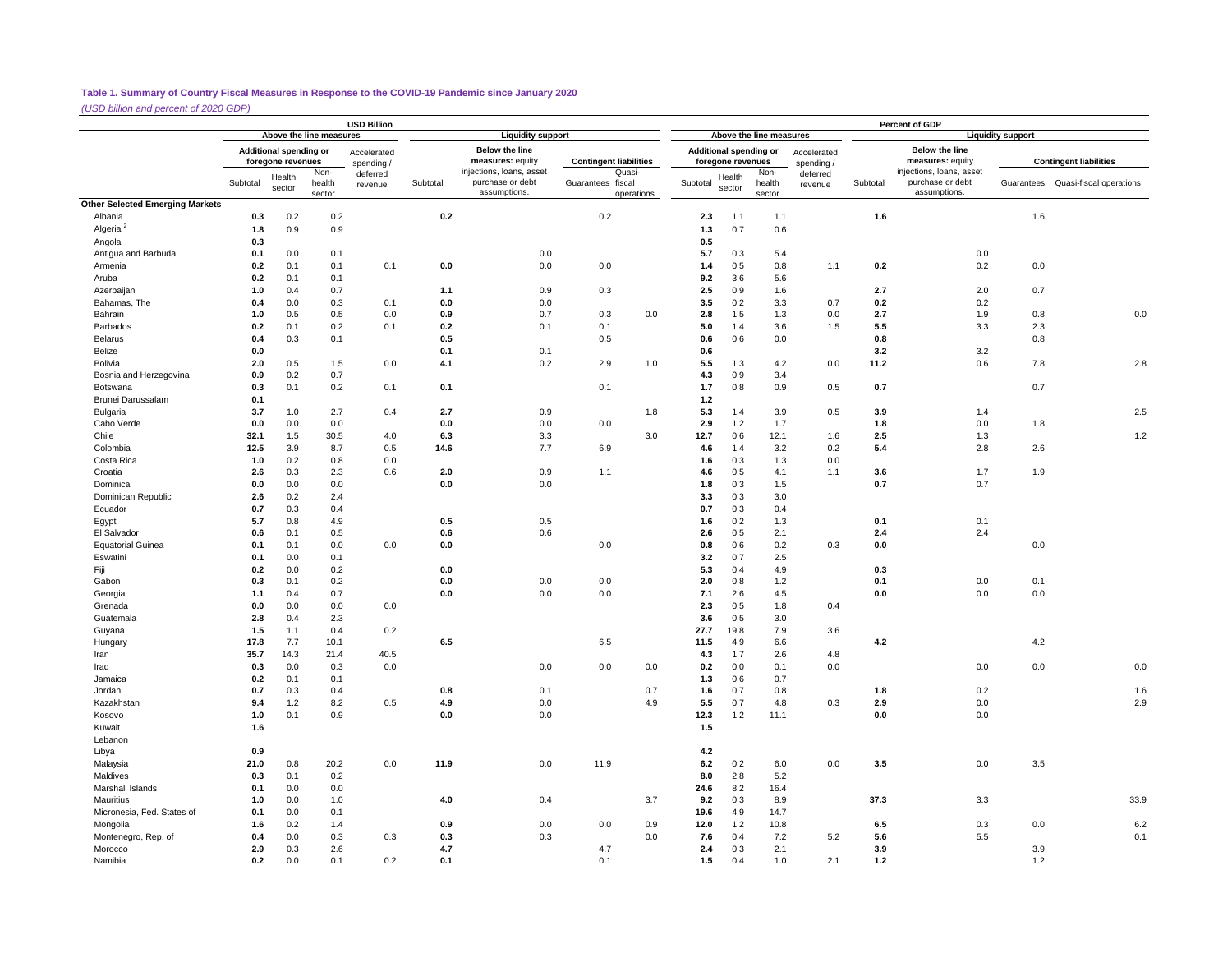*(USD billion and percent of 2020 GDP)*

|                                        |                                                                                                         |                  |                  | <b>USD Billion</b> |          |                                                              |                   |                               |            |                                             |                          |                           |          | Percent of GDP                                               |                          |                                    |
|----------------------------------------|---------------------------------------------------------------------------------------------------------|------------------|------------------|--------------------|----------|--------------------------------------------------------------|-------------------|-------------------------------|------------|---------------------------------------------|--------------------------|---------------------------|----------|--------------------------------------------------------------|--------------------------|------------------------------------|
|                                        | Above the line measures<br>Additional spending or<br>foregone revenues<br>spending/<br>Non-<br>deferred |                  |                  |                    |          | <b>Liquidity support</b>                                     |                   |                               |            |                                             | Above the line measures  |                           |          |                                                              | <b>Liquidity support</b> |                                    |
|                                        |                                                                                                         |                  |                  | Accelerated        |          | <b>Below the line</b><br>measures: equity                    |                   | <b>Contingent liabilities</b> |            | Additional spending or<br>foregone revenues |                          | Accelerated<br>spending / |          | <b>Below the line</b><br>measures: equity                    |                          | <b>Contingent liabilities</b>      |
|                                        | Subtotal                                                                                                | Health<br>sector | health<br>sector | revenue            | Subtotal | injections, loans, asset<br>purchase or debt<br>assumptions. | Guarantees fiscal | Quasi-<br>operations          | Subtotal   | Health<br>sector                            | Non-<br>health<br>sector | deferred<br>revenue       | Subtotal | injections, loans, asset<br>purchase or debt<br>assumptions. |                          | Guarantees Quasi-fiscal operations |
| <b>Other Selected Emerging Markets</b> |                                                                                                         |                  |                  |                    |          |                                                              |                   |                               |            |                                             |                          |                           |          |                                                              |                          |                                    |
| Albania                                | 0.3                                                                                                     | 0.2              | 0.2              |                    | 0.2      |                                                              | 0.2               |                               | 2.3        | 1.1                                         | 1.1                      |                           | 1.6      |                                                              | 1.6                      |                                    |
| Algeria <sup>2</sup>                   | 1.8                                                                                                     | 0.9              | 0.9              |                    |          |                                                              |                   |                               | 1.3        | 0.7                                         | 0.6                      |                           |          |                                                              |                          |                                    |
| Angola                                 | 0.3                                                                                                     |                  |                  |                    |          |                                                              |                   |                               | 0.5        |                                             |                          |                           |          |                                                              |                          |                                    |
| Antigua and Barbuda                    | 0.1                                                                                                     | 0.0              | 0.1              |                    |          | 0.0                                                          |                   |                               | 5.7        | 0.3                                         | 5.4                      |                           |          | 0.0                                                          |                          |                                    |
| Armenia                                | 0.2                                                                                                     | 0.1              | 0.1              | 0.1                | 0.0      | 0.0                                                          | 0.0               |                               | 1.4        | 0.5                                         | 0.8                      | 1.1                       | 0.2      | 0.2                                                          | 0.0                      |                                    |
| Aruba                                  | 0.2                                                                                                     | 0.1              | 0.1              |                    |          |                                                              |                   |                               | 9.2        | 3.6                                         | 5.6                      |                           |          |                                                              |                          |                                    |
| Azerbaijan                             | 1.0                                                                                                     | 0.4              | 0.7              |                    | 1.1      | 0.9                                                          | 0.3               |                               | 2.5        | 0.9                                         | 1.6                      |                           | 2.7      | 2.0                                                          | 0.7                      |                                    |
| Bahamas, The                           | 0.4                                                                                                     | 0.0              | 0.3              | 0.1                | 0.0      | 0.0                                                          |                   |                               | 3.5        | 0.2                                         | 3.3                      | 0.7                       | 0.2      | 0.2                                                          |                          |                                    |
| Bahrain                                | 1.0                                                                                                     | 0.5              | 0.5              | 0.0                | 0.9      | 0.7                                                          | 0.3               | 0.0                           | 2.8        | 1.5                                         | 1.3                      | 0.0                       | 2.7      | 1.9                                                          | 0.8                      | 0.0                                |
| Barbados                               | 0.2                                                                                                     | 0.1              | 0.2              | 0.1                | 0.2      | 0.1                                                          | 0.1               |                               | 5.0        | 1.4                                         | 3.6                      | 1.5                       | 5.5      | 3.3                                                          | 2.3                      |                                    |
| Belarus                                | 0.4                                                                                                     | 0.3              | 0.1              |                    | 0.5      |                                                              | 0.5               |                               | 0.6        | 0.6                                         | 0.0                      |                           | 0.8      |                                                              | 0.8                      |                                    |
| Belize                                 | 0.0                                                                                                     |                  |                  |                    | 0.1      | 0.1                                                          |                   |                               | 0.6        |                                             |                          |                           | 3.2      | 3.2                                                          |                          |                                    |
| Bolivia                                | 2.0                                                                                                     | 0.5              | 1.5              | 0.0                | 4.1      | 0.2                                                          | 2.9               | 1.0                           | 5.5        | 1.3                                         | 4.2                      | 0.0                       | 11.2     | 0.6                                                          | 7.8                      | 2.8                                |
| Bosnia and Herzegovina                 | 0.9                                                                                                     | 0.2              | 0.7              |                    |          |                                                              |                   |                               | 4.3        | 0.9                                         | 3.4                      |                           |          |                                                              |                          |                                    |
|                                        |                                                                                                         |                  |                  |                    |          |                                                              |                   |                               |            |                                             |                          |                           |          |                                                              |                          |                                    |
| Botswana<br><b>Brunei Darussalam</b>   | 0.3<br>0.1                                                                                              | 0.1              | 0.2              | 0.1                | 0.1      |                                                              | 0.1               |                               | 1.7<br>1.2 | 0.8                                         | 0.9                      | 0.5                       | 0.7      |                                                              | 0.7                      |                                    |
|                                        |                                                                                                         |                  |                  |                    |          |                                                              |                   |                               |            |                                             |                          |                           |          |                                                              |                          |                                    |
| Bulgaria                               | 3.7                                                                                                     | 1.0              | 2.7              | 0.4                | 2.7      | 0.9                                                          |                   | 1.8                           | 5.3        | 1.4                                         | 3.9                      | 0.5                       | 3.9      | 1.4                                                          |                          | 2.5                                |
| Cabo Verde                             | 0.0                                                                                                     | 0.0              | 0.0              |                    | 0.0      | 0.0                                                          | 0.0               |                               | 2.9        | 1.2                                         | 1.7                      |                           | 1.8      | 0.0                                                          | 1.8                      |                                    |
| Chile                                  | 32.1                                                                                                    | 1.5              | 30.5             | 4.0                | 6.3      | 3.3                                                          |                   | 3.0                           | 12.7       | 0.6                                         | 12.1                     | 1.6                       | 2.5      | 1.3                                                          |                          | 1.2                                |
| Colombia                               | 12.5                                                                                                    | 3.9              | 8.7              | 0.5                | 14.6     | 7.7                                                          | 6.9               |                               | 4.6        | 1.4                                         | 3.2                      | 0.2                       | 5.4      | 2.8                                                          | 2.6                      |                                    |
| Costa Rica                             | 1.0                                                                                                     | 0.2              | 0.8              | 0.0                |          |                                                              |                   |                               | 1.6        | 0.3                                         | 1.3                      | 0.0                       |          |                                                              |                          |                                    |
| Croatia                                | 2.6                                                                                                     | 0.3              | 2.3              | 0.6                | 2.0      | 0.9                                                          | 1.1               |                               | 4.6        | 0.5                                         | 4.1                      | 1.1                       | 3.6      | 1.7                                                          | 1.9                      |                                    |
| Dominica                               | 0.0                                                                                                     | 0.0              | 0.0              |                    | 0.0      | 0.0                                                          |                   |                               | 1.8        | 0.3                                         | 1.5                      |                           | 0.7      | 0.7                                                          |                          |                                    |
| Dominican Republic                     | 2.6                                                                                                     | 0.2              | 2.4              |                    |          |                                                              |                   |                               | 3.3        | 0.3                                         | 3.0                      |                           |          |                                                              |                          |                                    |
| Ecuador                                | 0.7                                                                                                     | 0.3              | 0.4              |                    |          |                                                              |                   |                               | 0.7        | 0.3                                         | 0.4                      |                           |          |                                                              |                          |                                    |
| Egypt                                  | 5.7                                                                                                     | 0.8              | 4.9              |                    | 0.5      | 0.5                                                          |                   |                               | 1.6        | 0.2                                         | 1.3                      |                           | 0.1      | 0.1                                                          |                          |                                    |
| El Salvador                            | 0.6                                                                                                     | 0.1              | 0.5              |                    | 0.6      | 0.6                                                          |                   |                               | 2.6        | 0.5                                         | 2.1                      |                           | 2.4      | 2.4                                                          |                          |                                    |
| <b>Equatorial Guinea</b>               | 0.1                                                                                                     | 0.1              | 0.0              | 0.0                | 0.0      |                                                              | 0.0               |                               | 0.8        | 0.6                                         | 0.2                      | 0.3                       | 0.0      |                                                              | 0.0                      |                                    |
| Eswatini                               | 0.1                                                                                                     | 0.0              | 0.1              |                    |          |                                                              |                   |                               | 3.2        | 0.7                                         | 2.5                      |                           |          |                                                              |                          |                                    |
| Fiji                                   | 0.2                                                                                                     | 0.0              | 0.2              |                    | 0.0      |                                                              |                   |                               | 5.3        | 0.4                                         | 4.9                      |                           | 0.3      |                                                              |                          |                                    |
| Gabon                                  | 0.3                                                                                                     | 0.1              | 0.2              |                    | 0.0      | 0.0                                                          | 0.0               |                               | 2.0        | 0.8                                         | 1.2                      |                           | 0.1      | 0.0                                                          | 0.1                      |                                    |
| Georgia                                | 1.1                                                                                                     | 0.4              | 0.7              |                    | $0.0\,$  | 0.0                                                          | 0.0               |                               | 7.1        | 2.6                                         | 4.5                      |                           | 0.0      | 0.0                                                          | 0.0                      |                                    |
| Grenada                                | 0.0                                                                                                     | 0.0              | 0.0              | 0.0                |          |                                                              |                   |                               | 2.3        | 0.5                                         | 1.8                      | 0.4                       |          |                                                              |                          |                                    |
| Guatemala                              | 2.8                                                                                                     | 0.4              | 2.3              |                    |          |                                                              |                   |                               | 3.6        | 0.5                                         | 3.0                      |                           |          |                                                              |                          |                                    |
| Guyana                                 | 1.5                                                                                                     | 1.1              | 0.4              | 0.2                |          |                                                              |                   |                               | 27.7       | 19.8                                        | 7.9                      | 3.6                       |          |                                                              |                          |                                    |
| Hungary                                | 17.8                                                                                                    | 7.7              | 10.1             |                    | 6.5      |                                                              | 6.5               |                               | 11.5       | 4.9                                         | 6.6                      |                           | 4.2      |                                                              | 4.2                      |                                    |
| Iran                                   | 35.7                                                                                                    | 14.3             | 21.4             | 40.5               |          |                                                              |                   |                               | 4.3        | 1.7                                         | 2.6                      | 4.8                       |          |                                                              |                          |                                    |
| Iraq                                   | 0.3                                                                                                     | 0.0              | 0.3              | 0.0                |          | 0.0                                                          | 0.0               | 0.0                           | 0.2        | 0.0                                         | 0.1                      | 0.0                       |          | 0.0                                                          | 0.0                      | 0.0                                |
| Jamaica                                | 0.2                                                                                                     | 0.1              | 0.1              |                    |          |                                                              |                   |                               | 1.3        | 0.6                                         | 0.7                      |                           |          |                                                              |                          |                                    |
| Jordan                                 | 0.7                                                                                                     | 0.3              | 0.4              |                    | 0.8      | 0.1                                                          |                   | 0.7                           | 1.6        | 0.7                                         | 0.8                      |                           | 1.8      | 0.2                                                          |                          | 1.6                                |
| Kazakhstan                             | 9.4                                                                                                     | 1.2              | 8.2              | 0.5                | 4.9      | 0.0                                                          |                   | 4.9                           | 5.5        | 0.7                                         | 4.8                      | 0.3                       | 2.9      | 0.0                                                          |                          | 2.9                                |
| Kosovo                                 | 1.0                                                                                                     | 0.1              | 0.9              |                    | 0.0      | 0.0                                                          |                   |                               | 12.3       | 1.2                                         | 11.1                     |                           | 0.0      | 0.0                                                          |                          |                                    |
| Kuwait                                 | 1.6                                                                                                     |                  |                  |                    |          |                                                              |                   |                               | 1.5        |                                             |                          |                           |          |                                                              |                          |                                    |
| Lebanon                                |                                                                                                         |                  |                  |                    |          |                                                              |                   |                               |            |                                             |                          |                           |          |                                                              |                          |                                    |
| Libya                                  | 0.9                                                                                                     |                  |                  |                    |          |                                                              |                   |                               | $4.2\,$    |                                             |                          |                           |          |                                                              |                          |                                    |
| Malaysia                               | 21.0                                                                                                    | 0.8              | 20.2             | 0.0                | 11.9     | 0.0                                                          | 11.9              |                               | 6.2        | 0.2                                         | 6.0                      | 0.0                       | 3.5      | 0.0                                                          | 3.5                      |                                    |
| Maldives                               | 0.3                                                                                                     | 0.1              | 0.2              |                    |          |                                                              |                   |                               | 8.0        | 2.8                                         | 5.2                      |                           |          |                                                              |                          |                                    |
| Marshall Islands                       | 0.1                                                                                                     | 0.0              | 0.0              |                    |          |                                                              |                   |                               | 24.6       | 8.2                                         | 16.4                     |                           |          |                                                              |                          |                                    |
| Mauritius                              |                                                                                                         | 0.0              |                  |                    |          | 0.4                                                          |                   | 3.7                           | 9.2        | 0.3                                         | 8.9                      |                           | 37.3     | 3.3                                                          |                          | 33.9                               |
|                                        | 1.0                                                                                                     |                  | 1.0<br>0.1       |                    | 4.0      |                                                              |                   |                               |            |                                             |                          |                           |          |                                                              |                          |                                    |
| Micronesia, Fed. States of             | 0.1                                                                                                     | 0.0              |                  |                    | 0.9      |                                                              |                   |                               | 19.6       | 4.9                                         | 14.7                     |                           |          |                                                              |                          |                                    |
| Mongolia                               | 1.6                                                                                                     | 0.2              | 1.4              |                    |          | 0.0                                                          | 0.0               | 0.9                           | 12.0       | 1.2                                         | 10.8                     |                           | 6.5      | 0.3                                                          | 0.0                      | 6.2                                |
| Montenegro, Rep. of                    | 0.4                                                                                                     | 0.0              | 0.3              | 0.3                | 0.3      | 0.3                                                          |                   | 0.0                           | 7.6        | 0.4                                         | 7.2                      | 5.2                       | 5.6      | 5.5                                                          |                          | 0.1                                |
| Morocco                                | 2.9                                                                                                     | 0.3              | 2.6              |                    | 4.7      |                                                              | 4.7               |                               | 2.4        | 0.3                                         | 2.1                      |                           | 3.9      |                                                              | 3.9                      |                                    |
| Namibia                                | 0.2                                                                                                     | 0.0              | 0.1              | 0.2                | 0.1      |                                                              | 0.1               |                               | 1.5        | 0.4                                         | 1.0                      | 2.1                       | 1.2      |                                                              | 1.2                      |                                    |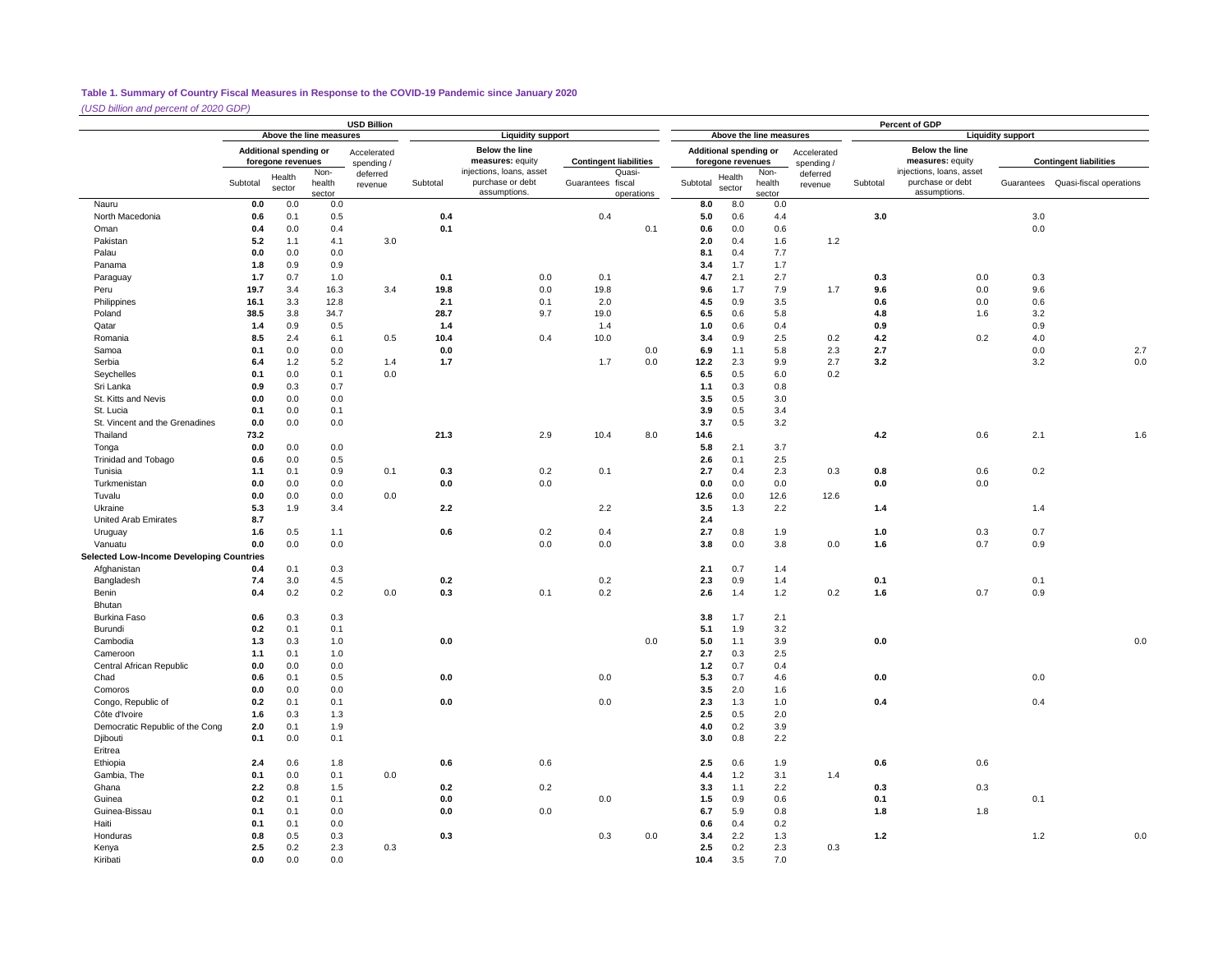*(USD billion and percent of 2020 GDP)*

|                                                 |                                                                                       |            |            | <b>USD Billion</b>  |             |                                                              |                               |                     |            |                                             |                          |                           |            | Percent of GDP                                               |                          |                                    |
|-------------------------------------------------|---------------------------------------------------------------------------------------|------------|------------|---------------------|-------------|--------------------------------------------------------------|-------------------------------|---------------------|------------|---------------------------------------------|--------------------------|---------------------------|------------|--------------------------------------------------------------|--------------------------|------------------------------------|
|                                                 | Above the line measures<br>Additional spending or<br>Accelerated<br>foregone revenues |            |            |                     |             | <b>Liquidity support</b>                                     |                               |                     |            |                                             | Above the line measures  |                           |            |                                                              | <b>Liquidity support</b> |                                    |
|                                                 | Non-<br>Health<br>Subtotal<br>health<br>sector<br>sector                              |            |            | spending/           |             | <b>Below the line</b><br>measures: equity                    | <b>Contingent liabilities</b> |                     |            | Additional spending or<br>foregone revenues |                          | Accelerated<br>spending / |            | <b>Below the line</b><br>measures: equity                    |                          | <b>Contingent liabilities</b>      |
|                                                 |                                                                                       |            |            | deferred<br>revenue | Subtotal    | injections, loans, asset<br>purchase or debt<br>assumptions. | Guarantees fiscal             | Quasi<br>operations | Subtotal   | Health<br>sector                            | Non-<br>health<br>sector | deferred<br>revenue       | Subtotal   | injections, loans, asset<br>purchase or debt<br>assumptions. |                          | Guarantees Quasi-fiscal operations |
| Nauru                                           | 0.0                                                                                   | 0.0        | 0.0        |                     |             |                                                              |                               |                     | 8.0        | 8.0                                         | 0.0                      |                           |            |                                                              |                          |                                    |
| North Macedonia                                 | 0.6                                                                                   | 0.1        | 0.5        |                     | 0.4         |                                                              | 0.4                           |                     | 5.0        | 0.6                                         | 4.4                      |                           | 3.0        |                                                              | 3.0                      |                                    |
| Oman                                            | 0.4                                                                                   | 0.0        | 0.4        |                     | 0.1         |                                                              |                               | 0.1                 | 0.6        | 0.0                                         | 0.6                      |                           |            |                                                              | 0.0                      |                                    |
| Pakistan                                        | 5.2                                                                                   | 1.1        | 4.1        | 3.0                 |             |                                                              |                               |                     | 2.0        | 0.4                                         | 1.6                      | 1.2                       |            |                                                              |                          |                                    |
| Palau                                           | 0.0                                                                                   | 0.0        | 0.0        |                     |             |                                                              |                               |                     | 8.1        | 0.4                                         | 7.7                      |                           |            |                                                              |                          |                                    |
| Panama                                          | 1.8                                                                                   | 0.9        | 0.9        |                     |             |                                                              |                               |                     | 3.4        | 1.7                                         | 1.7                      |                           |            |                                                              |                          |                                    |
| Paraguay                                        | 1.7                                                                                   | 0.7        | 1.0        |                     | 0.1         | 0.0                                                          | 0.1                           |                     | 4.7        | 2.1                                         | 2.7                      |                           | 0.3        | 0.0                                                          | 0.3                      |                                    |
| Peru                                            | 19.7                                                                                  | 3.4        | 16.3       | 3.4                 | 19.8        | 0.0                                                          | 19.8                          |                     | 9.6        | 1.7                                         | 7.9                      | 1.7                       | 9.6        | 0.0                                                          | 9.6                      |                                    |
| Philippines                                     | 16.1                                                                                  | 3.3        | 12.8       |                     | 2.1         | 0.1                                                          | 2.0                           |                     | 4.5        | 0.9                                         | 3.5                      |                           | 0.6        | 0.0                                                          | 0.6                      |                                    |
| Poland                                          | 38.5                                                                                  | 3.8        | 34.7       |                     | 28.7        | 9.7                                                          | 19.0                          |                     | 6.5        | 0.6                                         | 5.8                      |                           | 4.8        | 1.6                                                          | 3.2                      |                                    |
| Qatar                                           | $1.4$                                                                                 | 0.9<br>2.4 | 0.5        |                     | 1.4<br>10.4 | 0.4                                                          | 1.4                           |                     | 1.0<br>3.4 | 0.6                                         | 0.4<br>2.5               |                           | 0.9        |                                                              | 0.9                      |                                    |
| Romania<br>Samoa                                | 8.5<br>0.1                                                                            | 0.0        | 6.1<br>0.0 | 0.5                 | 0.0         |                                                              | 10.0                          | 0.0                 | 6.9        | 0.9<br>1.1                                  | 5.8                      | 0.2<br>2.3                | 4.2<br>2.7 | 0.2                                                          | 4.0<br>0.0               | 2.7                                |
| Serbia                                          | 6.4                                                                                   | 1.2        | 5.2        | 1.4                 | 1.7         |                                                              | 1.7                           | 0.0                 | 12.2       | 2.3                                         | 9.9                      | 2.7                       | 3.2        |                                                              | 3.2                      | $0.0\,$                            |
| Seychelles                                      | 0.1                                                                                   | 0.0        | 0.1        | 0.0                 |             |                                                              |                               |                     | 6.5        | 0.5                                         | 6.0                      | 0.2                       |            |                                                              |                          |                                    |
| Sri Lanka                                       | 0.9                                                                                   | 0.3        | 0.7        |                     |             |                                                              |                               |                     | 1.1        | 0.3                                         | 0.8                      |                           |            |                                                              |                          |                                    |
| St. Kitts and Nevis                             | 0.0                                                                                   | 0.0        | 0.0        |                     |             |                                                              |                               |                     | 3.5        | 0.5                                         | 3.0                      |                           |            |                                                              |                          |                                    |
| St. Lucia                                       | 0.1                                                                                   | 0.0        | 0.1        |                     |             |                                                              |                               |                     | 3.9        | 0.5                                         | 3.4                      |                           |            |                                                              |                          |                                    |
| St. Vincent and the Grenadines                  | 0.0                                                                                   | 0.0        | 0.0        |                     |             |                                                              |                               |                     | 3.7        | 0.5                                         | 3.2                      |                           |            |                                                              |                          |                                    |
| Thailand                                        | 73.2                                                                                  |            |            |                     | 21.3        | 2.9                                                          | 10.4                          | 8.0                 | 14.6       |                                             |                          |                           | 4.2        | 0.6                                                          | 2.1                      | 1.6                                |
| Tonga                                           | 0.0                                                                                   | 0.0        | 0.0        |                     |             |                                                              |                               |                     | 5.8        | 2.1                                         | 3.7                      |                           |            |                                                              |                          |                                    |
| <b>Trinidad and Tobago</b>                      | 0.6                                                                                   | 0.0        | 0.5        |                     |             |                                                              |                               |                     | 2.6        | 0.1                                         | 2.5                      |                           |            |                                                              |                          |                                    |
| Tunisia                                         | 1.1                                                                                   | 0.1        | 0.9        | 0.1                 | 0.3         | 0.2                                                          | 0.1                           |                     | 2.7        | 0.4                                         | 2.3                      | 0.3                       | 0.8        | 0.6                                                          | 0.2                      |                                    |
| Turkmenistan                                    | 0.0                                                                                   | 0.0        | 0.0        |                     | 0.0         | 0.0                                                          |                               |                     | 0.0        | 0.0                                         | 0.0                      |                           | 0.0        | 0.0                                                          |                          |                                    |
| Tuvalu                                          | 0.0                                                                                   | 0.0        | 0.0        | 0.0                 |             |                                                              |                               |                     | 12.6       | 0.0                                         | 12.6                     | 12.6                      |            |                                                              |                          |                                    |
| Ukraine                                         | 5.3                                                                                   | 1.9        | 3.4        |                     | 2.2         |                                                              | 2.2                           |                     | 3.5        | 1.3                                         | 2.2                      |                           | 1.4        |                                                              | 1.4                      |                                    |
| United Arab Emirates                            | 8.7                                                                                   |            |            |                     |             |                                                              |                               |                     | 2.4        |                                             |                          |                           |            |                                                              |                          |                                    |
| Uruguay                                         | 1.6                                                                                   | 0.5        | 1.1        |                     | 0.6         | 0.2                                                          | 0.4                           |                     | 2.7        | 0.8                                         | 1.9                      |                           | 1.0        | 0.3                                                          | 0.7                      |                                    |
| Vanuatu                                         | 0.0                                                                                   | 0.0        | 0.0        |                     |             | 0.0                                                          | 0.0                           |                     | 3.8        | 0.0                                         | 3.8                      | 0.0                       | 1.6        | 0.7                                                          | 0.9                      |                                    |
| <b>Selected Low-Income Developing Countries</b> |                                                                                       |            |            |                     |             |                                                              |                               |                     |            |                                             |                          |                           |            |                                                              |                          |                                    |
| Afghanistan                                     | 0.4                                                                                   | 0.1        | 0.3        |                     |             |                                                              |                               |                     | 2.1        | 0.7                                         | 1.4                      |                           |            |                                                              |                          |                                    |
| Bangladesh                                      | 7.4                                                                                   | 3.0        | 4.5        |                     | 0.2         |                                                              | 0.2                           |                     | 2.3        | 0.9                                         | 1.4                      |                           | 0.1        |                                                              | 0.1                      |                                    |
| Benin                                           | 0.4                                                                                   | 0.2        | 0.2        | 0.0                 | 0.3         | 0.1                                                          | 0.2                           |                     | 2.6        | 1.4                                         | $1.2$                    | 0.2                       | 1.6        | 0.7                                                          | 0.9                      |                                    |
| Bhutan                                          |                                                                                       |            |            |                     |             |                                                              |                               |                     |            |                                             |                          |                           |            |                                                              |                          |                                    |
| Burkina Faso                                    | 0.6                                                                                   | 0.3        | 0.3        |                     |             |                                                              |                               |                     | 3.8        | 1.7                                         | 2.1                      |                           |            |                                                              |                          |                                    |
| Burundi                                         | 0.2                                                                                   | 0.1        | 0.1        |                     |             |                                                              |                               |                     | 5.1        | 1.9                                         | 3.2                      |                           |            |                                                              |                          |                                    |
| Cambodia                                        | $1.3$                                                                                 | 0.3        | 1.0        |                     | 0.0         |                                                              |                               | 0.0                 | 5.0        | 1.1                                         | 3.9                      |                           | 0.0        |                                                              |                          | 0.0                                |
| Cameroon                                        | 1.1                                                                                   | 0.1        | 1.0        |                     |             |                                                              |                               |                     | 2.7        | 0.3                                         | 2.5                      |                           |            |                                                              |                          |                                    |
| Central African Republic<br>Chad                | 0.0                                                                                   | 0.0<br>0.1 | 0.0        |                     | 0.0         |                                                              | 0.0                           |                     | 1.2<br>5.3 | 0.7<br>0.7                                  | 0.4<br>4.6               |                           |            |                                                              | 0.0                      |                                    |
| Comoros                                         | 0.6<br>0.0                                                                            | 0.0        | 0.5<br>0.0 |                     |             |                                                              |                               |                     | 3.5        | 2.0                                         | 1.6                      |                           | 0.0        |                                                              |                          |                                    |
| Congo, Republic of                              | 0.2                                                                                   | 0.1        | 0.1        |                     | 0.0         |                                                              | 0.0                           |                     | 2.3        | 1.3                                         | 1.0                      |                           | 0.4        |                                                              | 0.4                      |                                    |
| Côte d'Ivoire                                   | 1.6                                                                                   | 0.3        | 1.3        |                     |             |                                                              |                               |                     | 2.5        | 0.5                                         | 2.0                      |                           |            |                                                              |                          |                                    |
| Democratic Republic of the Cong                 | 2.0                                                                                   | 0.1        | 1.9        |                     |             |                                                              |                               |                     | 4.0        | 0.2                                         | 3.9                      |                           |            |                                                              |                          |                                    |
| Djibouti                                        | 0.1                                                                                   | 0.0        | 0.1        |                     |             |                                                              |                               |                     | 3.0        | 0.8                                         | 2.2                      |                           |            |                                                              |                          |                                    |
| Eritrea                                         |                                                                                       |            |            |                     |             |                                                              |                               |                     |            |                                             |                          |                           |            |                                                              |                          |                                    |
| Ethiopia                                        | 2.4                                                                                   | 0.6        | 1.8        |                     | 0.6         | 0.6                                                          |                               |                     | 2.5        | 0.6                                         | 1.9                      |                           | 0.6        | 0.6                                                          |                          |                                    |
| Gambia, The                                     | 0.1                                                                                   | 0.0        | 0.1        | 0.0                 |             |                                                              |                               |                     | 4.4        | 1.2                                         | 3.1                      | 1.4                       |            |                                                              |                          |                                    |
| Ghana                                           | 2.2                                                                                   | 0.8        | 1.5        |                     | 0.2         | 0.2                                                          |                               |                     | 3.3        | 1.1                                         | 2.2                      |                           | 0.3        | 0.3                                                          |                          |                                    |
| Guinea                                          | 0.2                                                                                   | 0.1        | 0.1        |                     | 0.0         |                                                              | 0.0                           |                     | 1.5        | 0.9                                         | 0.6                      |                           | 0.1        |                                                              | 0.1                      |                                    |
| Guinea-Bissau                                   | 0.1                                                                                   | 0.1        | 0.0        |                     | 0.0         | 0.0                                                          |                               |                     | 6.7        | 5.9                                         | 0.8                      |                           | 1.8        | 1.8                                                          |                          |                                    |
| Haiti                                           | 0.1                                                                                   | 0.1        | 0.0        |                     |             |                                                              |                               |                     | 0.6        | 0.4                                         | 0.2                      |                           |            |                                                              |                          |                                    |
| Honduras                                        | 0.8                                                                                   | 0.5        | 0.3        |                     | 0.3         |                                                              | 0.3                           | 0.0                 | 3.4        | 2.2                                         | 1.3                      |                           | 1.2        |                                                              | 1.2                      | 0.0                                |
| Kenya                                           | 2.5                                                                                   | 0.2        | 2.3        | 0.3                 |             |                                                              |                               |                     | 2.5        | 0.2                                         | 2.3                      | 0.3                       |            |                                                              |                          |                                    |
| Kiribati                                        | 0.0                                                                                   | 0.0        | 0.0        |                     |             |                                                              |                               |                     | 10.4       | 3.5                                         | 7.0                      |                           |            |                                                              |                          |                                    |